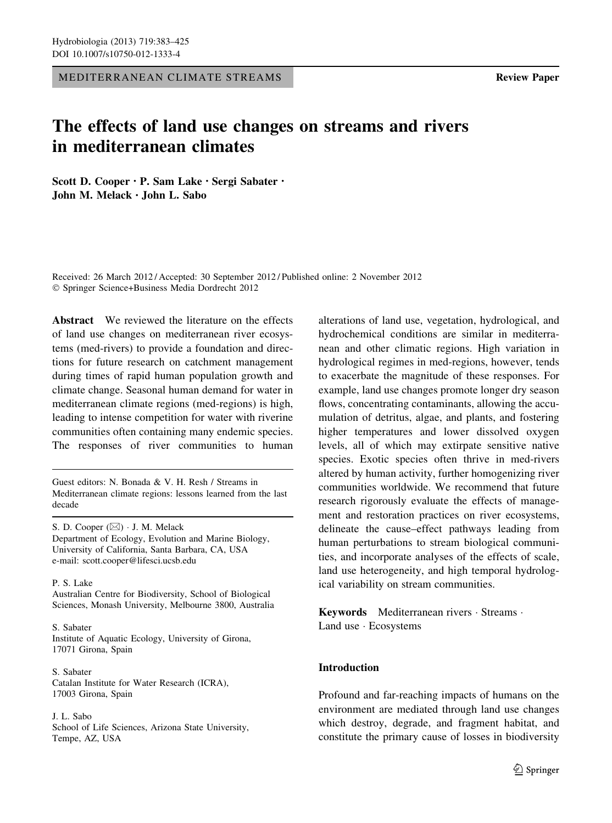MEDITERRANEAN CLIMATE STREAMS **Review Paper** Review Paper

# The effects of land use changes on streams and rivers in mediterranean climates

Scott D. Cooper • P. Sam Lake • Sergi Sabater • John M. Melack • John L. Sabo

Received: 26 March 2012 / Accepted: 30 September 2012 / Published online: 2 November 2012 - Springer Science+Business Media Dordrecht 2012

Abstract We reviewed the literature on the effects of land use changes on mediterranean river ecosystems (med-rivers) to provide a foundation and directions for future research on catchment management during times of rapid human population growth and climate change. Seasonal human demand for water in mediterranean climate regions (med-regions) is high, leading to intense competition for water with riverine communities often containing many endemic species. The responses of river communities to human

Guest editors: N. Bonada & V. H. Resh / Streams in Mediterranean climate regions: lessons learned from the last decade

S. D. Cooper (&) - J. M. Melack Department of Ecology, Evolution and Marine Biology, University of California, Santa Barbara, CA, USA e-mail: scott.cooper@lifesci.ucsb.edu

P. S. Lake Australian Centre for Biodiversity, School of Biological Sciences, Monash University, Melbourne 3800, Australia

S. Sabater Institute of Aquatic Ecology, University of Girona, 17071 Girona, Spain

S. Sabater Catalan Institute for Water Research (ICRA), 17003 Girona, Spain

#### J. L. Sabo

School of Life Sciences, Arizona State University, Tempe, AZ, USA

alterations of land use, vegetation, hydrological, and hydrochemical conditions are similar in mediterranean and other climatic regions. High variation in hydrological regimes in med-regions, however, tends to exacerbate the magnitude of these responses. For example, land use changes promote longer dry season flows, concentrating contaminants, allowing the accumulation of detritus, algae, and plants, and fostering higher temperatures and lower dissolved oxygen levels, all of which may extirpate sensitive native species. Exotic species often thrive in med-rivers altered by human activity, further homogenizing river communities worldwide. We recommend that future research rigorously evaluate the effects of management and restoration practices on river ecosystems, delineate the cause–effect pathways leading from human perturbations to stream biological communities, and incorporate analyses of the effects of scale, land use heterogeneity, and high temporal hydrological variability on stream communities.

Keywords Mediterranean rivers - Streams - Land use - Ecosystems

## Introduction

Profound and far-reaching impacts of humans on the environment are mediated through land use changes which destroy, degrade, and fragment habitat, and constitute the primary cause of losses in biodiversity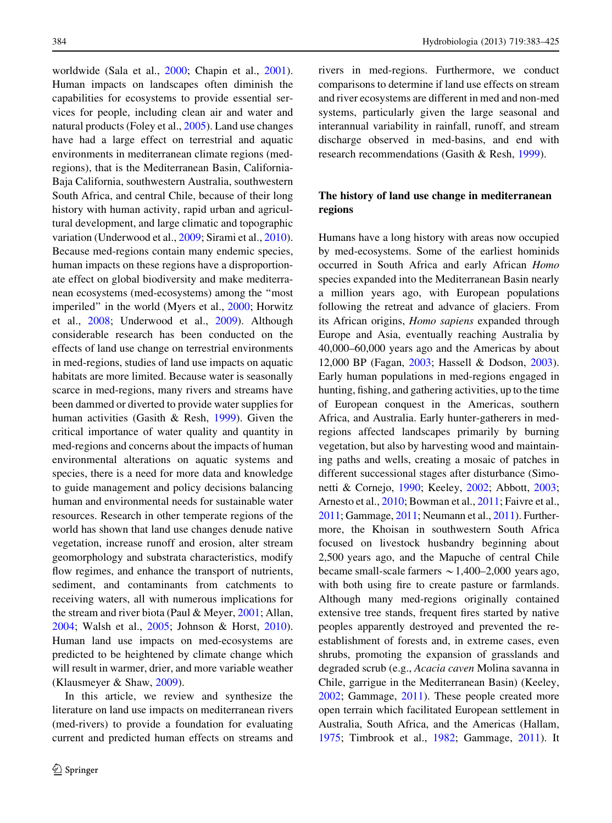worldwide (Sala et al., [2000](#page-39-0); Chapin et al., [2001](#page-31-0)). Human impacts on landscapes often diminish the capabilities for ecosystems to provide essential services for people, including clean air and water and natural products (Foley et al., [2005](#page-33-0)). Land use changes have had a large effect on terrestrial and aquatic environments in mediterranean climate regions (medregions), that is the Mediterranean Basin, California-Baja California, southwestern Australia, southwestern South Africa, and central Chile, because of their long history with human activity, rapid urban and agricultural development, and large climatic and topographic variation (Underwood et al., [2009;](#page-41-0) Sirami et al., [2010](#page-40-0)). Because med-regions contain many endemic species, human impacts on these regions have a disproportionate effect on global biodiversity and make mediterranean ecosystems (med-ecosystems) among the ''most imperiled'' in the world (Myers et al., [2000;](#page-37-0) Horwitz et al., [2008;](#page-34-0) Underwood et al., [2009](#page-41-0)). Although considerable research has been conducted on the effects of land use change on terrestrial environments in med-regions, studies of land use impacts on aquatic habitats are more limited. Because water is seasonally scarce in med-regions, many rivers and streams have been dammed or diverted to provide water supplies for human activities (Gasith & Resh, [1999](#page-33-0)). Given the critical importance of water quality and quantity in med-regions and concerns about the impacts of human environmental alterations on aquatic systems and species, there is a need for more data and knowledge to guide management and policy decisions balancing human and environmental needs for sustainable water resources. Research in other temperate regions of the world has shown that land use changes denude native vegetation, increase runoff and erosion, alter stream geomorphology and substrata characteristics, modify flow regimes, and enhance the transport of nutrients, sediment, and contaminants from catchments to receiving waters, all with numerous implications for the stream and river biota (Paul & Meyer, [2001;](#page-38-0) Allan, [2004;](#page-28-0) Walsh et al., [2005;](#page-41-0) Johnson & Horst, [2010](#page-35-0)). Human land use impacts on med-ecosystems are predicted to be heightened by climate change which will result in warmer, drier, and more variable weather (Klausmeyer & Shaw, [2009](#page-35-0)).

In this article, we review and synthesize the literature on land use impacts on mediterranean rivers (med-rivers) to provide a foundation for evaluating current and predicted human effects on streams and rivers in med-regions. Furthermore, we conduct comparisons to determine if land use effects on stream and river ecosystems are different in med and non-med systems, particularly given the large seasonal and interannual variability in rainfall, runoff, and stream discharge observed in med-basins, and end with research recommendations (Gasith & Resh, [1999](#page-33-0)).

## The history of land use change in mediterranean regions

Humans have a long history with areas now occupied by med-ecosystems. Some of the earliest hominids occurred in South Africa and early African Homo species expanded into the Mediterranean Basin nearly a million years ago, with European populations following the retreat and advance of glaciers. From its African origins, Homo sapiens expanded through Europe and Asia, eventually reaching Australia by 40,000–60,000 years ago and the Americas by about 12,000 BP (Fagan, [2003;](#page-32-0) Hassell & Dodson, [2003](#page-34-0)). Early human populations in med-regions engaged in hunting, fishing, and gathering activities, up to the time of European conquest in the Americas, southern Africa, and Australia. Early hunter-gatherers in medregions affected landscapes primarily by burning vegetation, but also by harvesting wood and maintaining paths and wells, creating a mosaic of patches in different successional stages after disturbance (Simonetti & Cornejo, [1990](#page-40-0); Keeley, [2002](#page-35-0); Abbott, [2003](#page-28-0); Arnesto et al., [2010](#page-29-0); Bowman et al., [2011;](#page-30-0) Faivre et al., [2011](#page-32-0); Gammage, [2011](#page-33-0); Neumann et al., [2011\)](#page-37-0). Furthermore, the Khoisan in southwestern South Africa focused on livestock husbandry beginning about 2,500 years ago, and the Mapuche of central Chile became small-scale farmers  $\sim 1,400-2,000$  years ago, with both using fire to create pasture or farmlands. Although many med-regions originally contained extensive tree stands, frequent fires started by native peoples apparently destroyed and prevented the reestablishment of forests and, in extreme cases, even shrubs, promoting the expansion of grasslands and degraded scrub (e.g., Acacia caven Molina savanna in Chile, garrigue in the Mediterranean Basin) (Keeley, [2002;](#page-35-0) Gammage, [2011\)](#page-33-0). These people created more open terrain which facilitated European settlement in Australia, South Africa, and the Americas (Hallam, [1975;](#page-34-0) Timbrook et al., [1982](#page-41-0); Gammage, [2011](#page-33-0)). It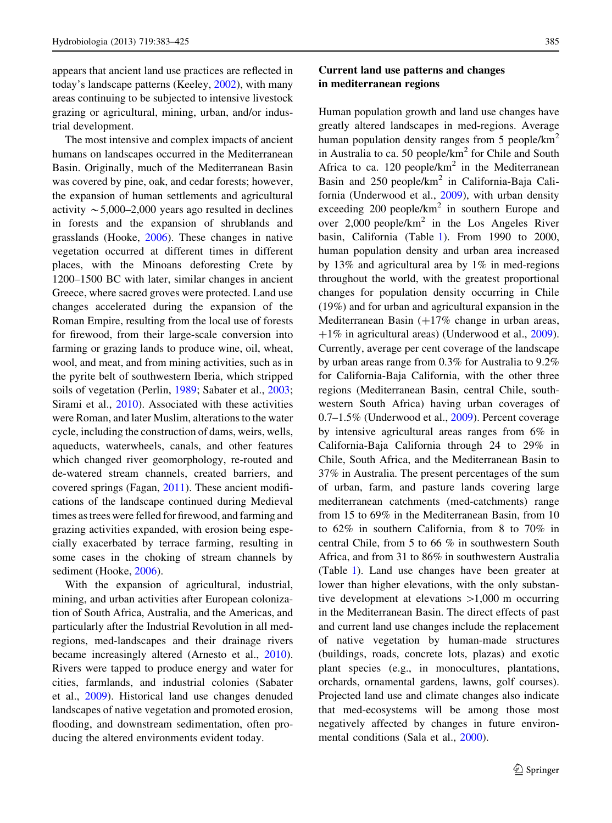appears that ancient land use practices are reflected in today's landscape patterns (Keeley, [2002](#page-35-0)), with many areas continuing to be subjected to intensive livestock grazing or agricultural, mining, urban, and/or industrial development.

The most intensive and complex impacts of ancient humans on landscapes occurred in the Mediterranean Basin. Originally, much of the Mediterranean Basin was covered by pine, oak, and cedar forests; however, the expansion of human settlements and agricultural activity  $\sim 5,000-2,000$  years ago resulted in declines in forests and the expansion of shrublands and grasslands (Hooke, [2006\)](#page-34-0). These changes in native vegetation occurred at different times in different places, with the Minoans deforesting Crete by 1200–1500 BC with later, similar changes in ancient Greece, where sacred groves were protected. Land use changes accelerated during the expansion of the Roman Empire, resulting from the local use of forests for firewood, from their large-scale conversion into farming or grazing lands to produce wine, oil, wheat, wool, and meat, and from mining activities, such as in the pyrite belt of southwestern Iberia, which stripped soils of vegetation (Perlin, [1989;](#page-38-0) Sabater et al., [2003](#page-39-0); Sirami et al., [2010\)](#page-40-0). Associated with these activities were Roman, and later Muslim, alterations to the water cycle, including the construction of dams, weirs, wells, aqueducts, waterwheels, canals, and other features which changed river geomorphology, re-routed and de-watered stream channels, created barriers, and covered springs (Fagan, [2011\)](#page-32-0). These ancient modifications of the landscape continued during Medieval times as trees were felled for firewood, and farming and grazing activities expanded, with erosion being especially exacerbated by terrace farming, resulting in some cases in the choking of stream channels by sediment (Hooke, [2006](#page-34-0)).

With the expansion of agricultural, industrial, mining, and urban activities after European colonization of South Africa, Australia, and the Americas, and particularly after the Industrial Revolution in all medregions, med-landscapes and their drainage rivers became increasingly altered (Arnesto et al., [2010](#page-29-0)). Rivers were tapped to produce energy and water for cities, farmlands, and industrial colonies (Sabater et al., [2009\)](#page-39-0). Historical land use changes denuded landscapes of native vegetation and promoted erosion, flooding, and downstream sedimentation, often producing the altered environments evident today.

# Current land use patterns and changes in mediterranean regions

Human population growth and land use changes have greatly altered landscapes in med-regions. Average human population density ranges from  $5$  people/ $km^2$ in Australia to ca. 50 people/km2 for Chile and South Africa to ca. 120 people/ $km^2$  in the Mediterranean Basin and 250 people/km<sup>2</sup> in California-Baja California (Underwood et al., [2009\)](#page-41-0), with urban density exceeding  $200$  people/km<sup>2</sup> in southern Europe and over  $2,000$  people/km<sup>2</sup> in the Los Angeles River basin, California (Table [1\)](#page-3-0). From 1990 to 2000, human population density and urban area increased by 13% and agricultural area by 1% in med-regions throughout the world, with the greatest proportional changes for population density occurring in Chile (19%) and for urban and agricultural expansion in the Mediterranean Basin  $(+17\%$  change in urban areas,  $+1\%$  in agricultural areas) (Underwood et al., [2009](#page-41-0)). Currently, average per cent coverage of the landscape by urban areas range from 0.3% for Australia to 9.2% for California-Baja California, with the other three regions (Mediterranean Basin, central Chile, southwestern South Africa) having urban coverages of 0.7–1.5% (Underwood et al., [2009](#page-41-0)). Percent coverage by intensive agricultural areas ranges from 6% in California-Baja California through 24 to 29% in Chile, South Africa, and the Mediterranean Basin to 37% in Australia. The present percentages of the sum of urban, farm, and pasture lands covering large mediterranean catchments (med-catchments) range from 15 to 69% in the Mediterranean Basin, from 10 to 62% in southern California, from 8 to 70% in central Chile, from 5 to 66 % in southwestern South Africa, and from 31 to 86% in southwestern Australia (Table [1](#page-3-0)). Land use changes have been greater at lower than higher elevations, with the only substantive development at elevations  $>1,000$  m occurring in the Mediterranean Basin. The direct effects of past and current land use changes include the replacement of native vegetation by human-made structures (buildings, roads, concrete lots, plazas) and exotic plant species (e.g., in monocultures, plantations, orchards, ornamental gardens, lawns, golf courses). Projected land use and climate changes also indicate that med-ecosystems will be among those most negatively affected by changes in future environmental conditions (Sala et al., [2000](#page-39-0)).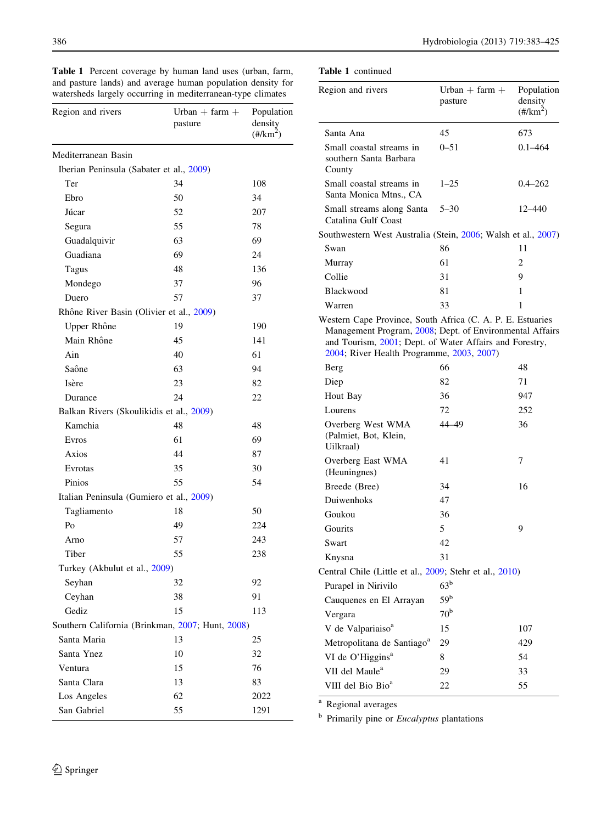| Region and rivers                                | Urban + farm +<br>pasture | Population<br>density<br>$(\frac{\text{H}}{\text{km}^2})$ |
|--------------------------------------------------|---------------------------|-----------------------------------------------------------|
| Mediterranean Basin                              |                           |                                                           |
| Iberian Peninsula (Sabater et al., 2009)         |                           |                                                           |
| Ter                                              | 34                        | 108                                                       |
| Ebro                                             | 50                        | 34                                                        |
| Júcar                                            | 52                        | 207                                                       |
| Segura                                           | 55                        | 78                                                        |
| Guadalquivir                                     | 63                        | 69                                                        |
| Guadiana                                         | 69                        | 24                                                        |
| Tagus                                            | 48                        | 136                                                       |
| Mondego                                          | 37                        | 96                                                        |
| Duero                                            | 57                        | 37                                                        |
| Rhône River Basin (Olivier et al., 2009)         |                           |                                                           |
| Upper Rhône                                      | 19                        | 190                                                       |
| Main Rhône                                       | 45                        | 141                                                       |
| Ain                                              | 40                        | 61                                                        |
| Saône                                            | 63                        | 94                                                        |
| Isère                                            | 23                        | 82                                                        |
| Durance                                          | 24                        | 22                                                        |
| Balkan Rivers (Skoulikidis et al., 2009)         |                           |                                                           |
| Kamchia                                          | 48                        | 48                                                        |
| Evros                                            | 61                        | 69                                                        |
| Axios                                            | 44                        | 87                                                        |
| Evrotas                                          | 35                        | 30                                                        |
| Pinios                                           | 55                        | 54                                                        |
| Italian Peninsula (Gumiero et al., 2009)         |                           |                                                           |
| Tagliamento                                      | 18                        | 50                                                        |
| Po                                               | 49                        | 224                                                       |
| Arno                                             | 57                        | 243                                                       |
| Tiber                                            | 55                        | 238                                                       |
| Turkey (Akbulut et al., 2009)                    |                           |                                                           |
| Seyhan                                           | 32                        | 92                                                        |
| Ceyhan                                           | 38                        | 91                                                        |
| Gediz                                            | 15                        | 113                                                       |
| Southern California (Brinkman, 2007; Hunt, 2008) |                           |                                                           |
| Santa Maria                                      | 13                        | 25                                                        |
| Santa Ynez                                       | 10                        | 32                                                        |
| Ventura                                          | 15                        | 76                                                        |
| Santa Clara                                      | 13                        | 83                                                        |
| Los Angeles                                      | 62                        | 2022                                                      |
| San Gabriel                                      | 55                        | 1291                                                      |

<span id="page-3-0"></span>Table 1 Percent coverage by human land uses (urban, farm, and pasture lands) and average human population density for watersheds largely occurring in mediterranean-type climates

Table 1 continued

| Region and rivers                                                                                                                                                                                                              | Urban + farm +<br>pasture | Population<br>density<br>$(\frac{\text{H}}{\text{km}^2})$ |
|--------------------------------------------------------------------------------------------------------------------------------------------------------------------------------------------------------------------------------|---------------------------|-----------------------------------------------------------|
| Santa Ana                                                                                                                                                                                                                      | 45                        | 673                                                       |
| Small coastal streams in<br>southern Santa Barbara<br>County                                                                                                                                                                   | $0 - 51$                  | $0.1 - 464$                                               |
| Small coastal streams in<br>Santa Monica Mtns CA                                                                                                                                                                               | $1 - 25$                  | $0.4 - 262$                                               |
| Small streams along Santa<br>Catalina Gulf Coast                                                                                                                                                                               | 5–30                      | 12-440                                                    |
| Southwestern West Australia (Stein, 2006; Walsh et al., 2007)                                                                                                                                                                  |                           |                                                           |
| Swan                                                                                                                                                                                                                           | 86                        | 11                                                        |
| Murray                                                                                                                                                                                                                         | 61                        | $\overline{c}$                                            |
| Collie                                                                                                                                                                                                                         | 31                        | 9                                                         |
| <b>Blackwood</b>                                                                                                                                                                                                               | 81                        | 1                                                         |
| Warren                                                                                                                                                                                                                         | 33                        | 1                                                         |
| Western Cape Province, South Africa (C. A. P. E. Estuaries<br>Management Program, 2008; Dept. of Environmental Affairs<br>and Tourism, 2001; Dept. of Water Affairs and Forestry,<br>2004; River Health Programme, 2003, 2007) |                           |                                                           |
| Berg                                                                                                                                                                                                                           | 66                        | 48                                                        |
| Diep                                                                                                                                                                                                                           | 82                        | 71                                                        |
| Hout Bay                                                                                                                                                                                                                       | 36                        | 947                                                       |
| Lourens                                                                                                                                                                                                                        | 72                        | 252                                                       |
| Overberg West WMA<br>(Palmiet, Bot, Klein,<br>Uilkraal)                                                                                                                                                                        | 44-49                     | 36                                                        |
| Overberg East WMA<br>(Heuningnes)                                                                                                                                                                                              | 41                        | 7                                                         |
| Breede (Bree)                                                                                                                                                                                                                  | 34                        | 16                                                        |
| Duiwenhoks                                                                                                                                                                                                                     | 47                        |                                                           |
| Goukou                                                                                                                                                                                                                         | 36                        |                                                           |
| Gourits                                                                                                                                                                                                                        | 5                         | 9                                                         |
| Swart                                                                                                                                                                                                                          | 42                        |                                                           |
| Knysna                                                                                                                                                                                                                         | 31                        |                                                           |
| Central Chile (Little et al., 2009; Stehr et al., 2010)                                                                                                                                                                        |                           |                                                           |
| Purapel in Nirivilo                                                                                                                                                                                                            | $63^{\rm b}$              |                                                           |
| Cauquenes en El Arrayan                                                                                                                                                                                                        | 59 <sup>b</sup>           |                                                           |
| Vergara                                                                                                                                                                                                                        | 70 <sup>b</sup>           |                                                           |
| V de Valpariaiso <sup>a</sup>                                                                                                                                                                                                  | 15                        | 107                                                       |
| Metropolitana de Santiago <sup>a</sup>                                                                                                                                                                                         | 29                        | 429                                                       |
| VI de O'Higgins <sup>a</sup>                                                                                                                                                                                                   | 8                         | 54                                                        |
| VII del Maule <sup>a</sup>                                                                                                                                                                                                     | 29                        | 33                                                        |
| VIII del Bio Bio <sup>a</sup>                                                                                                                                                                                                  | 22                        | 55                                                        |

<sup>a</sup> Regional averages

<sup>b</sup> Primarily pine or *Eucalyptus* plantations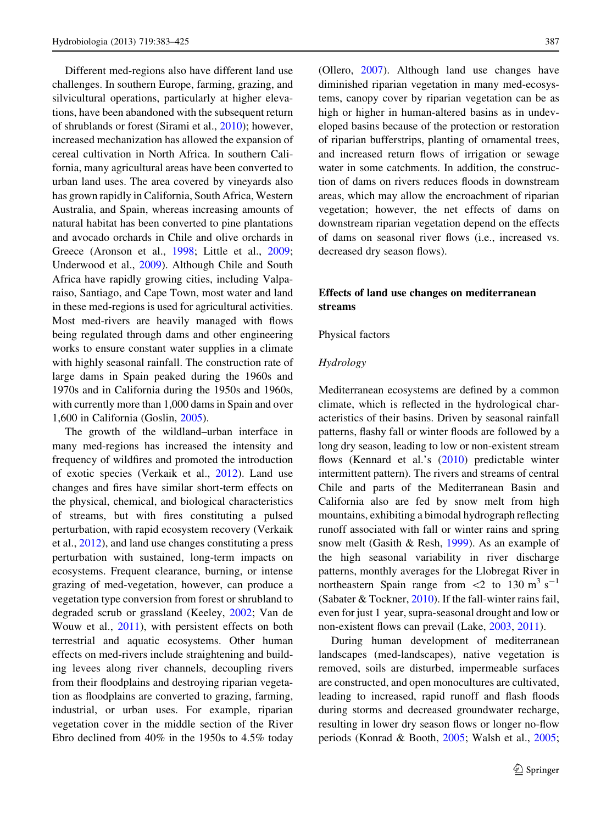Different med-regions also have different land use challenges. In southern Europe, farming, grazing, and silvicultural operations, particularly at higher elevations, have been abandoned with the subsequent return of shrublands or forest (Sirami et al., [2010\)](#page-40-0); however, increased mechanization has allowed the expansion of cereal cultivation in North Africa. In southern California, many agricultural areas have been converted to urban land uses. The area covered by vineyards also has grown rapidly in California, South Africa, Western Australia, and Spain, whereas increasing amounts of natural habitat has been converted to pine plantations and avocado orchards in Chile and olive orchards in Greece (Aronson et al., [1998;](#page-29-0) Little et al., [2009](#page-36-0); Underwood et al., [2009](#page-41-0)). Although Chile and South Africa have rapidly growing cities, including Valparaiso, Santiago, and Cape Town, most water and land in these med-regions is used for agricultural activities. Most med-rivers are heavily managed with flows being regulated through dams and other engineering works to ensure constant water supplies in a climate with highly seasonal rainfall. The construction rate of large dams in Spain peaked during the 1960s and 1970s and in California during the 1950s and 1960s, with currently more than 1,000 dams in Spain and over 1,600 in California (Goslin, [2005](#page-34-0)).

The growth of the wildland–urban interface in many med-regions has increased the intensity and frequency of wildfires and promoted the introduction of exotic species (Verkaik et al., [2012\)](#page-41-0). Land use changes and fires have similar short-term effects on the physical, chemical, and biological characteristics of streams, but with fires constituting a pulsed perturbation, with rapid ecosystem recovery (Verkaik et al., [2012\)](#page-41-0), and land use changes constituting a press perturbation with sustained, long-term impacts on ecosystems. Frequent clearance, burning, or intense grazing of med-vegetation, however, can produce a vegetation type conversion from forest or shrubland to degraded scrub or grassland (Keeley, [2002](#page-35-0); Van de Wouw et al., [2011](#page-41-0)), with persistent effects on both terrestrial and aquatic ecosystems. Other human effects on med-rivers include straightening and building levees along river channels, decoupling rivers from their floodplains and destroying riparian vegetation as floodplains are converted to grazing, farming, industrial, or urban uses. For example, riparian vegetation cover in the middle section of the River Ebro declined from 40% in the 1950s to 4.5% today (Ollero, [2007\)](#page-38-0). Although land use changes have diminished riparian vegetation in many med-ecosystems, canopy cover by riparian vegetation can be as high or higher in human-altered basins as in undeveloped basins because of the protection or restoration of riparian bufferstrips, planting of ornamental trees, and increased return flows of irrigation or sewage water in some catchments. In addition, the construction of dams on rivers reduces floods in downstream areas, which may allow the encroachment of riparian vegetation; however, the net effects of dams on downstream riparian vegetation depend on the effects of dams on seasonal river flows (i.e., increased vs. decreased dry season flows).

# Effects of land use changes on mediterranean streams

## Physical factors

## Hydrology

Mediterranean ecosystems are defined by a common climate, which is reflected in the hydrological characteristics of their basins. Driven by seasonal rainfall patterns, flashy fall or winter floods are followed by a long dry season, leading to low or non-existent stream flows (Kennard et al.'s [\(2010](#page-35-0)) predictable winter intermittent pattern). The rivers and streams of central Chile and parts of the Mediterranean Basin and California also are fed by snow melt from high mountains, exhibiting a bimodal hydrograph reflecting runoff associated with fall or winter rains and spring snow melt (Gasith & Resh, [1999](#page-33-0)). As an example of the high seasonal variability in river discharge patterns, monthly averages for the Llobregat River in northeastern Spain range from  $\langle 2 \text{ to } 130 \text{ m}^3 \text{ s}^{-1} \rangle$ (Sabater & Tockner, [2010\)](#page-39-0). If the fall-winter rains fail, even for just 1 year, supra-seasonal drought and low or non-existent flows can prevail (Lake, [2003,](#page-35-0) [2011\)](#page-35-0).

During human development of mediterranean landscapes (med-landscapes), native vegetation is removed, soils are disturbed, impermeable surfaces are constructed, and open monocultures are cultivated, leading to increased, rapid runoff and flash floods during storms and decreased groundwater recharge, resulting in lower dry season flows or longer no-flow periods (Konrad & Booth, [2005;](#page-35-0) Walsh et al., [2005](#page-41-0);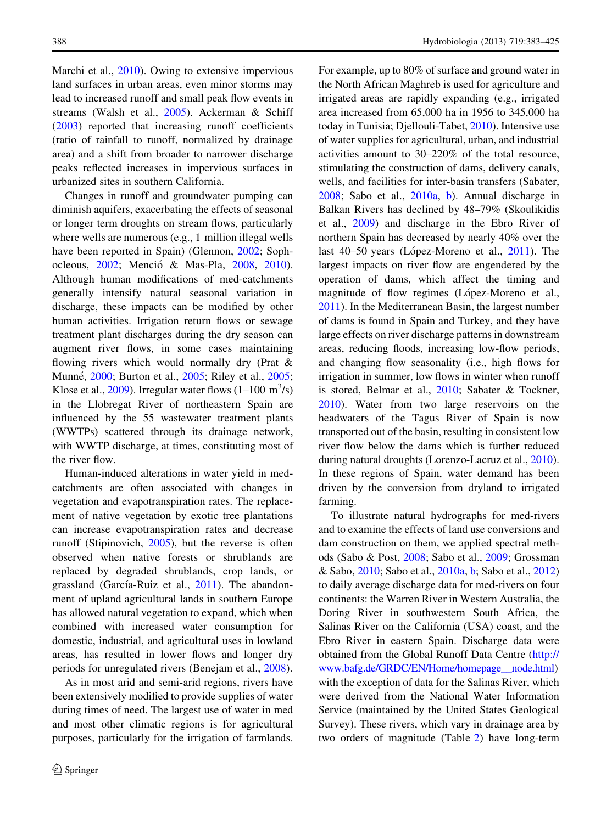Marchi et al., [2010](#page-36-0)). Owing to extensive impervious land surfaces in urban areas, even minor storms may lead to increased runoff and small peak flow events in streams (Walsh et al., [2005\)](#page-41-0). Ackerman & Schiff [\(2003](#page-28-0)) reported that increasing runoff coefficients (ratio of rainfall to runoff, normalized by drainage area) and a shift from broader to narrower discharge peaks reflected increases in impervious surfaces in urbanized sites in southern California.

Changes in runoff and groundwater pumping can diminish aquifers, exacerbating the effects of seasonal or longer term droughts on stream flows, particularly where wells are numerous (e.g., 1 million illegal wells have been reported in Spain) (Glennon, [2002](#page-33-0); Sophocleous, [2002](#page-40-0); Mencio´ & Mas-Pla, [2008,](#page-37-0) [2010](#page-37-0)). Although human modifications of med-catchments generally intensify natural seasonal variation in discharge, these impacts can be modified by other human activities. Irrigation return flows or sewage treatment plant discharges during the dry season can augment river flows, in some cases maintaining flowing rivers which would normally dry (Prat & Munné, [2000;](#page-38-0) Burton et al., [2005](#page-39-0); Riley et al., 2005; Klose et al.,  $2009$ ). Irregular water flows  $(1-100 \text{ m}^3/\text{s})$ in the Llobregat River of northeastern Spain are influenced by the 55 wastewater treatment plants (WWTPs) scattered through its drainage network, with WWTP discharge, at times, constituting most of the river flow.

Human-induced alterations in water yield in medcatchments are often associated with changes in vegetation and evapotranspiration rates. The replacement of native vegetation by exotic tree plantations can increase evapotranspiration rates and decrease runoff (Stipinovich, [2005\)](#page-40-0), but the reverse is often observed when native forests or shrublands are replaced by degraded shrublands, crop lands, or grassland (García-Ruiz et al., [2011](#page-33-0)). The abandonment of upland agricultural lands in southern Europe has allowed natural vegetation to expand, which when combined with increased water consumption for domestic, industrial, and agricultural uses in lowland areas, has resulted in lower flows and longer dry periods for unregulated rivers (Benejam et al., [2008\)](#page-29-0).

As in most arid and semi-arid regions, rivers have been extensively modified to provide supplies of water during times of need. The largest use of water in med and most other climatic regions is for agricultural purposes, particularly for the irrigation of farmlands.

For example, up to 80% of surface and ground water in the North African Maghreb is used for agriculture and irrigated areas are rapidly expanding (e.g., irrigated area increased from 65,000 ha in 1956 to 345,000 ha today in Tunisia; Djellouli-Tabet, [2010](#page-32-0)). Intensive use of water supplies for agricultural, urban, and industrial activities amount to 30–220% of the total resource, stimulating the construction of dams, delivery canals, wells, and facilities for inter-basin transfers (Sabater, [2008;](#page-39-0) Sabo et al., [2010a,](#page-39-0) [b\)](#page-39-0). Annual discharge in Balkan Rivers has declined by 48–79% (Skoulikidis et al., [2009](#page-40-0)) and discharge in the Ebro River of northern Spain has decreased by nearly 40% over the last  $40-50$  years (López-Moreno et al.,  $2011$ ). The largest impacts on river flow are engendered by the operation of dams, which affect the timing and magnitude of flow regimes (López-Moreno et al., [2011\)](#page-36-0). In the Mediterranean Basin, the largest number of dams is found in Spain and Turkey, and they have large effects on river discharge patterns in downstream areas, reducing floods, increasing low-flow periods, and changing flow seasonality (i.e., high flows for irrigation in summer, low flows in winter when runoff is stored, Belmar et al., [2010](#page-29-0); Sabater & Tockner, [2010\)](#page-39-0). Water from two large reservoirs on the headwaters of the Tagus River of Spain is now transported out of the basin, resulting in consistent low river flow below the dams which is further reduced during natural droughts (Lorenzo-Lacruz et al., [2010](#page-36-0)). In these regions of Spain, water demand has been driven by the conversion from dryland to irrigated farming.

To illustrate natural hydrographs for med-rivers and to examine the effects of land use conversions and dam construction on them, we applied spectral methods (Sabo & Post, [2008;](#page-39-0) Sabo et al., [2009](#page-39-0); Grossman & Sabo, [2010;](#page-34-0) Sabo et al., [2010a,](#page-39-0) [b](#page-39-0); Sabo et al., [2012\)](#page-39-0) to daily average discharge data for med-rivers on four continents: the Warren River in Western Australia, the Doring River in southwestern South Africa, the Salinas River on the California (USA) coast, and the Ebro River in eastern Spain. Discharge data were obtained from the Global Runoff Data Centre [\(http://](http://www.bafg.de/GRDC/EN/Home/homepage__node.html) [www.bafg.de/GRDC/EN/Home/homepage\\_\\_node.html\)](http://www.bafg.de/GRDC/EN/Home/homepage__node.html) with the exception of data for the Salinas River, which were derived from the National Water Information Service (maintained by the United States Geological Survey). These rivers, which vary in drainage area by two orders of magnitude (Table [2\)](#page-6-0) have long-term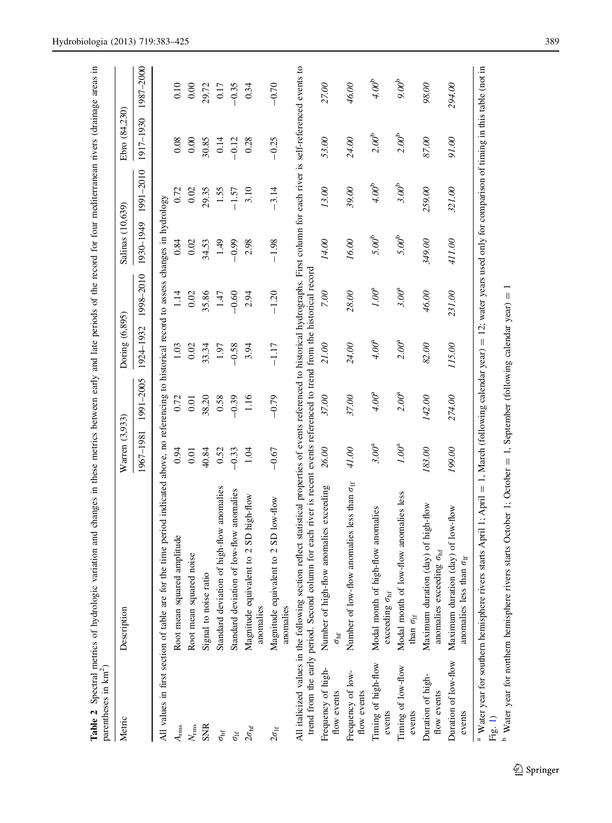<span id="page-6-0"></span>

| Metric                            | Description                                                                                                                                                                                                                                                                                                            | Warren (3,933) |                   | Doring $(6,895)$  |                | Salinas (10,639)  |                   | Ebro (84,230)     |                   |
|-----------------------------------|------------------------------------------------------------------------------------------------------------------------------------------------------------------------------------------------------------------------------------------------------------------------------------------------------------------------|----------------|-------------------|-------------------|----------------|-------------------|-------------------|-------------------|-------------------|
|                                   |                                                                                                                                                                                                                                                                                                                        | 1967-1981      | 1991-2005         | 1924-1932         | 1998-2010      | 1930-1949         | 1991-2010         | 1917-1930         | 1987-2000         |
|                                   | time period indicated above, no referencing to historical record to assess changes in hydrology<br>All values in first section of table are for the                                                                                                                                                                    |                |                   |                   |                |                   |                   |                   |                   |
| $A_{\rm rms}$                     | Root mean squared amplitude                                                                                                                                                                                                                                                                                            | 0.94           | 0.72              | 1.03              | 1.14           | 0.84              | 0.72              | 0.08              | 0.10              |
| $N_{\rm rms}$                     | Root mean squared noise                                                                                                                                                                                                                                                                                                | 0.01           | $0.01\,$          | 0.02              | 0.02           | 0.02              | 0.02              | 0.00              | 0.00              |
| <b>SNR</b>                        | Signal to noise ratio                                                                                                                                                                                                                                                                                                  | 40.84          | 38.20             | 33.34             | 35.86          | 34.53             | 29.35             | 30.85             | 29.72             |
| $\sigma_{\rm hf}$                 | high-flow anomalies<br>Standard deviation of                                                                                                                                                                                                                                                                           | 0.52           | 0.58              | 1.97              | 1.47           | 1.49              | 1.55              | 0.14              | $0.17\,$          |
| $\sigma_{\rm lf}$                 | ow-flow anomalies<br>Standard deviation of                                                                                                                                                                                                                                                                             | $-0.33$        | $-0.39$           | $-0.58$           | $-0.60$        | $-0.99$           | $-1.57$           | $-0.12$           | $-0.35$           |
| $2\sigma_{\rm hf}$                | to 2 SD high-flow<br>Magnitude equivalent<br>anomalies                                                                                                                                                                                                                                                                 | 1.04           | 1.16              | 3.94              | 2.94           | 2.98              | 3.10              | 0.28              | 0.34              |
| $2\sigma_{\mathrm{lf}}$           | SD low-flow<br>$\overline{\mathcal{C}}$<br>$\circ$<br>Magnitude equivalent<br>anomalies                                                                                                                                                                                                                                | $-0.67$        | $-0.79$           | $-1.17$           | $-1.20$        | $-1.98$           | $-3.14$           | $-0.25$           | $-0.70$           |
|                                   | All italicized values in the following section reflect statistical properties of events referenced to historical hydrographs. First column for each river is self-referenced events to<br>for each river is recent events referenced to trend from the historical record<br>trend from the early period. Second column |                |                   |                   |                |                   |                   |                   |                   |
| Frequency of high-<br>flow events | Number of high-flow anomalies exceeding<br>$\sigma_{\rm hf}$                                                                                                                                                                                                                                                           | 26.00          | 37.00             | 21.00             | 7.00           | 14.00             | 13.00             | 53.00             | 27.00             |
| Frequency of low-<br>flow events  | Number of low-flow anomalies less than $\sigma_{\text{If}}$                                                                                                                                                                                                                                                            | $41.00$        | 37.00             | 24.00             | 28.00          | 16.00             | 39.00             | 24.00             | 46.00             |
| Timing of high-flow<br>events     | Modal month of high-flow anomalies<br>exceeding $\sigma_{\rm hf}$                                                                                                                                                                                                                                                      | $3.00^{\rm a}$ | 4.00 <sup>a</sup> | 4.00 <sup>a</sup> | $1.00^{\rm a}$ | 5.00 <sup>b</sup> | 4.00 <sup>b</sup> | 2.00 <sup>b</sup> | 4.00 <sup>b</sup> |
| Timing of low-flow<br>events      | ow anomalies less<br>Modal month of low-fl<br>than $\sigma_{\rm lf}$                                                                                                                                                                                                                                                   | $1.00^{\rm a}$ | 2.00 <sup>a</sup> | 2.00 <sup>a</sup> | $3.00^{\rm a}$ | $5.00^{\circ}$    | $3.00^{\circ}$    | 2.00 <sup>b</sup> | $9.00^{\circ}$    |
| Duration of high-<br>flow events  | Maximum duration (day) of high-flow<br>$\sigma_{\rm hf}$<br>anomalies exceeding                                                                                                                                                                                                                                        | 183.00         | 142.00            | 82.00             | 46.00          | 349.00            | 259.00            | 87.00             | 98.00             |
| Duration of low-flow<br>events    | Maximum duration (day) of low-flow<br>anomalies less than $\sigma_{\rm ff}$                                                                                                                                                                                                                                            | 199.00         | 274.00            | 115.00            | 231.00         | 411.00            | 321.00            | 91.00             | 294.00            |

 $\underline{\textcircled{\tiny 2}}$  Springer

Water year for northern hemisphere rivers starts October 1; October  $= 1$ , September (following calendar year)  $= 1$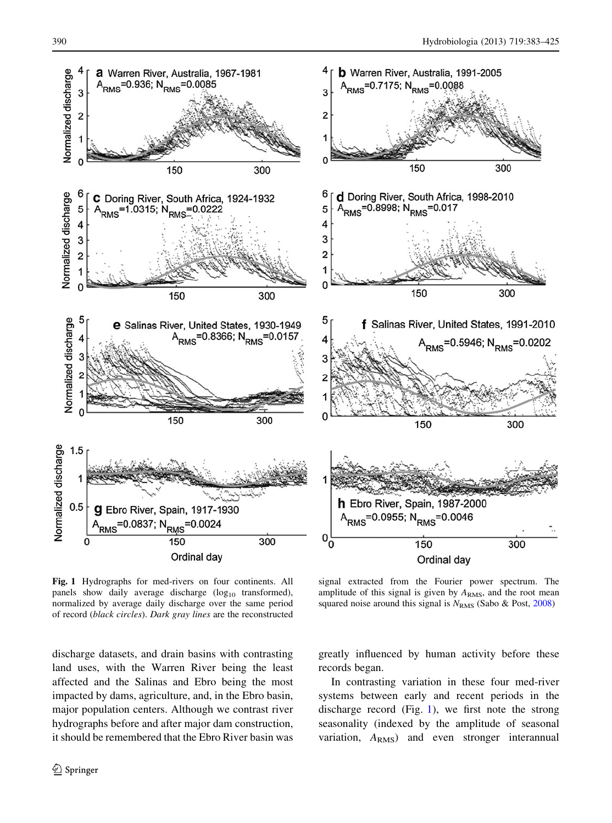<span id="page-7-0"></span>

Fig. 1 Hydrographs for med-rivers on four continents. All panels show daily average discharge (log<sub>10</sub> transformed), normalized by average daily discharge over the same period of record (black circles). Dark gray lines are the reconstructed

discharge datasets, and drain basins with contrasting land uses, with the Warren River being the least affected and the Salinas and Ebro being the most impacted by dams, agriculture, and, in the Ebro basin, major population centers. Although we contrast river hydrographs before and after major dam construction, it should be remembered that the Ebro River basin was

signal extracted from the Fourier power spectrum. The amplitude of this signal is given by  $A<sub>RMS</sub>$ , and the root mean squared noise around this signal is  $N_{\rm RMS}$  (Sabo & Post, [2008\)](#page-39-0)

greatly influenced by human activity before these records began.

In contrasting variation in these four med-river systems between early and recent periods in the discharge record (Fig. 1), we first note the strong seasonality (indexed by the amplitude of seasonal variation,  $A_{RMS}$ ) and even stronger interannual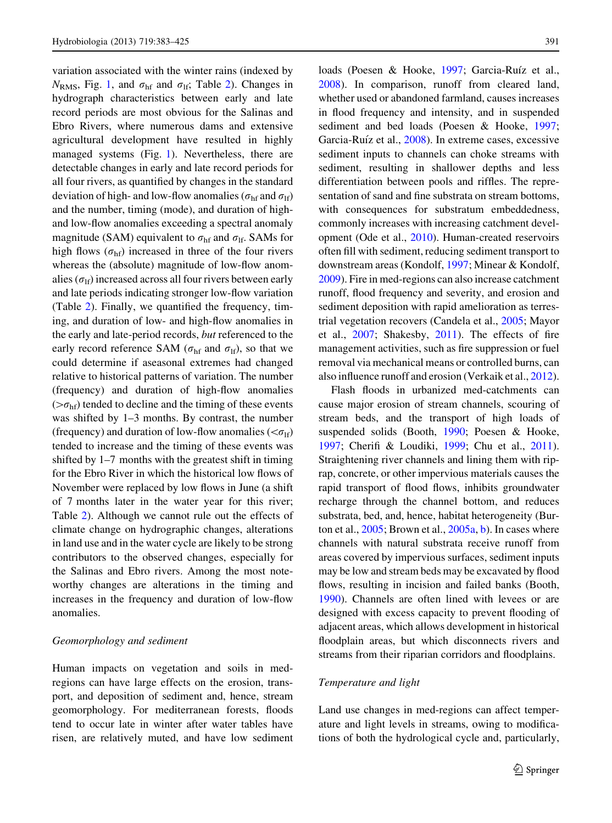variation associated with the winter rains (indexed by  $N_{RMS}$ , Fig. [1,](#page-7-0) and  $\sigma_{hf}$  and  $\sigma_{lf}$ ; Table [2](#page-6-0)). Changes in hydrograph characteristics between early and late record periods are most obvious for the Salinas and Ebro Rivers, where numerous dams and extensive agricultural development have resulted in highly managed systems (Fig. [1](#page-7-0)). Nevertheless, there are detectable changes in early and late record periods for all four rivers, as quantified by changes in the standard deviation of high- and low-flow anomalies ( $\sigma_{\text{hf}}$  and  $\sigma_{\text{lf}}$ ) and the number, timing (mode), and duration of highand low-flow anomalies exceeding a spectral anomaly magnitude (SAM) equivalent to  $\sigma_{\rm hf}$  and  $\sigma_{\rm If}$ . SAMs for high flows  $(\sigma_{\rm hf})$  increased in three of the four rivers whereas the (absolute) magnitude of low-flow anomalies ( $\sigma_{\text{lf}}$ ) increased across all four rivers between early and late periods indicating stronger low-flow variation (Table [2](#page-6-0)). Finally, we quantified the frequency, timing, and duration of low- and high-flow anomalies in the early and late-period records, but referenced to the early record reference SAM ( $\sigma_{\rm hf}$  and  $\sigma_{\rm If}$ ), so that we could determine if aseasonal extremes had changed relative to historical patterns of variation. The number (frequency) and duration of high-flow anomalies  $(>\,\sigma_{\rm hf})$  tended to decline and the timing of these events was shifted by 1–3 months. By contrast, the number (frequency) and duration of low-flow anomalies ( $\langle \sigma_{\text{lf}} \rangle$ ) tended to increase and the timing of these events was shifted by 1–7 months with the greatest shift in timing for the Ebro River in which the historical low flows of November were replaced by low flows in June (a shift of 7 months later in the water year for this river; Table [2\)](#page-6-0). Although we cannot rule out the effects of climate change on hydrographic changes, alterations in land use and in the water cycle are likely to be strong contributors to the observed changes, especially for the Salinas and Ebro rivers. Among the most noteworthy changes are alterations in the timing and increases in the frequency and duration of low-flow anomalies.

#### Geomorphology and sediment

Human impacts on vegetation and soils in medregions can have large effects on the erosion, transport, and deposition of sediment and, hence, stream geomorphology. For mediterranean forests, floods tend to occur late in winter after water tables have risen, are relatively muted, and have low sediment loads (Poesen & Hooke, [1997](#page-38-0); Garcia-Ruíz et al., [2008\)](#page-33-0). In comparison, runoff from cleared land, whether used or abandoned farmland, causes increases in flood frequency and intensity, and in suspended sediment and bed loads (Poesen & Hooke, [1997](#page-38-0); Garcia-Ruíz et al., [2008](#page-33-0)). In extreme cases, excessive sediment inputs to channels can choke streams with sediment, resulting in shallower depths and less differentiation between pools and riffles. The representation of sand and fine substrata on stream bottoms, with consequences for substratum embeddedness, commonly increases with increasing catchment development (Ode et al., [2010](#page-38-0)). Human-created reservoirs often fill with sediment, reducing sediment transport to downstream areas (Kondolf, [1997](#page-35-0); Minear & Kondolf, [2009\)](#page-37-0). Fire in med-regions can also increase catchment runoff, flood frequency and severity, and erosion and sediment deposition with rapid amelioration as terrestrial vegetation recovers (Candela et al., [2005](#page-31-0); Mayor et al., [2007](#page-36-0); Shakesby, [2011](#page-40-0)). The effects of fire management activities, such as fire suppression or fuel removal via mechanical means or controlled burns, can also influence runoff and erosion (Verkaik et al., [2012](#page-41-0)).

Flash floods in urbanized med-catchments can cause major erosion of stream channels, scouring of stream beds, and the transport of high loads of suspended solids (Booth, [1990](#page-30-0); Poesen & Hooke, [1997;](#page-38-0) Cherifi & Loudiki, [1999](#page-31-0); Chu et al., [2011](#page-31-0)). Straightening river channels and lining them with riprap, concrete, or other impervious materials causes the rapid transport of flood flows, inhibits groundwater recharge through the channel bottom, and reduces substrata, bed, and, hence, habitat heterogeneity (Burton et al., [2005](#page-30-0); Brown et al., [2005a](#page-30-0), [b\)](#page-30-0). In cases where channels with natural substrata receive runoff from areas covered by impervious surfaces, sediment inputs may be low and stream beds may be excavated by flood flows, resulting in incision and failed banks (Booth, [1990\)](#page-30-0). Channels are often lined with levees or are designed with excess capacity to prevent flooding of adjacent areas, which allows development in historical floodplain areas, but which disconnects rivers and streams from their riparian corridors and floodplains.

## Temperature and light

Land use changes in med-regions can affect temperature and light levels in streams, owing to modifications of both the hydrological cycle and, particularly,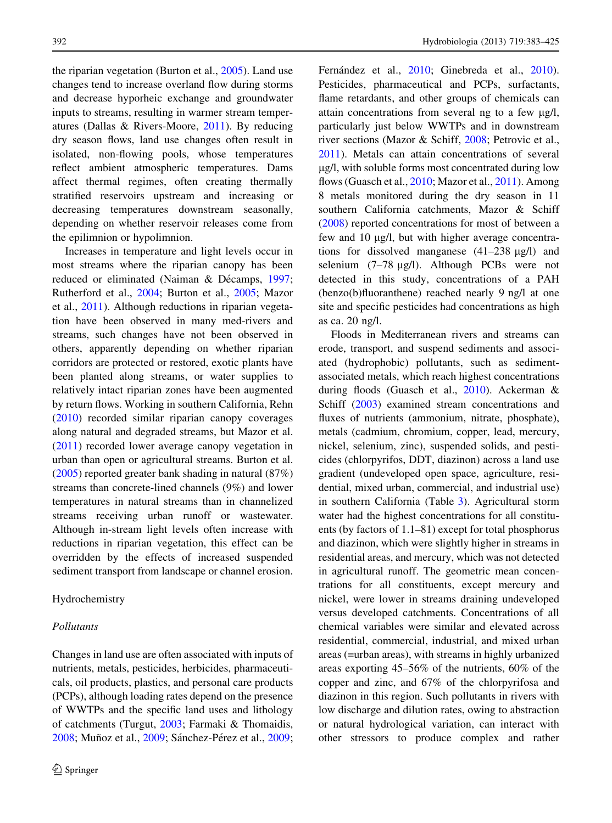the riparian vegetation (Burton et al., [2005\)](#page-30-0). Land use changes tend to increase overland flow during storms and decrease hyporheic exchange and groundwater inputs to streams, resulting in warmer stream temperatures (Dallas & Rivers-Moore, [2011\)](#page-32-0). By reducing dry season flows, land use changes often result in isolated, non-flowing pools, whose temperatures reflect ambient atmospheric temperatures. Dams affect thermal regimes, often creating thermally stratified reservoirs upstream and increasing or decreasing temperatures downstream seasonally, depending on whether reservoir releases come from the epilimnion or hypolimnion.

Increases in temperature and light levels occur in most streams where the riparian canopy has been reduced or eliminated (Naiman & Décamps, [1997](#page-37-0); Rutherford et al., [2004;](#page-39-0) Burton et al., [2005](#page-30-0); Mazor et al., [2011\)](#page-37-0). Although reductions in riparian vegetation have been observed in many med-rivers and streams, such changes have not been observed in others, apparently depending on whether riparian corridors are protected or restored, exotic plants have been planted along streams, or water supplies to relatively intact riparian zones have been augmented by return flows. Working in southern California, Rehn [\(2010](#page-38-0)) recorded similar riparian canopy coverages along natural and degraded streams, but Mazor et al. [\(2011](#page-37-0)) recorded lower average canopy vegetation in urban than open or agricultural streams. Burton et al. [\(2005](#page-30-0)) reported greater bank shading in natural (87%) streams than concrete-lined channels (9%) and lower temperatures in natural streams than in channelized streams receiving urban runoff or wastewater. Although in-stream light levels often increase with reductions in riparian vegetation, this effect can be overridden by the effects of increased suspended sediment transport from landscape or channel erosion.

## Hydrochemistry

## Pollutants

Changes in land use are often associated with inputs of nutrients, metals, pesticides, herbicides, pharmaceuticals, oil products, plastics, and personal care products (PCPs), although loading rates depend on the presence of WWTPs and the specific land uses and lithology of catchments (Turgut, [2003](#page-41-0); Farmaki & Thomaidis, [2008;](#page-32-0) Muñoz et al., [2009;](#page-37-0) Sánchez-Pérez et al., [2009](#page-40-0);

Fernández et al., [2010](#page-33-0); Ginebreda et al., 2010). Pesticides, pharmaceutical and PCPs, surfactants, flame retardants, and other groups of chemicals can attain concentrations from several ng to a few  $\mu$ g/l, particularly just below WWTPs and in downstream river sections (Mazor & Schiff, [2008](#page-36-0); Petrovic et al., [2011\)](#page-38-0). Metals can attain concentrations of several ug/l, with soluble forms most concentrated during low flows (Guasch et al., [2010;](#page-34-0) Mazor et al., [2011\)](#page-37-0). Among 8 metals monitored during the dry season in 11 southern California catchments, Mazor & Schiff [\(2008](#page-36-0)) reported concentrations for most of between a few and 10  $\mu$ g/l, but with higher average concentrations for dissolved manganese  $(41-238 \text{ µg/l})$  and selenium  $(7-78 \mu g/l)$ . Although PCBs were not detected in this study, concentrations of a PAH (benzo(b)fluoranthene) reached nearly 9 ng/l at one site and specific pesticides had concentrations as high as ca. 20 ng/l.

Floods in Mediterranean rivers and streams can erode, transport, and suspend sediments and associated (hydrophobic) pollutants, such as sedimentassociated metals, which reach highest concentrations during floods (Guasch et al., [2010](#page-34-0)). Ackerman & Schiff ([2003\)](#page-28-0) examined stream concentrations and fluxes of nutrients (ammonium, nitrate, phosphate), metals (cadmium, chromium, copper, lead, mercury, nickel, selenium, zinc), suspended solids, and pesticides (chlorpyrifos, DDT, diazinon) across a land use gradient (undeveloped open space, agriculture, residential, mixed urban, commercial, and industrial use) in southern California (Table [3\)](#page-10-0). Agricultural storm water had the highest concentrations for all constituents (by factors of 1.1–81) except for total phosphorus and diazinon, which were slightly higher in streams in residential areas, and mercury, which was not detected in agricultural runoff. The geometric mean concentrations for all constituents, except mercury and nickel, were lower in streams draining undeveloped versus developed catchments. Concentrations of all chemical variables were similar and elevated across residential, commercial, industrial, and mixed urban areas (=urban areas), with streams in highly urbanized areas exporting 45–56% of the nutrients, 60% of the copper and zinc, and 67% of the chlorpyrifosa and diazinon in this region. Such pollutants in rivers with low discharge and dilution rates, owing to abstraction or natural hydrological variation, can interact with other stressors to produce complex and rather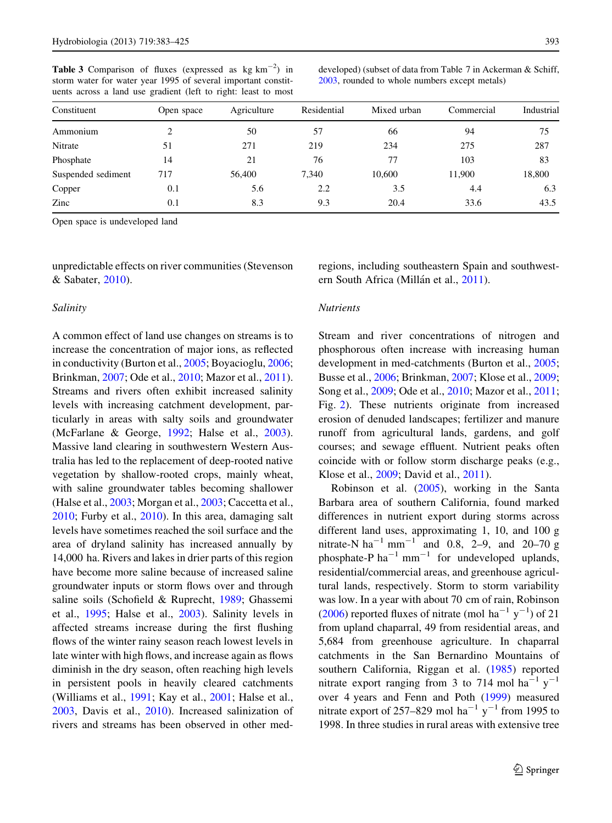<span id="page-10-0"></span>**Table 3** Comparison of fluxes (expressed as  $kg \text{ km}^{-2}$ ) in storm water for water year 1995 of several important constituents across a land use gradient (left to right: least to most developed) (subset of data from Table 7 in Ackerman & Schiff, [2003,](#page-28-0) rounded to whole numbers except metals)

| Constituent        | Open space | Agriculture | Residential | Mixed urban | Commercial | Industrial |
|--------------------|------------|-------------|-------------|-------------|------------|------------|
| Ammonium           |            | 50          | 57          | 66          | 94         | 75         |
| Nitrate            | 51         | 271         | 219         | 234         | 275        | 287        |
| Phosphate          | 14         | 21          | 76          | 77          | 103        | 83         |
| Suspended sediment | 717        | 56,400      | 7,340       | 10,600      | 11,900     | 18,800     |
| Copper             | 0.1        | 5.6         | 2.2         | 3.5         | 4.4        | 6.3        |
| Zinc               | 0.1        | 8.3         | 9.3         | 20.4        | 33.6       | 43.5       |

Open space is undeveloped land

unpredictable effects on river communities (Stevenson & Sabater, [2010\)](#page-40-0).

#### Salinity

A common effect of land use changes on streams is to increase the concentration of major ions, as reflected in conductivity (Burton et al., [2005](#page-30-0); Boyacioglu, [2006](#page-30-0); Brinkman, [2007](#page-30-0); Ode et al., [2010](#page-38-0); Mazor et al., [2011](#page-37-0)). Streams and rivers often exhibit increased salinity levels with increasing catchment development, particularly in areas with salty soils and groundwater (McFarlane & George, [1992;](#page-37-0) Halse et al., [2003](#page-34-0)). Massive land clearing in southwestern Western Australia has led to the replacement of deep-rooted native vegetation by shallow-rooted crops, mainly wheat, with saline groundwater tables becoming shallower (Halse et al., [2003](#page-34-0); Morgan et al., [2003;](#page-37-0) Caccetta et al., [2010;](#page-31-0) Furby et al., [2010](#page-33-0)). In this area, damaging salt levels have sometimes reached the soil surface and the area of dryland salinity has increased annually by 14,000 ha. Rivers and lakes in drier parts of this region have become more saline because of increased saline groundwater inputs or storm flows over and through saline soils (Schofield & Ruprecht, [1989](#page-40-0); Ghassemi et al., [1995;](#page-33-0) Halse et al., [2003\)](#page-34-0). Salinity levels in affected streams increase during the first flushing flows of the winter rainy season reach lowest levels in late winter with high flows, and increase again as flows diminish in the dry season, often reaching high levels in persistent pools in heavily cleared catchments (Williams et al., [1991;](#page-41-0) Kay et al., [2001;](#page-35-0) Halse et al., [2003,](#page-34-0) Davis et al., [2010\)](#page-32-0). Increased salinization of rivers and streams has been observed in other medregions, including southeastern Spain and southwest-ern South Africa (Millán et al., [2011\)](#page-37-0).

## Nutrients

Stream and river concentrations of nitrogen and phosphorous often increase with increasing human development in med-catchments (Burton et al., [2005](#page-30-0); Busse et al., [2006](#page-31-0); Brinkman, [2007;](#page-30-0) Klose et al., [2009](#page-35-0); Song et al., [2009;](#page-40-0) Ode et al., [2010;](#page-38-0) Mazor et al., [2011;](#page-37-0) Fig. [2\)](#page-11-0). These nutrients originate from increased erosion of denuded landscapes; fertilizer and manure runoff from agricultural lands, gardens, and golf courses; and sewage effluent. Nutrient peaks often coincide with or follow storm discharge peaks (e.g., Klose et al., [2009](#page-35-0); David et al., [2011\)](#page-32-0).

Robinson et al. ([2005\)](#page-39-0), working in the Santa Barbara area of southern California, found marked differences in nutrient export during storms across different land uses, approximating 1, 10, and 100 g nitrate-N ha<sup>-1</sup> mm<sup>-1</sup> and 0.8, 2-9, and 20-70 g phosphate-P ha<sup>-1</sup> mm<sup>-1</sup> for undeveloped uplands, residential/commercial areas, and greenhouse agricultural lands, respectively. Storm to storm variability was low. In a year with about 70 cm of rain, Robinson [\(2006](#page-39-0)) reported fluxes of nitrate (mol  $ha^{-1}y^{-1}$ ) of 21 from upland chaparral, 49 from residential areas, and 5,684 from greenhouse agriculture. In chaparral catchments in the San Bernardino Mountains of southern California, Riggan et al. [\(1985](#page-39-0)) reported nitrate export ranging from 3 to 714 mol  $ha^{-1}y^{-1}$ over 4 years and Fenn and Poth [\(1999](#page-33-0)) measured nitrate export of 257–829 mol ha<sup>-1</sup> y<sup>-1</sup> from 1995 to 1998. In three studies in rural areas with extensive tree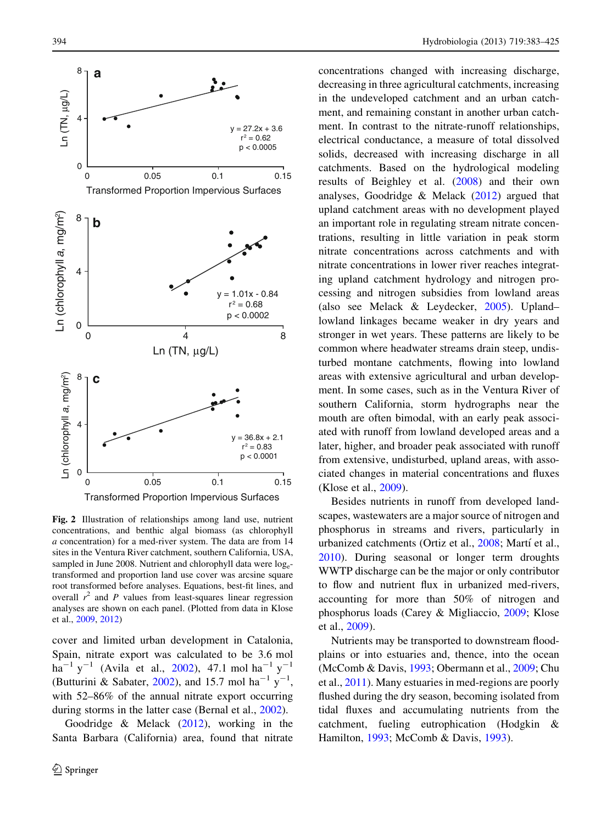<span id="page-11-0"></span>

Fig. 2 Illustration of relationships among land use, nutrient concentrations, and benthic algal biomass (as chlorophyll a concentration) for a med-river system. The data are from 14 sites in the Ventura River catchment, southern California, USA, sampled in June 2008. Nutrient and chlorophyll data were log<sub>e</sub>transformed and proportion land use cover was arcsine square root transformed before analyses. Equations, best-fit lines, and overall  $r^2$  and P values from least-squares linear regression analyses are shown on each panel. (Plotted from data in Klose et al., [2009](#page-35-0), [2012](#page-35-0))

cover and limited urban development in Catalonia, Spain, nitrate export was calculated to be 3.6 mol  $ha^{-1}y^{-1}$  (Avila et al., [2002\)](#page-29-0), 47.1 mol  $ha^{-1}y^{-1}$ (Butturini & Sabater, [2002](#page-31-0)), and 15.7 mol ha<sup>-1</sup> y<sup>-1</sup>, with 52–86% of the annual nitrate export occurring during storms in the latter case (Bernal et al., [2002](#page-29-0)).

Goodridge & Melack ([2012](#page-33-0)), working in the Santa Barbara (California) area, found that nitrate concentrations changed with increasing discharge, decreasing in three agricultural catchments, increasing in the undeveloped catchment and an urban catchment, and remaining constant in another urban catchment. In contrast to the nitrate-runoff relationships, electrical conductance, a measure of total dissolved solids, decreased with increasing discharge in all catchments. Based on the hydrological modeling results of Beighley et al. ([2008\)](#page-29-0) and their own analyses, Goodridge & Melack ([2012\)](#page-33-0) argued that upland catchment areas with no development played an important role in regulating stream nitrate concentrations, resulting in little variation in peak storm nitrate concentrations across catchments and with nitrate concentrations in lower river reaches integrating upland catchment hydrology and nitrogen processing and nitrogen subsidies from lowland areas (also see Melack & Leydecker, [2005](#page-37-0)). Upland– lowland linkages became weaker in dry years and stronger in wet years. These patterns are likely to be common where headwater streams drain steep, undisturbed montane catchments, flowing into lowland areas with extensive agricultural and urban development. In some cases, such as in the Ventura River of southern California, storm hydrographs near the mouth are often bimodal, with an early peak associated with runoff from lowland developed areas and a later, higher, and broader peak associated with runoff from extensive, undisturbed, upland areas, with associated changes in material concentrations and fluxes (Klose et al., [2009](#page-35-0)).

Besides nutrients in runoff from developed landscapes, wastewaters are a major source of nitrogen and phosphorus in streams and rivers, particularly in urbanized catchments (Ortiz et al., [2008](#page-38-0); Martí et al., [2010\)](#page-36-0). During seasonal or longer term droughts WWTP discharge can be the major or only contributor to flow and nutrient flux in urbanized med-rivers, accounting for more than 50% of nitrogen and phosphorus loads (Carey & Migliaccio, [2009;](#page-31-0) Klose et al., [2009\)](#page-35-0).

Nutrients may be transported to downstream floodplains or into estuaries and, thence, into the ocean (McComb & Davis, [1993;](#page-37-0) Obermann et al., [2009;](#page-37-0) Chu et al., [2011](#page-31-0)). Many estuaries in med-regions are poorly flushed during the dry season, becoming isolated from tidal fluxes and accumulating nutrients from the catchment, fueling eutrophication (Hodgkin & Hamilton, [1993;](#page-34-0) McComb & Davis, [1993](#page-37-0)).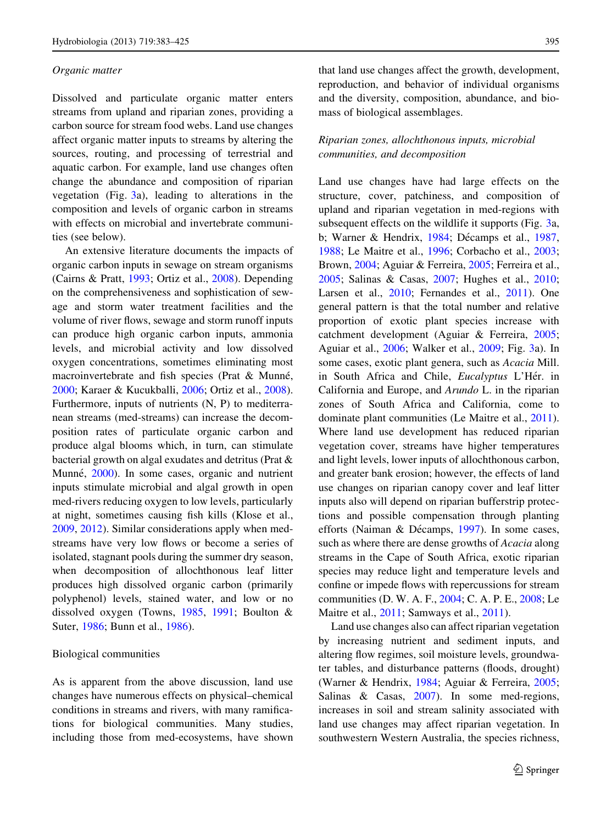## Organic matter

Dissolved and particulate organic matter enters streams from upland and riparian zones, providing a carbon source for stream food webs. Land use changes affect organic matter inputs to streams by altering the sources, routing, and processing of terrestrial and aquatic carbon. For example, land use changes often change the abundance and composition of riparian vegetation (Fig. [3](#page-13-0)a), leading to alterations in the composition and levels of organic carbon in streams with effects on microbial and invertebrate communities (see below).

An extensive literature documents the impacts of organic carbon inputs in sewage on stream organisms (Cairns & Pratt, [1993](#page-31-0); Ortiz et al., [2008](#page-38-0)). Depending on the comprehensiveness and sophistication of sewage and storm water treatment facilities and the volume of river flows, sewage and storm runoff inputs can produce high organic carbon inputs, ammonia levels, and microbial activity and low dissolved oxygen concentrations, sometimes eliminating most macroinvertebrate and fish species (Prat & Munné, [2000;](#page-38-0) Karaer & Kucukballi, [2006](#page-35-0); Ortiz et al., [2008](#page-38-0)). Furthermore, inputs of nutrients (N, P) to mediterranean streams (med-streams) can increase the decomposition rates of particulate organic carbon and produce algal blooms which, in turn, can stimulate bacterial growth on algal exudates and detritus (Prat & Munné, [2000\)](#page-38-0). In some cases, organic and nutrient inputs stimulate microbial and algal growth in open med-rivers reducing oxygen to low levels, particularly at night, sometimes causing fish kills (Klose et al., [2009,](#page-35-0) [2012\)](#page-35-0). Similar considerations apply when medstreams have very low flows or become a series of isolated, stagnant pools during the summer dry season, when decomposition of allochthonous leaf litter produces high dissolved organic carbon (primarily polyphenol) levels, stained water, and low or no dissolved oxygen (Towns, [1985,](#page-41-0) [1991](#page-41-0); Boulton & Suter, [1986](#page-30-0); Bunn et al., [1986](#page-30-0)).

## Biological communities

As is apparent from the above discussion, land use changes have numerous effects on physical–chemical conditions in streams and rivers, with many ramifications for biological communities. Many studies, including those from med-ecosystems, have shown that land use changes affect the growth, development, reproduction, and behavior of individual organisms and the diversity, composition, abundance, and biomass of biological assemblages.

# Riparian zones, allochthonous inputs, microbial communities, and decomposition

Land use changes have had large effects on the structure, cover, patchiness, and composition of upland and riparian vegetation in med-regions with subsequent effects on the wildlife it supports (Fig. [3](#page-13-0)a, b; Warner & Hendrix,  $1984$ ; Décamps et al.,  $1987$ , [1988;](#page-32-0) Le Maitre et al., [1996](#page-36-0); Corbacho et al., [2003](#page-31-0); Brown, [2004;](#page-30-0) Aguiar & Ferreira, [2005](#page-28-0); Ferreira et al., [2005;](#page-33-0) Salinas & Casas, [2007](#page-39-0); Hughes et al., [2010](#page-34-0); Larsen et al., [2010;](#page-35-0) Fernandes et al., [2011](#page-33-0)). One general pattern is that the total number and relative proportion of exotic plant species increase with catchment development (Aguiar & Ferreira, [2005](#page-28-0); Aguiar et al., [2006](#page-28-0); Walker et al., [2009;](#page-41-0) Fig. [3](#page-13-0)a). In some cases, exotic plant genera, such as Acacia Mill. in South Africa and Chile, Eucalyptus L'Hér. in California and Europe, and Arundo L. in the riparian zones of South Africa and California, come to dominate plant communities (Le Maitre et al., [2011](#page-36-0)). Where land use development has reduced riparian vegetation cover, streams have higher temperatures and light levels, lower inputs of allochthonous carbon, and greater bank erosion; however, the effects of land use changes on riparian canopy cover and leaf litter inputs also will depend on riparian bufferstrip protections and possible compensation through planting efforts (Naiman & Décamps, [1997\)](#page-37-0). In some cases, such as where there are dense growths of Acacia along streams in the Cape of South Africa, exotic riparian species may reduce light and temperature levels and confine or impede flows with repercussions for stream communities (D. W. A. F., [2004;](#page-32-0) C. A. P. E., [2008;](#page-31-0) Le Maitre et al., [2011](#page-36-0); Samways et al., [2011](#page-40-0)).

Land use changes also can affect riparian vegetation by increasing nutrient and sediment inputs, and altering flow regimes, soil moisture levels, groundwater tables, and disturbance patterns (floods, drought) (Warner & Hendrix, [1984](#page-41-0); Aguiar & Ferreira, [2005](#page-28-0); Salinas & Casas, [2007\)](#page-39-0). In some med-regions, increases in soil and stream salinity associated with land use changes may affect riparian vegetation. In southwestern Western Australia, the species richness,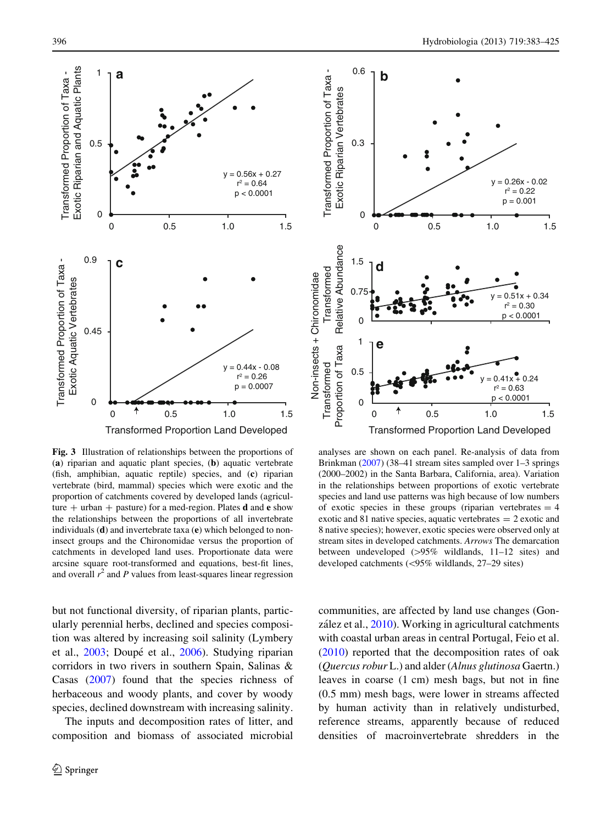<span id="page-13-0"></span>



Fig. 3 Illustration of relationships between the proportions of (a) riparian and aquatic plant species, (b) aquatic vertebrate (fish, amphibian, aquatic reptile) species, and (c) riparian vertebrate (bird, mammal) species which were exotic and the proportion of catchments covered by developed lands (agriculture  $+$  urban  $+$  pasture) for a med-region. Plates **d** and **e** show the relationships between the proportions of all invertebrate individuals (d) and invertebrate taxa (e) which belonged to noninsect groups and the Chironomidae versus the proportion of catchments in developed land uses. Proportionate data were arcsine square root-transformed and equations, best-fit lines, and overall  $r^2$  and P values from least-squares linear regression

but not functional diversity, of riparian plants, particularly perennial herbs, declined and species composition was altered by increasing soil salinity (Lymbery et al., [2003;](#page-36-0) Doupé et al., [2006\)](#page-32-0). Studying riparian corridors in two rivers in southern Spain, Salinas & Casas ([2007\)](#page-39-0) found that the species richness of herbaceous and woody plants, and cover by woody species, declined downstream with increasing salinity.

The inputs and decomposition rates of litter, and composition and biomass of associated microbial

analyses are shown on each panel. Re-analysis of data from Brinkman ([2007\)](#page-30-0) (38–41 stream sites sampled over 1–3 springs (2000–2002) in the Santa Barbara, California, area). Variation in the relationships between proportions of exotic vertebrate species and land use patterns was high because of low numbers of exotic species in these groups (riparian vertebrates  $= 4$ exotic and 81 native species, aquatic vertebrates = 2 exotic and 8 native species); however, exotic species were observed only at stream sites in developed catchments. Arrows The demarcation between undeveloped  $(>95\%$  wildlands,  $11-12$  sites) and developed catchments (\95% wildlands, 27–29 sites)

communities, are affected by land use changes (Gon-zález et al., [2010](#page-33-0)). Working in agricultural catchments with coastal urban areas in central Portugal, Feio et al. [\(2010](#page-32-0)) reported that the decomposition rates of oak (Quercus robur L.) and alder (Alnus glutinosa Gaertn.) leaves in coarse (1 cm) mesh bags, but not in fine (0.5 mm) mesh bags, were lower in streams affected by human activity than in relatively undisturbed, reference streams, apparently because of reduced densities of macroinvertebrate shredders in the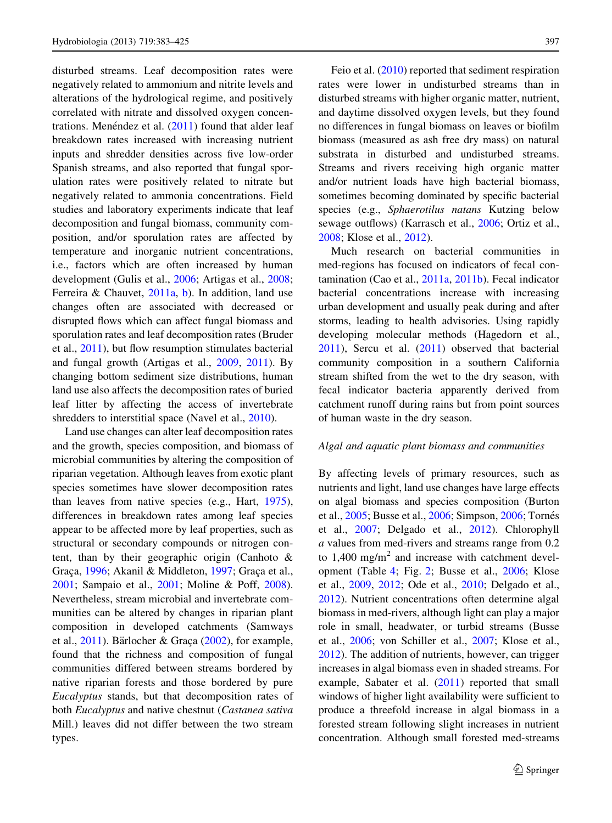disturbed streams. Leaf decomposition rates were negatively related to ammonium and nitrite levels and alterations of the hydrological regime, and positively correlated with nitrate and dissolved oxygen concentrations. Menéndez et al.  $(2011)$  $(2011)$  found that alder leaf breakdown rates increased with increasing nutrient inputs and shredder densities across five low-order Spanish streams, and also reported that fungal sporulation rates were positively related to nitrate but negatively related to ammonia concentrations. Field studies and laboratory experiments indicate that leaf decomposition and fungal biomass, community composition, and/or sporulation rates are affected by temperature and inorganic nutrient concentrations, i.e., factors which are often increased by human development (Gulis et al., [2006](#page-34-0); Artigas et al., [2008](#page-29-0); Ferreira & Chauvet, [2011a](#page-33-0), [b](#page-33-0)). In addition, land use changes often are associated with decreased or disrupted flows which can affect fungal biomass and sporulation rates and leaf decomposition rates (Bruder et al., [2011\)](#page-30-0), but flow resumption stimulates bacterial and fungal growth (Artigas et al., [2009,](#page-29-0) [2011](#page-29-0)). By changing bottom sediment size distributions, human land use also affects the decomposition rates of buried leaf litter by affecting the access of invertebrate shredders to interstitial space (Navel et al., [2010](#page-37-0)).

Land use changes can alter leaf decomposition rates and the growth, species composition, and biomass of microbial communities by altering the composition of riparian vegetation. Although leaves from exotic plant species sometimes have slower decomposition rates than leaves from native species (e.g., Hart, [1975](#page-34-0)), differences in breakdown rates among leaf species appear to be affected more by leaf properties, such as structural or secondary compounds or nitrogen content, than by their geographic origin (Canhoto & Graça, [1996;](#page-31-0) Akanil & Middleton, [1997](#page-28-0); Graça et al., [2001;](#page-34-0) Sampaio et al., [2001;](#page-39-0) Moline & Poff, [2008](#page-37-0)). Nevertheless, stream microbial and invertebrate communities can be altered by changes in riparian plant composition in developed catchments (Samways et al.,  $2011$ ). Bärlocher & Graça ( $2002$ ), for example, found that the richness and composition of fungal communities differed between streams bordered by native riparian forests and those bordered by pure Eucalyptus stands, but that decomposition rates of both Eucalyptus and native chestnut (Castanea sativa Mill.) leaves did not differ between the two stream types.

Feio et al. ([2010\)](#page-32-0) reported that sediment respiration rates were lower in undisturbed streams than in disturbed streams with higher organic matter, nutrient, and daytime dissolved oxygen levels, but they found no differences in fungal biomass on leaves or biofilm biomass (measured as ash free dry mass) on natural substrata in disturbed and undisturbed streams. Streams and rivers receiving high organic matter and/or nutrient loads have high bacterial biomass, sometimes becoming dominated by specific bacterial species (e.g., Sphaerotilus natans Kutzing below sewage outflows) (Karrasch et al., [2006](#page-35-0); Ortiz et al., [2008;](#page-38-0) Klose et al., [2012\)](#page-35-0).

Much research on bacterial communities in med-regions has focused on indicators of fecal contamination (Cao et al., [2011a,](#page-31-0) [2011b\)](#page-31-0). Fecal indicator bacterial concentrations increase with increasing urban development and usually peak during and after storms, leading to health advisories. Using rapidly developing molecular methods (Hagedorn et al., [2011\)](#page-34-0), Sercu et al. [\(2011](#page-40-0)) observed that bacterial community composition in a southern California stream shifted from the wet to the dry season, with fecal indicator bacteria apparently derived from catchment runoff during rains but from point sources of human waste in the dry season.

#### Algal and aquatic plant biomass and communities

By affecting levels of primary resources, such as nutrients and light, land use changes have large effects on algal biomass and species composition (Burton et al., [2005;](#page-30-0) Busse et al., [2006](#page-31-0); Simpson, [2006;](#page-40-0) Tornés et al., [2007](#page-41-0); Delgado et al., [2012\)](#page-32-0). Chlorophyll a values from med-rivers and streams range from 0.2 to  $1,400 \text{ mg/m}^2$  and increase with catchment development (Table [4;](#page-15-0) Fig. [2](#page-11-0); Busse et al., [2006;](#page-31-0) Klose et al., [2009](#page-35-0), [2012](#page-35-0); Ode et al., [2010;](#page-38-0) Delgado et al., [2012\)](#page-32-0). Nutrient concentrations often determine algal biomass in med-rivers, although light can play a major role in small, headwater, or turbid streams (Busse et al., [2006;](#page-31-0) von Schiller et al., [2007](#page-41-0); Klose et al., [2012\)](#page-35-0). The addition of nutrients, however, can trigger increases in algal biomass even in shaded streams. For example, Sabater et al. ([2011\)](#page-39-0) reported that small windows of higher light availability were sufficient to produce a threefold increase in algal biomass in a forested stream following slight increases in nutrient concentration. Although small forested med-streams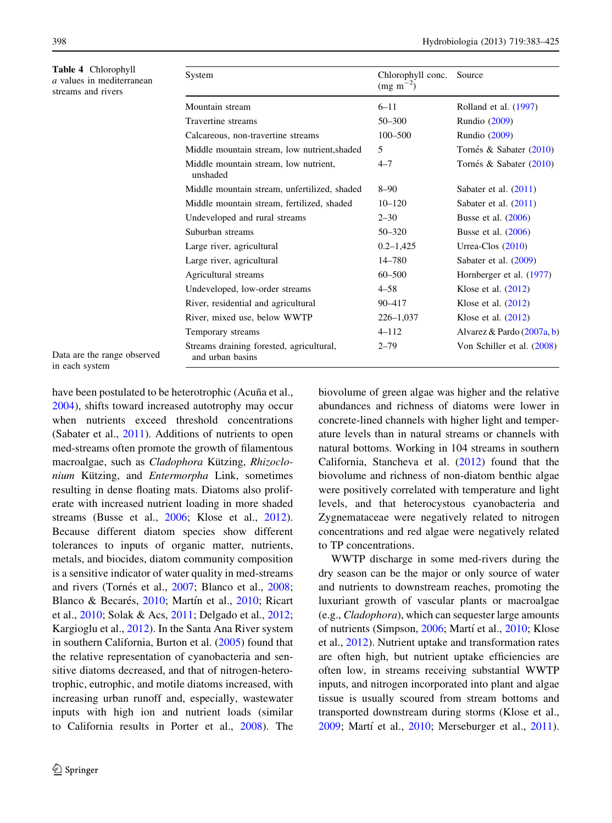<span id="page-15-0"></span>Table 4 Chlorophyll a values in mediterranean streams and rivers

| System                                                       | Chlorophyll conc.<br>$(mg \; m^{-2})$ | Source                       |
|--------------------------------------------------------------|---------------------------------------|------------------------------|
| Mountain stream                                              | $6 - 11$                              | Rolland et al. (1997)        |
| Travertine streams                                           | 50-300                                | Rundio (2009)                |
| Calcareous, non-travertine streams                           | $100 - 500$                           | Rundio (2009)                |
| Middle mountain stream, low nutrient, shaded                 | 5                                     | Tornés & Sabater (2010)      |
| Middle mountain stream, low nutrient,<br>unshaded            | $4 - 7$                               | Tornés & Sabater (2010)      |
| Middle mountain stream, unfertilized, shaded                 | $8 - 90$                              | Sabater et al. $(2011)$      |
| Middle mountain stream, fertilized, shaded                   | $10 - 120$                            | Sabater et al. $(2011)$      |
| Undeveloped and rural streams                                | $2 - 30$                              | Busse et al. $(2006)$        |
| Suburban streams                                             | 50-320                                | Busse et al. $(2006)$        |
| Large river, agricultural                                    | $0.2 - 1,425$                         | Urrea-Clos $(2010)$          |
| Large river, agricultural                                    | 14-780                                | Sabater et al. $(2009)$      |
| Agricultural streams                                         | 60-500                                | Hornberger et al. (1977)     |
| Undeveloped, low-order streams                               | $4 - 58$                              | Klose et al. (2012)          |
| River, residential and agricultural                          | 90-417                                | Klose et al. $(2012)$        |
| River, mixed use, below WWTP                                 | $226 - 1,037$                         | Klose et al. $(2012)$        |
| Temporary streams                                            | $4 - 112$                             | Alvarez & Pardo $(2007a, b)$ |
| Streams draining forested, agricultural,<br>and urban basins | $2 - 79$                              | Von Schiller et al. (2008)   |

Data are the range observed in each system

have been postulated to be heterotrophic (Acuña et al., [2004\)](#page-28-0), shifts toward increased autotrophy may occur when nutrients exceed threshold concentrations (Sabater et al., [2011\)](#page-39-0). Additions of nutrients to open med-streams often promote the growth of filamentous macroalgae, such as Cladophora Kützing, Rhizoclonium Kützing, and Entermorpha Link, sometimes resulting in dense floating mats. Diatoms also proliferate with increased nutrient loading in more shaded streams (Busse et al., [2006](#page-31-0); Klose et al., [2012](#page-35-0)). Because different diatom species show different tolerances to inputs of organic matter, nutrients, metals, and biocides, diatom community composition is a sensitive indicator of water quality in med-streams and rivers (Tornés et al., [2007;](#page-41-0) Blanco et al., [2008](#page-30-0); Blanco & Becarés, [2010;](#page-30-0) Martín et al., [2010](#page-36-0); Ricart et al., [2010](#page-39-0); Solak & Acs, [2011;](#page-40-0) Delgado et al., [2012](#page-32-0); Kargioglu et al., [2012\)](#page-35-0). In the Santa Ana River system in southern California, Burton et al. [\(2005](#page-30-0)) found that the relative representation of cyanobacteria and sensitive diatoms decreased, and that of nitrogen-heterotrophic, eutrophic, and motile diatoms increased, with increasing urban runoff and, especially, wastewater inputs with high ion and nutrient loads (similar to California results in Porter et al., [2008\)](#page-38-0). The

biovolume of green algae was higher and the relative abundances and richness of diatoms were lower in concrete-lined channels with higher light and temperature levels than in natural streams or channels with natural bottoms. Working in 104 streams in southern California, Stancheva et al. ([2012\)](#page-40-0) found that the biovolume and richness of non-diatom benthic algae were positively correlated with temperature and light levels, and that heterocystous cyanobacteria and Zygnemataceae were negatively related to nitrogen concentrations and red algae were negatively related to TP concentrations.

WWTP discharge in some med-rivers during the dry season can be the major or only source of water and nutrients to downstream reaches, promoting the luxuriant growth of vascular plants or macroalgae (e.g., Cladophora), which can sequester large amounts of nutrients (Simpson, [2006;](#page-40-0) Martí et al., [2010;](#page-36-0) Klose et al., [2012](#page-35-0)). Nutrient uptake and transformation rates are often high, but nutrient uptake efficiencies are often low, in streams receiving substantial WWTP inputs, and nitrogen incorporated into plant and algae tissue is usually scoured from stream bottoms and transported downstream during storms (Klose et al., [2009;](#page-35-0) Martí et al., [2010](#page-36-0); Merseburger et al., [2011](#page-37-0)).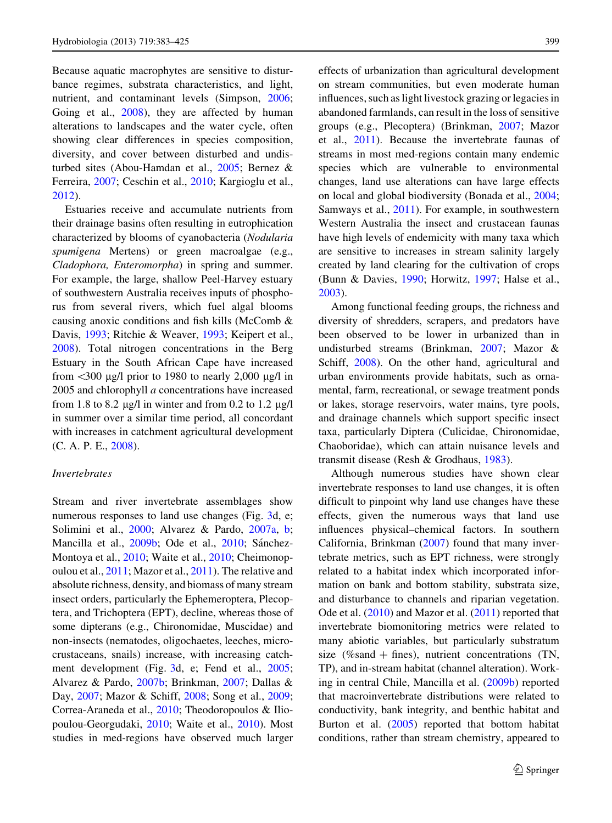Because aquatic macrophytes are sensitive to disturbance regimes, substrata characteristics, and light, nutrient, and contaminant levels (Simpson, [2006](#page-40-0); Going et al., [2008\)](#page-33-0), they are affected by human alterations to landscapes and the water cycle, often showing clear differences in species composition, diversity, and cover between disturbed and undisturbed sites (Abou-Hamdan et al., [2005](#page-28-0); Bernez & Ferreira, [2007;](#page-29-0) Ceschin et al., [2010](#page-31-0); Kargioglu et al., [2012\)](#page-35-0).

Estuaries receive and accumulate nutrients from their drainage basins often resulting in eutrophication characterized by blooms of cyanobacteria (Nodularia spumigena Mertens) or green macroalgae (e.g., Cladophora, Enteromorpha) in spring and summer. For example, the large, shallow Peel-Harvey estuary of southwestern Australia receives inputs of phosphorus from several rivers, which fuel algal blooms causing anoxic conditions and fish kills (McComb & Davis, [1993;](#page-37-0) Ritchie & Weaver, [1993;](#page-39-0) Keipert et al., [2008\)](#page-35-0). Total nitrogen concentrations in the Berg Estuary in the South African Cape have increased from  $\langle 300 \rangle$  µg/l prior to 1980 to nearly 2,000 µg/l in 2005 and chlorophyll a concentrations have increased from 1.8 to 8.2  $\mu$ g/l in winter and from 0.2 to 1.2  $\mu$ g/l in summer over a similar time period, all concordant with increases in catchment agricultural development (C. A. P. E., [2008](#page-31-0)).

## Invertebrates

Stream and river invertebrate assemblages show numerous responses to land use changes (Fig. [3d](#page-13-0), e; Solimini et al., [2000](#page-40-0); Alvarez & Pardo, [2007a](#page-28-0), [b](#page-29-0); Mancilla et al., [2009b;](#page-36-0) Ode et al., [2010](#page-38-0); Sánchez-Montoya et al., [2010](#page-40-0); Waite et al., [2010;](#page-41-0) Cheimonopoulou et al., [2011;](#page-31-0) Mazor et al., [2011\)](#page-37-0). The relative and absolute richness, density, and biomass of many stream insect orders, particularly the Ephemeroptera, Plecoptera, and Trichoptera (EPT), decline, whereas those of some dipterans (e.g., Chironomidae, Muscidae) and non-insects (nematodes, oligochaetes, leeches, microcrustaceans, snails) increase, with increasing catchment development (Fig. [3](#page-13-0)d, e; Fend et al., [2005](#page-33-0); Alvarez & Pardo, [2007b](#page-29-0); Brinkman, [2007](#page-30-0); Dallas & Day, [2007;](#page-32-0) Mazor & Schiff, [2008;](#page-36-0) Song et al., [2009](#page-40-0); Correa-Araneda et al., [2010;](#page-32-0) Theodoropoulos & Iliopoulou-Georgudaki, [2010](#page-41-0); Waite et al., [2010](#page-41-0)). Most studies in med-regions have observed much larger

effects of urbanization than agricultural development on stream communities, but even moderate human influences, such as light livestock grazing or legacies in abandoned farmlands, can result in the loss of sensitive groups (e.g., Plecoptera) (Brinkman, [2007;](#page-30-0) Mazor et al., [2011](#page-37-0)). Because the invertebrate faunas of streams in most med-regions contain many endemic species which are vulnerable to environmental changes, land use alterations can have large effects on local and global biodiversity (Bonada et al., [2004](#page-30-0); Samways et al., [2011\)](#page-40-0). For example, in southwestern Western Australia the insect and crustacean faunas have high levels of endemicity with many taxa which are sensitive to increases in stream salinity largely created by land clearing for the cultivation of crops (Bunn & Davies, [1990;](#page-30-0) Horwitz, [1997](#page-34-0); Halse et al., [2003\)](#page-34-0).

Among functional feeding groups, the richness and diversity of shredders, scrapers, and predators have been observed to be lower in urbanized than in undisturbed streams (Brinkman, [2007;](#page-30-0) Mazor & Schiff, [2008\)](#page-36-0). On the other hand, agricultural and urban environments provide habitats, such as ornamental, farm, recreational, or sewage treatment ponds or lakes, storage reservoirs, water mains, tyre pools, and drainage channels which support specific insect taxa, particularly Diptera (Culicidae, Chironomidae, Chaoboridae), which can attain nuisance levels and transmit disease (Resh & Grodhaus, [1983\)](#page-38-0).

Although numerous studies have shown clear invertebrate responses to land use changes, it is often difficult to pinpoint why land use changes have these effects, given the numerous ways that land use influences physical–chemical factors. In southern California, Brinkman [\(2007](#page-30-0)) found that many invertebrate metrics, such as EPT richness, were strongly related to a habitat index which incorporated information on bank and bottom stability, substrata size, and disturbance to channels and riparian vegetation. Ode et al. ([2010\)](#page-38-0) and Mazor et al. [\(2011](#page-37-0)) reported that invertebrate biomonitoring metrics were related to many abiotic variables, but particularly substratum size (%sand  $+$  fines), nutrient concentrations (TN, TP), and in-stream habitat (channel alteration). Working in central Chile, Mancilla et al. [\(2009b](#page-36-0)) reported that macroinvertebrate distributions were related to conductivity, bank integrity, and benthic habitat and Burton et al. [\(2005](#page-30-0)) reported that bottom habitat conditions, rather than stream chemistry, appeared to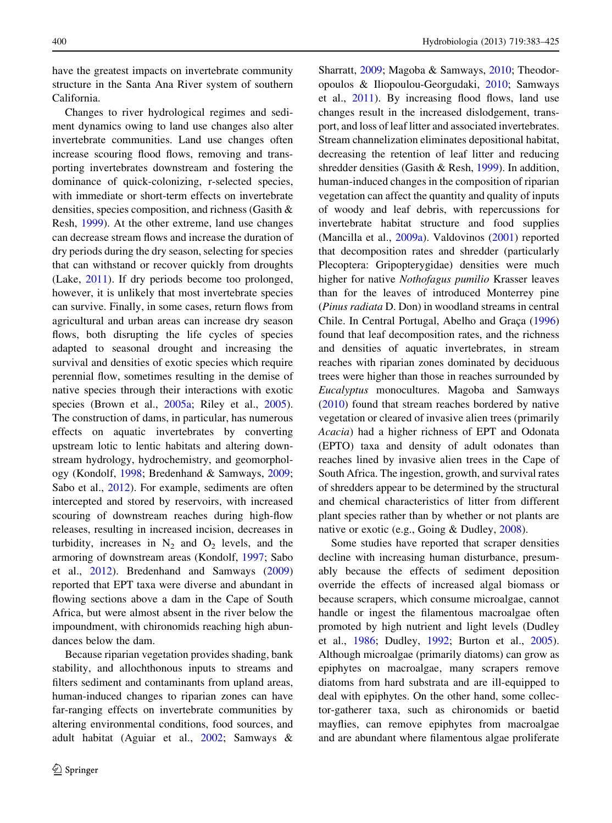have the greatest impacts on invertebrate community structure in the Santa Ana River system of southern California.

Changes to river hydrological regimes and sediment dynamics owing to land use changes also alter invertebrate communities. Land use changes often increase scouring flood flows, removing and transporting invertebrates downstream and fostering the dominance of quick-colonizing, r-selected species, with immediate or short-term effects on invertebrate densities, species composition, and richness (Gasith & Resh, [1999\)](#page-33-0). At the other extreme, land use changes can decrease stream flows and increase the duration of dry periods during the dry season, selecting for species that can withstand or recover quickly from droughts (Lake, [2011\)](#page-35-0). If dry periods become too prolonged, however, it is unlikely that most invertebrate species can survive. Finally, in some cases, return flows from agricultural and urban areas can increase dry season flows, both disrupting the life cycles of species adapted to seasonal drought and increasing the survival and densities of exotic species which require perennial flow, sometimes resulting in the demise of native species through their interactions with exotic species (Brown et al., [2005a](#page-30-0); Riley et al., [2005](#page-39-0)). The construction of dams, in particular, has numerous effects on aquatic invertebrates by converting upstream lotic to lentic habitats and altering downstream hydrology, hydrochemistry, and geomorphology (Kondolf, [1998](#page-35-0); Bredenhand & Samways, [2009](#page-30-0); Sabo et al., [2012](#page-39-0)). For example, sediments are often intercepted and stored by reservoirs, with increased scouring of downstream reaches during high-flow releases, resulting in increased incision, decreases in turbidity, increases in  $N_2$  and  $O_2$  levels, and the armoring of downstream areas (Kondolf, [1997](#page-35-0); Sabo et al., [2012](#page-39-0)). Bredenhand and Samways ([2009\)](#page-30-0) reported that EPT taxa were diverse and abundant in flowing sections above a dam in the Cape of South Africa, but were almost absent in the river below the impoundment, with chironomids reaching high abundances below the dam.

Because riparian vegetation provides shading, bank stability, and allochthonous inputs to streams and filters sediment and contaminants from upland areas, human-induced changes to riparian zones can have far-ranging effects on invertebrate communities by altering environmental conditions, food sources, and adult habitat (Aguiar et al., [2002](#page-28-0); Samways & Sharratt, [2009;](#page-40-0) Magoba & Samways, [2010](#page-36-0); Theodoropoulos & Iliopoulou-Georgudaki, [2010](#page-41-0); Samways et al., [2011\)](#page-40-0). By increasing flood flows, land use changes result in the increased dislodgement, transport, and loss of leaf litter and associated invertebrates. Stream channelization eliminates depositional habitat, decreasing the retention of leaf litter and reducing shredder densities (Gasith & Resh, [1999](#page-33-0)). In addition, human-induced changes in the composition of riparian vegetation can affect the quantity and quality of inputs of woody and leaf debris, with repercussions for invertebrate habitat structure and food supplies (Mancilla et al., [2009a](#page-36-0)). Valdovinos [\(2001](#page-41-0)) reported that decomposition rates and shredder (particularly Plecoptera: Gripopterygidae) densities were much higher for native Nothofagus pumilio Krasser leaves than for the leaves of introduced Monterrey pine (Pinus radiata D. Don) in woodland streams in central Chile. In Central Portugal, Abelho and Graça ([1996\)](#page-28-0) found that leaf decomposition rates, and the richness and densities of aquatic invertebrates, in stream reaches with riparian zones dominated by deciduous trees were higher than those in reaches surrounded by Eucalyptus monocultures. Magoba and Samways [\(2010](#page-36-0)) found that stream reaches bordered by native vegetation or cleared of invasive alien trees (primarily Acacia) had a higher richness of EPT and Odonata (EPTO) taxa and density of adult odonates than reaches lined by invasive alien trees in the Cape of South Africa. The ingestion, growth, and survival rates of shredders appear to be determined by the structural and chemical characteristics of litter from different plant species rather than by whether or not plants are native or exotic (e.g., Going & Dudley, [2008\)](#page-33-0).

Some studies have reported that scraper densities decline with increasing human disturbance, presumably because the effects of sediment deposition override the effects of increased algal biomass or because scrapers, which consume microalgae, cannot handle or ingest the filamentous macroalgae often promoted by high nutrient and light levels (Dudley et al., [1986;](#page-32-0) Dudley, [1992;](#page-32-0) Burton et al., [2005](#page-30-0)). Although microalgae (primarily diatoms) can grow as epiphytes on macroalgae, many scrapers remove diatoms from hard substrata and are ill-equipped to deal with epiphytes. On the other hand, some collector-gatherer taxa, such as chironomids or baetid mayflies, can remove epiphytes from macroalgae and are abundant where filamentous algae proliferate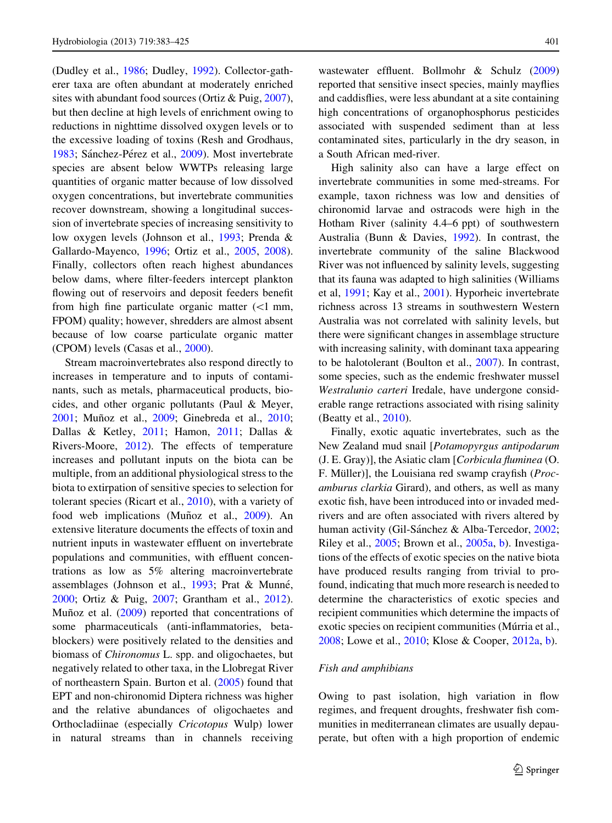(Dudley et al., [1986;](#page-32-0) Dudley, [1992\)](#page-32-0). Collector-gatherer taxa are often abundant at moderately enriched sites with abundant food sources (Ortiz & Puig, [2007](#page-38-0)), but then decline at high levels of enrichment owing to reductions in nighttime dissolved oxygen levels or to the excessive loading of toxins (Resh and Grodhaus, [1983;](#page-38-0) Sánchez-Pérez et al., [2009](#page-40-0)). Most invertebrate species are absent below WWTPs releasing large quantities of organic matter because of low dissolved oxygen concentrations, but invertebrate communities recover downstream, showing a longitudinal succession of invertebrate species of increasing sensitivity to low oxygen levels (Johnson et al., [1993](#page-35-0); Prenda & Gallardo-Mayenco, [1996](#page-38-0); Ortiz et al., [2005,](#page-38-0) [2008](#page-38-0)). Finally, collectors often reach highest abundances below dams, where filter-feeders intercept plankton flowing out of reservoirs and deposit feeders benefit from high fine particulate organic matter  $\ll 1$  mm, FPOM) quality; however, shredders are almost absent because of low coarse particulate organic matter (CPOM) levels (Casas et al., [2000](#page-31-0)).

Stream macroinvertebrates also respond directly to increases in temperature and to inputs of contaminants, such as metals, pharmaceutical products, biocides, and other organic pollutants (Paul & Meyer, [2001;](#page-38-0) Muñoz et al., [2009](#page-37-0); Ginebreda et al., [2010](#page-33-0); Dallas & Ketley, [2011](#page-32-0); Hamon, [2011](#page-34-0); Dallas & Rivers-Moore, [2012\)](#page-32-0). The effects of temperature increases and pollutant inputs on the biota can be multiple, from an additional physiological stress to the biota to extirpation of sensitive species to selection for tolerant species (Ricart et al., [2010](#page-39-0)), with a variety of food web implications (Muñoz et al., [2009](#page-37-0)). An extensive literature documents the effects of toxin and nutrient inputs in wastewater effluent on invertebrate populations and communities, with effluent concentrations as low as 5% altering macroinvertebrate assemblages (Johnson et al., [1993;](#page-35-0) Prat & Munné, [2000;](#page-38-0) Ortiz & Puig, [2007](#page-38-0); Grantham et al., [2012](#page-34-0)). Muñoz et al.  $(2009)$  $(2009)$  reported that concentrations of some pharmaceuticals (anti-inflammatories, betablockers) were positively related to the densities and biomass of Chironomus L. spp. and oligochaetes, but negatively related to other taxa, in the Llobregat River of northeastern Spain. Burton et al. ([2005\)](#page-30-0) found that EPT and non-chironomid Diptera richness was higher and the relative abundances of oligochaetes and Orthocladiinae (especially Cricotopus Wulp) lower in natural streams than in channels receiving wastewater effluent. Bollmohr & Schulz ([2009\)](#page-30-0) reported that sensitive insect species, mainly mayflies and caddisflies, were less abundant at a site containing high concentrations of organophosphorus pesticides associated with suspended sediment than at less contaminated sites, particularly in the dry season, in a South African med-river.

High salinity also can have a large effect on invertebrate communities in some med-streams. For example, taxon richness was low and densities of chironomid larvae and ostracods were high in the Hotham River (salinity 4.4–6 ppt) of southwestern Australia (Bunn & Davies, [1992\)](#page-30-0). In contrast, the invertebrate community of the saline Blackwood River was not influenced by salinity levels, suggesting that its fauna was adapted to high salinities (Williams et al, [1991;](#page-41-0) Kay et al., [2001](#page-35-0)). Hyporheic invertebrate richness across 13 streams in southwestern Western Australia was not correlated with salinity levels, but there were significant changes in assemblage structure with increasing salinity, with dominant taxa appearing to be halotolerant (Boulton et al., [2007](#page-30-0)). In contrast, some species, such as the endemic freshwater mussel Westralunio carteri Iredale, have undergone considerable range retractions associated with rising salinity (Beatty et al., [2010](#page-29-0)).

Finally, exotic aquatic invertebrates, such as the New Zealand mud snail [Potamopyrgus antipodarum (J. E. Gray)], the Asiatic clam [Corbicula fluminea (O. F. Müller)], the Louisiana red swamp crayfish (*Proc*amburus clarkia Girard), and others, as well as many exotic fish, have been introduced into or invaded medrivers and are often associated with rivers altered by human activity (Gil-Sánchez & Alba-Tercedor, [2002](#page-33-0); Riley et al., [2005](#page-39-0); Brown et al., [2005a](#page-30-0), [b](#page-30-0)). Investigations of the effects of exotic species on the native biota have produced results ranging from trivial to profound, indicating that much more research is needed to determine the characteristics of exotic species and recipient communities which determine the impacts of exotic species on recipient communities (Múrria et al., [2008;](#page-37-0) Lowe et al., [2010](#page-36-0); Klose & Cooper, [2012a,](#page-35-0) [b\)](#page-35-0).

## Fish and amphibians

Owing to past isolation, high variation in flow regimes, and frequent droughts, freshwater fish communities in mediterranean climates are usually depauperate, but often with a high proportion of endemic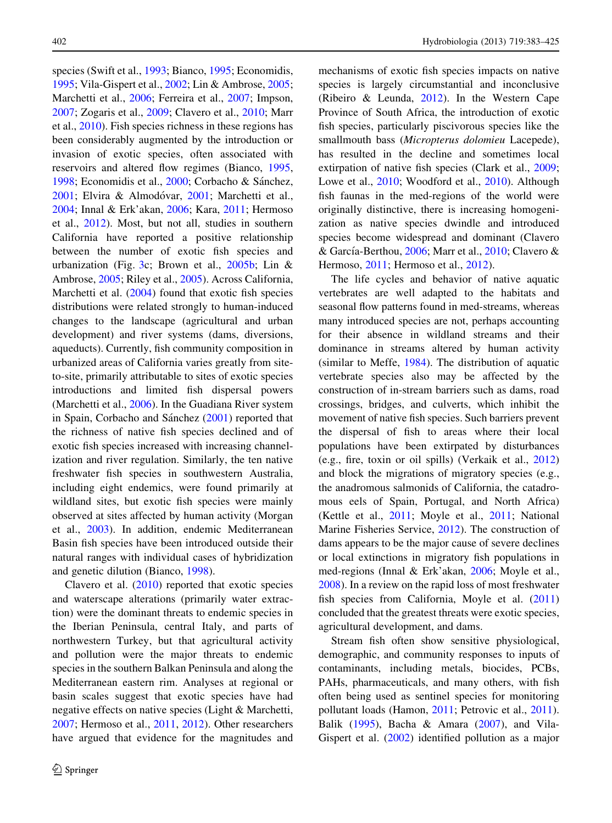species (Swift et al., [1993;](#page-40-0) Bianco, [1995;](#page-29-0) Economidis, [1995;](#page-32-0) Vila-Gispert et al., [2002](#page-41-0); Lin & Ambrose, [2005](#page-36-0); Marchetti et al., [2006;](#page-36-0) Ferreira et al., [2007](#page-33-0); Impson, [2007;](#page-35-0) Zogaris et al., [2009](#page-42-0); Clavero et al., [2010;](#page-31-0) Marr et al., [2010\)](#page-36-0). Fish species richness in these regions has been considerably augmented by the introduction or invasion of exotic species, often associated with reservoirs and altered flow regimes (Bianco, [1995,](#page-29-0) [1998;](#page-29-0) Economidis et al., [2000](#page-32-0); Corbacho & Sánchez, [2001;](#page-32-0) Elvira & Almodóvar, 2001; Marchetti et al., [2004;](#page-36-0) Innal & Erk'akan, [2006](#page-35-0); Kara, [2011;](#page-35-0) Hermoso et al., [2012\)](#page-34-0). Most, but not all, studies in southern California have reported a positive relationship between the number of exotic fish species and urbanization (Fig. [3](#page-13-0)c; Brown et al., [2005b;](#page-30-0) Lin & Ambrose, [2005](#page-36-0); Riley et al., [2005](#page-39-0)). Across California, Marchetti et al. [\(2004](#page-36-0)) found that exotic fish species distributions were related strongly to human-induced changes to the landscape (agricultural and urban development) and river systems (dams, diversions, aqueducts). Currently, fish community composition in urbanized areas of California varies greatly from siteto-site, primarily attributable to sites of exotic species introductions and limited fish dispersal powers (Marchetti et al., [2006\)](#page-36-0). In the Guadiana River system in Spain, Corbacho and Sánchez  $(2001)$  $(2001)$  reported that the richness of native fish species declined and of exotic fish species increased with increasing channelization and river regulation. Similarly, the ten native freshwater fish species in southwestern Australia, including eight endemics, were found primarily at wildland sites, but exotic fish species were mainly observed at sites affected by human activity (Morgan et al., [2003\)](#page-37-0). In addition, endemic Mediterranean Basin fish species have been introduced outside their natural ranges with individual cases of hybridization and genetic dilution (Bianco, [1998\)](#page-29-0).

Clavero et al. ([2010\)](#page-31-0) reported that exotic species and waterscape alterations (primarily water extraction) were the dominant threats to endemic species in the Iberian Peninsula, central Italy, and parts of northwestern Turkey, but that agricultural activity and pollution were the major threats to endemic species in the southern Balkan Peninsula and along the Mediterranean eastern rim. Analyses at regional or basin scales suggest that exotic species have had negative effects on native species (Light & Marchetti, [2007;](#page-36-0) Hermoso et al., [2011](#page-34-0), [2012\)](#page-34-0). Other researchers have argued that evidence for the magnitudes and

mechanisms of exotic fish species impacts on native species is largely circumstantial and inconclusive (Ribeiro & Leunda, [2012](#page-38-0)). In the Western Cape Province of South Africa, the introduction of exotic fish species, particularly piscivorous species like the smallmouth bass (Micropterus dolomieu Lacepede), has resulted in the decline and sometimes local extirpation of native fish species (Clark et al., [2009](#page-31-0); Lowe et al., [2010;](#page-36-0) Woodford et al., [2010](#page-42-0)). Although fish faunas in the med-regions of the world were originally distinctive, there is increasing homogenization as native species dwindle and introduced species become widespread and dominant (Clavero & García-Berthou, [2006;](#page-31-0) Marr et al., [2010](#page-36-0); Clavero & Hermoso, [2011;](#page-31-0) Hermoso et al., [2012\)](#page-34-0).

The life cycles and behavior of native aquatic vertebrates are well adapted to the habitats and seasonal flow patterns found in med-streams, whereas many introduced species are not, perhaps accounting for their absence in wildland streams and their dominance in streams altered by human activity (similar to Meffe, [1984](#page-37-0)). The distribution of aquatic vertebrate species also may be affected by the construction of in-stream barriers such as dams, road crossings, bridges, and culverts, which inhibit the movement of native fish species. Such barriers prevent the dispersal of fish to areas where their local populations have been extirpated by disturbances (e.g., fire, toxin or oil spills) (Verkaik et al., [2012\)](#page-41-0) and block the migrations of migratory species (e.g., the anadromous salmonids of California, the catadromous eels of Spain, Portugal, and North Africa) (Kettle et al., [2011](#page-35-0); Moyle et al., [2011;](#page-37-0) National Marine Fisheries Service, [2012\)](#page-37-0). The construction of dams appears to be the major cause of severe declines or local extinctions in migratory fish populations in med-regions (Innal & Erk'akan, [2006;](#page-35-0) Moyle et al., [2008\)](#page-37-0). In a review on the rapid loss of most freshwater fish species from California, Moyle et al. ([2011\)](#page-37-0) concluded that the greatest threats were exotic species, agricultural development, and dams.

Stream fish often show sensitive physiological, demographic, and community responses to inputs of contaminants, including metals, biocides, PCBs, PAHs, pharmaceuticals, and many others, with fish often being used as sentinel species for monitoring pollutant loads (Hamon, [2011](#page-34-0); Petrovic et al., [2011](#page-38-0)). Balik ([1995\)](#page-29-0), Bacha & Amara ([2007\)](#page-29-0), and Vila-Gispert et al. ([2002\)](#page-41-0) identified pollution as a major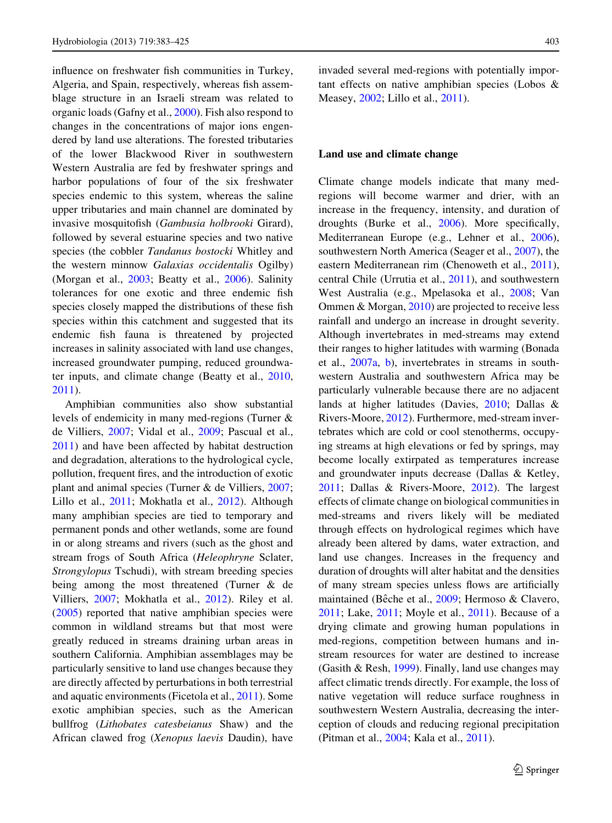influence on freshwater fish communities in Turkey, Algeria, and Spain, respectively, whereas fish assemblage structure in an Israeli stream was related to organic loads (Gafny et al., [2000\)](#page-33-0). Fish also respond to changes in the concentrations of major ions engendered by land use alterations. The forested tributaries of the lower Blackwood River in southwestern Western Australia are fed by freshwater springs and harbor populations of four of the six freshwater species endemic to this system, whereas the saline upper tributaries and main channel are dominated by invasive mosquitofish (Gambusia holbrooki Girard), followed by several estuarine species and two native species (the cobbler Tandanus bostocki Whitley and the western minnow Galaxias occidentalis Ogilby) (Morgan et al., [2003;](#page-37-0) Beatty et al., [2006\)](#page-29-0). Salinity tolerances for one exotic and three endemic fish species closely mapped the distributions of these fish species within this catchment and suggested that its endemic fish fauna is threatened by projected increases in salinity associated with land use changes, increased groundwater pumping, reduced groundwater inputs, and climate change (Beatty et al., [2010,](#page-29-0) [2011\)](#page-29-0).

Amphibian communities also show substantial levels of endemicity in many med-regions (Turner & de Villiers, [2007;](#page-41-0) Vidal et al., [2009](#page-41-0); Pascual et al., [2011\)](#page-38-0) and have been affected by habitat destruction and degradation, alterations to the hydrological cycle, pollution, frequent fires, and the introduction of exotic plant and animal species (Turner & de Villiers, [2007](#page-41-0); Lillo et al., [2011;](#page-36-0) Mokhatla et al., [2012\)](#page-37-0). Although many amphibian species are tied to temporary and permanent ponds and other wetlands, some are found in or along streams and rivers (such as the ghost and stream frogs of South Africa (Heleophryne Sclater, Strongylopus Tschudi), with stream breeding species being among the most threatened (Turner & de Villiers, [2007;](#page-41-0) Mokhatla et al., [2012](#page-37-0)). Riley et al. [\(2005](#page-39-0)) reported that native amphibian species were common in wildland streams but that most were greatly reduced in streams draining urban areas in southern California. Amphibian assemblages may be particularly sensitive to land use changes because they are directly affected by perturbations in both terrestrial and aquatic environments (Ficetola et al., [2011\)](#page-33-0). Some exotic amphibian species, such as the American bullfrog (Lithobates catesbeianus Shaw) and the African clawed frog (Xenopus laevis Daudin), have invaded several med-regions with potentially important effects on native amphibian species (Lobos & Measey, [2002](#page-36-0); Lillo et al., [2011](#page-36-0)).

## Land use and climate change

Climate change models indicate that many medregions will become warmer and drier, with an increase in the frequency, intensity, and duration of droughts (Burke et al., [2006](#page-30-0)). More specifically, Mediterranean Europe (e.g., Lehner et al., [2006](#page-36-0)), southwestern North America (Seager et al., [2007\)](#page-40-0), the eastern Mediterranean rim (Chenoweth et al., [2011](#page-31-0)), central Chile (Urrutia et al., [2011](#page-41-0)), and southwestern West Australia (e.g., Mpelasoka et al., [2008;](#page-37-0) Van Ommen & Morgan, [2010](#page-41-0)) are projected to receive less rainfall and undergo an increase in drought severity. Although invertebrates in med-streams may extend their ranges to higher latitudes with warming (Bonada et al., [2007a,](#page-30-0) [b\)](#page-30-0), invertebrates in streams in southwestern Australia and southwestern Africa may be particularly vulnerable because there are no adjacent lands at higher latitudes (Davies, [2010](#page-32-0); Dallas & Rivers-Moore, [2012](#page-32-0)). Furthermore, med-stream invertebrates which are cold or cool stenotherms, occupying streams at high elevations or fed by springs, may become locally extirpated as temperatures increase and groundwater inputs decrease (Dallas & Ketley, [2011;](#page-32-0) Dallas & Rivers-Moore, [2012](#page-32-0)). The largest effects of climate change on biological communities in med-streams and rivers likely will be mediated through effects on hydrological regimes which have already been altered by dams, water extraction, and land use changes. Increases in the frequency and duration of droughts will alter habitat and the densities of many stream species unless flows are artificially maintained (Bêche et al.,  $2009$ ; Hermoso & Clavero, [2011;](#page-34-0) Lake, [2011;](#page-35-0) Moyle et al., [2011](#page-37-0)). Because of a drying climate and growing human populations in med-regions, competition between humans and instream resources for water are destined to increase (Gasith & Resh, [1999\)](#page-33-0). Finally, land use changes may affect climatic trends directly. For example, the loss of native vegetation will reduce surface roughness in southwestern Western Australia, decreasing the interception of clouds and reducing regional precipitation (Pitman et al., [2004](#page-38-0); Kala et al., [2011\)](#page-35-0).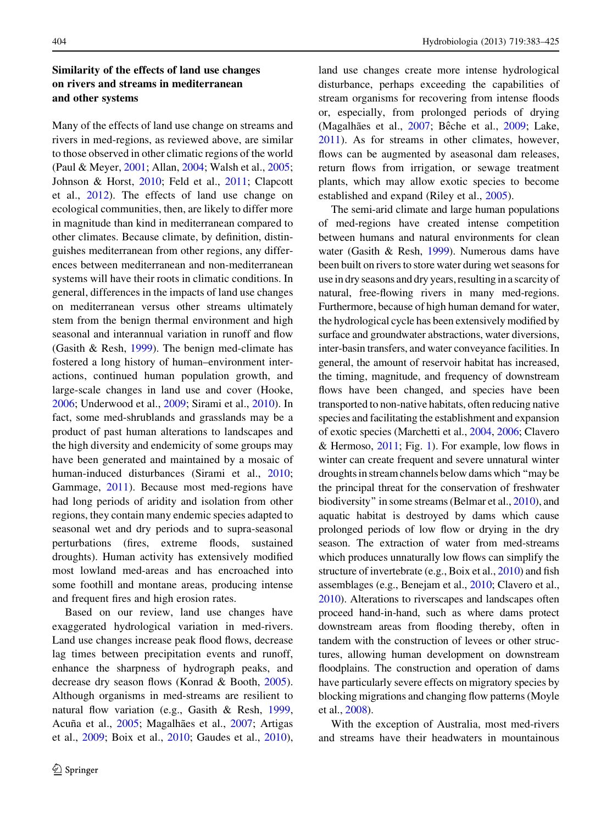# Similarity of the effects of land use changes on rivers and streams in mediterranean and other systems

Many of the effects of land use change on streams and rivers in med-regions, as reviewed above, are similar to those observed in other climatic regions of the world (Paul & Meyer, [2001;](#page-38-0) Allan, [2004;](#page-28-0) Walsh et al., [2005](#page-41-0); Johnson & Horst, [2010](#page-35-0); Feld et al., [2011](#page-32-0); Clapcott et al., [2012\)](#page-31-0). The effects of land use change on ecological communities, then, are likely to differ more in magnitude than kind in mediterranean compared to other climates. Because climate, by definition, distinguishes mediterranean from other regions, any differences between mediterranean and non-mediterranean systems will have their roots in climatic conditions. In general, differences in the impacts of land use changes on mediterranean versus other streams ultimately stem from the benign thermal environment and high seasonal and interannual variation in runoff and flow (Gasith & Resh, [1999\)](#page-33-0). The benign med-climate has fostered a long history of human–environment interactions, continued human population growth, and large-scale changes in land use and cover (Hooke, [2006;](#page-34-0) Underwood et al., [2009](#page-41-0); Sirami et al., [2010\)](#page-40-0). In fact, some med-shrublands and grasslands may be a product of past human alterations to landscapes and the high diversity and endemicity of some groups may have been generated and maintained by a mosaic of human-induced disturbances (Sirami et al., [2010](#page-40-0); Gammage, [2011](#page-33-0)). Because most med-regions have had long periods of aridity and isolation from other regions, they contain many endemic species adapted to seasonal wet and dry periods and to supra-seasonal perturbations (fires, extreme floods, sustained droughts). Human activity has extensively modified most lowland med-areas and has encroached into some foothill and montane areas, producing intense and frequent fires and high erosion rates.

Based on our review, land use changes have exaggerated hydrological variation in med-rivers. Land use changes increase peak flood flows, decrease lag times between precipitation events and runoff, enhance the sharpness of hydrograph peaks, and decrease dry season flows (Konrad & Booth, [2005](#page-35-0)). Although organisms in med-streams are resilient to natural flow variation (e.g., Gasith & Resh, [1999,](#page-33-0) Acuña et al., [2005](#page-28-0); Magalhães et al., [2007;](#page-36-0) Artigas et al., [2009](#page-29-0); Boix et al., [2010;](#page-30-0) Gaudes et al., [2010](#page-33-0)), land use changes create more intense hydrological disturbance, perhaps exceeding the capabilities of stream organisms for recovering from intense floods or, especially, from prolonged periods of drying (Magalhães et al., [2007;](#page-36-0) Bêche et al., [2009](#page-29-0); Lake, [2011\)](#page-35-0). As for streams in other climates, however, flows can be augmented by aseasonal dam releases, return flows from irrigation, or sewage treatment plants, which may allow exotic species to become established and expand (Riley et al., [2005](#page-39-0)).

The semi-arid climate and large human populations of med-regions have created intense competition between humans and natural environments for clean water (Gasith & Resh, [1999\)](#page-33-0). Numerous dams have been built on rivers to store water during wet seasons for use in dry seasons and dry years, resulting in a scarcity of natural, free-flowing rivers in many med-regions. Furthermore, because of high human demand for water, the hydrological cycle has been extensively modified by surface and groundwater abstractions, water diversions, inter-basin transfers, and water conveyance facilities. In general, the amount of reservoir habitat has increased, the timing, magnitude, and frequency of downstream flows have been changed, and species have been transported to non-native habitats, often reducing native species and facilitating the establishment and expansion of exotic species (Marchetti et al., [2004,](#page-36-0) [2006](#page-36-0); Clavero & Hermoso, [2011;](#page-31-0) Fig. [1](#page-7-0)). For example, low flows in winter can create frequent and severe unnatural winter droughts in stream channels below dams which ''may be the principal threat for the conservation of freshwater biodiversity'' in some streams (Belmar et al., [2010\)](#page-29-0), and aquatic habitat is destroyed by dams which cause prolonged periods of low flow or drying in the dry season. The extraction of water from med-streams which produces unnaturally low flows can simplify the structure of invertebrate (e.g., Boix et al., [2010\)](#page-30-0) and fish assemblages (e.g., Benejam et al., [2010;](#page-29-0) Clavero et al., [2010](#page-31-0)). Alterations to riverscapes and landscapes often proceed hand-in-hand, such as where dams protect downstream areas from flooding thereby, often in tandem with the construction of levees or other structures, allowing human development on downstream floodplains. The construction and operation of dams have particularly severe effects on migratory species by blocking migrations and changing flow patterns (Moyle et al., [2008](#page-37-0)).

With the exception of Australia, most med-rivers and streams have their headwaters in mountainous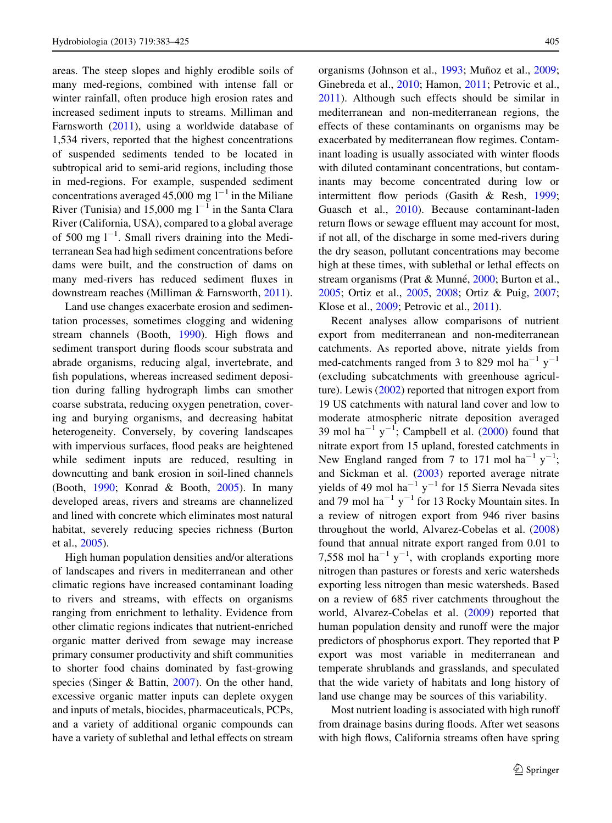areas. The steep slopes and highly erodible soils of many med-regions, combined with intense fall or winter rainfall, often produce high erosion rates and increased sediment inputs to streams. Milliman and Farnsworth [\(2011](#page-37-0)), using a worldwide database of 1,534 rivers, reported that the highest concentrations of suspended sediments tended to be located in subtropical arid to semi-arid regions, including those in med-regions. For example, suspended sediment concentrations averaged 45,000 mg  $1^{-1}$  in the Miliane River (Tunisia) and 15,000 mg  $1^{-1}$  in the Santa Clara River (California, USA), compared to a global average of 500 mg  $1^{-1}$ . Small rivers draining into the Mediterranean Sea had high sediment concentrations before dams were built, and the construction of dams on many med-rivers has reduced sediment fluxes in downstream reaches (Milliman & Farnsworth, [2011\)](#page-37-0).

Land use changes exacerbate erosion and sedimentation processes, sometimes clogging and widening stream channels (Booth, [1990\)](#page-30-0). High flows and sediment transport during floods scour substrata and abrade organisms, reducing algal, invertebrate, and fish populations, whereas increased sediment deposition during falling hydrograph limbs can smother coarse substrata, reducing oxygen penetration, covering and burying organisms, and decreasing habitat heterogeneity. Conversely, by covering landscapes with impervious surfaces, flood peaks are heightened while sediment inputs are reduced, resulting in downcutting and bank erosion in soil-lined channels (Booth, [1990;](#page-30-0) Konrad & Booth, [2005](#page-35-0)). In many developed areas, rivers and streams are channelized and lined with concrete which eliminates most natural habitat, severely reducing species richness (Burton et al., [2005\)](#page-30-0).

High human population densities and/or alterations of landscapes and rivers in mediterranean and other climatic regions have increased contaminant loading to rivers and streams, with effects on organisms ranging from enrichment to lethality. Evidence from other climatic regions indicates that nutrient-enriched organic matter derived from sewage may increase primary consumer productivity and shift communities to shorter food chains dominated by fast-growing species (Singer & Battin, [2007\)](#page-40-0). On the other hand, excessive organic matter inputs can deplete oxygen and inputs of metals, biocides, pharmaceuticals, PCPs, and a variety of additional organic compounds can have a variety of sublethal and lethal effects on stream organisms (Johnson et al., [1993](#page-35-0); Muñoz et al., [2009](#page-37-0); Ginebreda et al., [2010](#page-33-0); Hamon, [2011;](#page-34-0) Petrovic et al., [2011\)](#page-38-0). Although such effects should be similar in mediterranean and non-mediterranean regions, the effects of these contaminants on organisms may be exacerbated by mediterranean flow regimes. Contaminant loading is usually associated with winter floods with diluted contaminant concentrations, but contaminants may become concentrated during low or intermittent flow periods (Gasith & Resh, [1999](#page-33-0); Guasch et al., [2010\)](#page-34-0). Because contaminant-laden return flows or sewage effluent may account for most, if not all, of the discharge in some med-rivers during the dry season, pollutant concentrations may become high at these times, with sublethal or lethal effects on stream organisms (Prat & Munné,  $2000$ ; Burton et al., [2005;](#page-30-0) Ortiz et al., [2005](#page-38-0), [2008;](#page-38-0) Ortiz & Puig, [2007](#page-38-0); Klose et al., [2009](#page-35-0); Petrovic et al., [2011\)](#page-38-0).

Recent analyses allow comparisons of nutrient export from mediterranean and non-mediterranean catchments. As reported above, nitrate yields from med-catchments ranged from 3 to 829 mol  $ha^{-1}y^{-1}$ (excluding subcatchments with greenhouse agriculture). Lewis ([2002\)](#page-36-0) reported that nitrogen export from 19 US catchments with natural land cover and low to moderate atmospheric nitrate deposition averaged 39 mol ha<sup>-1</sup>  $y^{-1}$ ; Campbell et al. [\(2000](#page-31-0)) found that nitrate export from 15 upland, forested catchments in New England ranged from 7 to 171 mol  $ha^{-1}y^{-1}$ ; and Sickman et al. [\(2003\)](#page-40-0) reported average nitrate yields of 49 mol ha<sup>-1</sup> y<sup>-1</sup> for 15 Sierra Nevada sites and 79 mol ha<sup>-1</sup> y<sup>-1</sup> for 13 Rocky Mountain sites. In a review of nitrogen export from 946 river basins throughout the world, Alvarez-Cobelas et al. ([2008\)](#page-29-0) found that annual nitrate export ranged from 0.01 to 7,558 mol ha<sup>-1</sup> y<sup>-1</sup>, with croplands exporting more nitrogen than pastures or forests and xeric watersheds exporting less nitrogen than mesic watersheds. Based on a review of 685 river catchments throughout the world, Alvarez-Cobelas et al. ([2009](#page-29-0)) reported that human population density and runoff were the major predictors of phosphorus export. They reported that P export was most variable in mediterranean and temperate shrublands and grasslands, and speculated that the wide variety of habitats and long history of land use change may be sources of this variability.

Most nutrient loading is associated with high runoff from drainage basins during floods. After wet seasons with high flows, California streams often have spring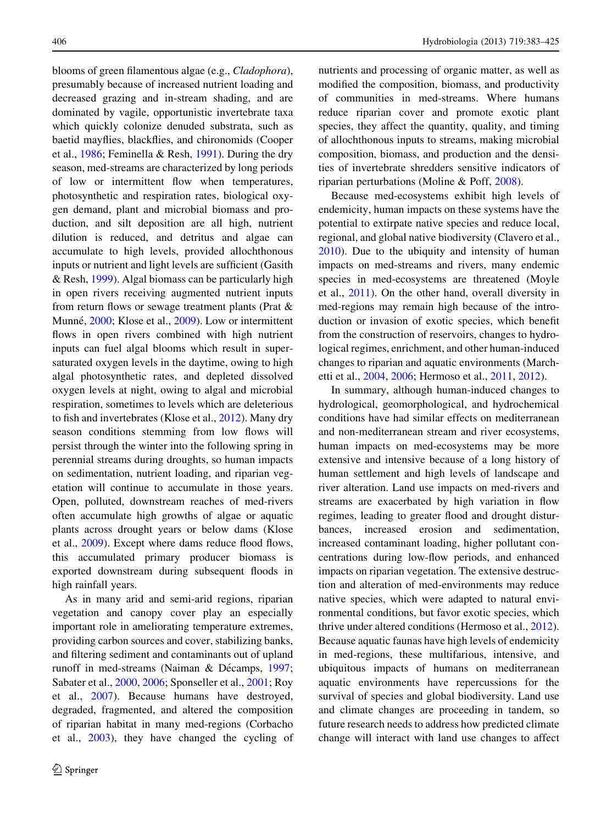blooms of green filamentous algae (e.g., Cladophora), presumably because of increased nutrient loading and decreased grazing and in-stream shading, and are dominated by vagile, opportunistic invertebrate taxa which quickly colonize denuded substrata, such as baetid mayflies, blackflies, and chironomids (Cooper et al., [1986](#page-31-0); Feminella & Resh, [1991\)](#page-33-0). During the dry season, med-streams are characterized by long periods of low or intermittent flow when temperatures, photosynthetic and respiration rates, biological oxygen demand, plant and microbial biomass and production, and silt deposition are all high, nutrient dilution is reduced, and detritus and algae can accumulate to high levels, provided allochthonous inputs or nutrient and light levels are sufficient (Gasith & Resh, [1999](#page-33-0)). Algal biomass can be particularly high in open rivers receiving augmented nutrient inputs from return flows or sewage treatment plants (Prat & Munné, [2000](#page-38-0); Klose et al., [2009](#page-35-0)). Low or intermittent flows in open rivers combined with high nutrient inputs can fuel algal blooms which result in supersaturated oxygen levels in the daytime, owing to high algal photosynthetic rates, and depleted dissolved oxygen levels at night, owing to algal and microbial respiration, sometimes to levels which are deleterious to fish and invertebrates (Klose et al., [2012\)](#page-35-0). Many dry season conditions stemming from low flows will persist through the winter into the following spring in perennial streams during droughts, so human impacts on sedimentation, nutrient loading, and riparian vegetation will continue to accumulate in those years. Open, polluted, downstream reaches of med-rivers often accumulate high growths of algae or aquatic plants across drought years or below dams (Klose et al., [2009\)](#page-35-0). Except where dams reduce flood flows, this accumulated primary producer biomass is exported downstream during subsequent floods in high rainfall years.

As in many arid and semi-arid regions, riparian vegetation and canopy cover play an especially important role in ameliorating temperature extremes, providing carbon sources and cover, stabilizing banks, and filtering sediment and contaminants out of upland runoff in med-streams (Naiman & Décamps, [1997](#page-37-0); Sabater et al., [2000,](#page-39-0) [2006](#page-39-0); Sponseller et al., [2001;](#page-40-0) Roy et al., [2007](#page-39-0)). Because humans have destroyed, degraded, fragmented, and altered the composition of riparian habitat in many med-regions (Corbacho et al., [2003\)](#page-31-0), they have changed the cycling of nutrients and processing of organic matter, as well as modified the composition, biomass, and productivity of communities in med-streams. Where humans reduce riparian cover and promote exotic plant species, they affect the quantity, quality, and timing of allochthonous inputs to streams, making microbial composition, biomass, and production and the densities of invertebrate shredders sensitive indicators of riparian perturbations (Moline & Poff, [2008\)](#page-37-0).

Because med-ecosystems exhibit high levels of endemicity, human impacts on these systems have the potential to extirpate native species and reduce local, regional, and global native biodiversity (Clavero et al., [2010\)](#page-31-0). Due to the ubiquity and intensity of human impacts on med-streams and rivers, many endemic species in med-ecosystems are threatened (Moyle et al., [2011\)](#page-37-0). On the other hand, overall diversity in med-regions may remain high because of the introduction or invasion of exotic species, which benefit from the construction of reservoirs, changes to hydrological regimes, enrichment, and other human-induced changes to riparian and aquatic environments (Marchetti et al., [2004,](#page-36-0) [2006;](#page-36-0) Hermoso et al., [2011,](#page-34-0) [2012\)](#page-34-0).

In summary, although human-induced changes to hydrological, geomorphological, and hydrochemical conditions have had similar effects on mediterranean and non-mediterranean stream and river ecosystems, human impacts on med-ecosystems may be more extensive and intensive because of a long history of human settlement and high levels of landscape and river alteration. Land use impacts on med-rivers and streams are exacerbated by high variation in flow regimes, leading to greater flood and drought disturbances, increased erosion and sedimentation, increased contaminant loading, higher pollutant concentrations during low-flow periods, and enhanced impacts on riparian vegetation. The extensive destruction and alteration of med-environments may reduce native species, which were adapted to natural environmental conditions, but favor exotic species, which thrive under altered conditions (Hermoso et al., [2012](#page-34-0)). Because aquatic faunas have high levels of endemicity in med-regions, these multifarious, intensive, and ubiquitous impacts of humans on mediterranean aquatic environments have repercussions for the survival of species and global biodiversity. Land use and climate changes are proceeding in tandem, so future research needs to address how predicted climate change will interact with land use changes to affect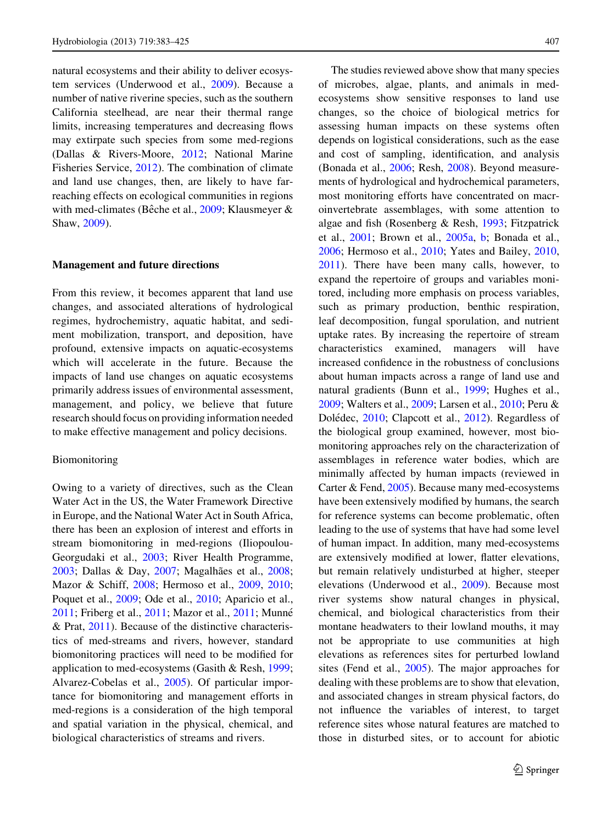natural ecosystems and their ability to deliver ecosystem services (Underwood et al., [2009\)](#page-41-0). Because a number of native riverine species, such as the southern California steelhead, are near their thermal range limits, increasing temperatures and decreasing flows may extirpate such species from some med-regions (Dallas & Rivers-Moore, [2012](#page-32-0); National Marine Fisheries Service, [2012](#page-37-0)). The combination of climate and land use changes, then, are likely to have farreaching effects on ecological communities in regions with med-climates (Bêche et al.,  $2009$ ; Klausmeyer & Shaw, [2009](#page-35-0)).

#### Management and future directions

From this review, it becomes apparent that land use changes, and associated alterations of hydrological regimes, hydrochemistry, aquatic habitat, and sediment mobilization, transport, and deposition, have profound, extensive impacts on aquatic-ecosystems which will accelerate in the future. Because the impacts of land use changes on aquatic ecosystems primarily address issues of environmental assessment, management, and policy, we believe that future research should focus on providing information needed to make effective management and policy decisions.

## Biomonitoring

Owing to a variety of directives, such as the Clean Water Act in the US, the Water Framework Directive in Europe, and the National Water Act in South Africa, there has been an explosion of interest and efforts in stream biomonitoring in med-regions (Iliopoulou-Georgudaki et al., [2003](#page-34-0); River Health Programme, [2003;](#page-39-0) Dallas & Day, [2007;](#page-32-0) Magalhães et al., [2008](#page-36-0); Mazor & Schiff, [2008](#page-36-0); Hermoso et al., [2009](#page-34-0), [2010](#page-34-0); Poquet et al., [2009;](#page-38-0) Ode et al., [2010](#page-38-0); Aparicio et al., [2011;](#page-29-0) Friberg et al., [2011](#page-37-0); Mazor et al., 2011; Munné & Prat, [2011](#page-37-0)). Because of the distinctive characteristics of med-streams and rivers, however, standard biomonitoring practices will need to be modified for application to med-ecosystems (Gasith & Resh, [1999](#page-33-0); Alvarez-Cobelas et al., [2005\)](#page-29-0). Of particular importance for biomonitoring and management efforts in med-regions is a consideration of the high temporal and spatial variation in the physical, chemical, and biological characteristics of streams and rivers.

The studies reviewed above show that many species of microbes, algae, plants, and animals in medecosystems show sensitive responses to land use changes, so the choice of biological metrics for assessing human impacts on these systems often depends on logistical considerations, such as the ease and cost of sampling, identification, and analysis (Bonada et al., [2006](#page-30-0); Resh, [2008](#page-38-0)). Beyond measurements of hydrological and hydrochemical parameters, most monitoring efforts have concentrated on macroinvertebrate assemblages, with some attention to algae and fish (Rosenberg & Resh, [1993;](#page-39-0) Fitzpatrick et al., [2001;](#page-33-0) Brown et al., [2005a](#page-30-0), [b;](#page-30-0) Bonada et al., [2006;](#page-30-0) Hermoso et al., [2010](#page-34-0); Yates and Bailey, [2010,](#page-42-0) [2011\)](#page-42-0). There have been many calls, however, to expand the repertoire of groups and variables monitored, including more emphasis on process variables, such as primary production, benthic respiration, leaf decomposition, fungal sporulation, and nutrient uptake rates. By increasing the repertoire of stream characteristics examined, managers will have increased confidence in the robustness of conclusions about human impacts across a range of land use and natural gradients (Bunn et al., [1999;](#page-30-0) Hughes et al., [2009;](#page-34-0) Walters et al., [2009;](#page-41-0) Larsen et al., [2010;](#page-35-0) Peru & Dolédec, [2010](#page-38-0); Clapcott et al., [2012](#page-31-0)). Regardless of the biological group examined, however, most biomonitoring approaches rely on the characterization of assemblages in reference water bodies, which are minimally affected by human impacts (reviewed in Carter & Fend, [2005](#page-31-0)). Because many med-ecosystems have been extensively modified by humans, the search for reference systems can become problematic, often leading to the use of systems that have had some level of human impact. In addition, many med-ecosystems are extensively modified at lower, flatter elevations, but remain relatively undisturbed at higher, steeper elevations (Underwood et al., [2009\)](#page-41-0). Because most river systems show natural changes in physical, chemical, and biological characteristics from their montane headwaters to their lowland mouths, it may not be appropriate to use communities at high elevations as references sites for perturbed lowland sites (Fend et al., [2005](#page-33-0)). The major approaches for dealing with these problems are to show that elevation, and associated changes in stream physical factors, do not influence the variables of interest, to target reference sites whose natural features are matched to those in disturbed sites, or to account for abiotic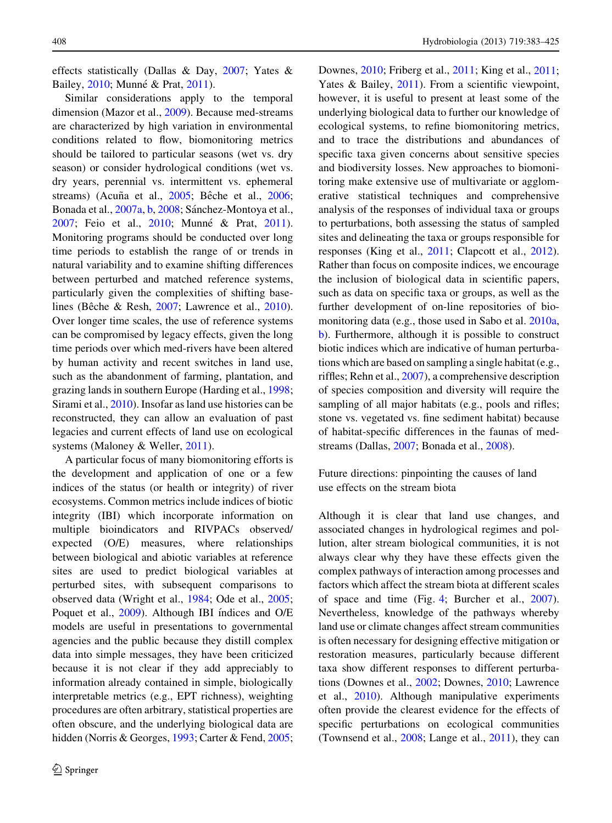effects statistically (Dallas & Day, [2007](#page-32-0); Yates & Bailey, [2010](#page-42-0); Munné & Prat, [2011\)](#page-37-0).

Similar considerations apply to the temporal dimension (Mazor et al., [2009](#page-37-0)). Because med-streams are characterized by high variation in environmental conditions related to flow, biomonitoring metrics should be tailored to particular seasons (wet vs. dry season) or consider hydrological conditions (wet vs. dry years, perennial vs. intermittent vs. ephemeral streams) (Acuña et al., [2005;](#page-28-0) Bêche et al., [2006](#page-29-0); Bonada et al., [2007a](#page-30-0), [b,](#page-30-0) [2008](#page-30-0); Sánchez-Montoya et al., [2007;](#page-40-0) Feio et al., [2010;](#page-32-0) Munné & Prat, [2011](#page-37-0)). Monitoring programs should be conducted over long time periods to establish the range of or trends in natural variability and to examine shifting differences between perturbed and matched reference systems, particularly given the complexities of shifting baselines (Bêche & Resh,  $2007$ ; Lawrence et al.,  $2010$ ). Over longer time scales, the use of reference systems can be compromised by legacy effects, given the long time periods over which med-rivers have been altered by human activity and recent switches in land use, such as the abandonment of farming, plantation, and grazing lands in southern Europe (Harding et al., [1998](#page-34-0); Sirami et al., [2010\)](#page-40-0). Insofar as land use histories can be reconstructed, they can allow an evaluation of past legacies and current effects of land use on ecological systems (Maloney & Weller, [2011](#page-36-0)).

A particular focus of many biomonitoring efforts is the development and application of one or a few indices of the status (or health or integrity) of river ecosystems. Common metrics include indices of biotic integrity (IBI) which incorporate information on multiple bioindicators and RIVPACs observed/ expected (O/E) measures, where relationships between biological and abiotic variables at reference sites are used to predict biological variables at perturbed sites, with subsequent comparisons to observed data (Wright et al., [1984](#page-42-0); Ode et al., [2005](#page-38-0); Poquet et al., [2009](#page-38-0)). Although IBI índices and O/E models are useful in presentations to governmental agencies and the public because they distill complex data into simple messages, they have been criticized because it is not clear if they add appreciably to information already contained in simple, biologically interpretable metrics (e.g., EPT richness), weighting procedures are often arbitrary, statistical properties are often obscure, and the underlying biological data are hidden (Norris & Georges, [1993;](#page-37-0) Carter & Fend, [2005](#page-31-0); Downes, [2010;](#page-32-0) Friberg et al., [2011;](#page-33-0) King et al., [2011](#page-35-0); Yates & Bailey, [2011](#page-42-0)). From a scientific viewpoint, however, it is useful to present at least some of the underlying biological data to further our knowledge of ecological systems, to refine biomonitoring metrics, and to trace the distributions and abundances of specific taxa given concerns about sensitive species and biodiversity losses. New approaches to biomonitoring make extensive use of multivariate or agglomerative statistical techniques and comprehensive analysis of the responses of individual taxa or groups to perturbations, both assessing the status of sampled sites and delineating the taxa or groups responsible for responses (King et al., [2011](#page-35-0); Clapcott et al., [2012](#page-31-0)). Rather than focus on composite indices, we encourage the inclusion of biological data in scientific papers, such as data on specific taxa or groups, as well as the further development of on-line repositories of biomonitoring data (e.g., those used in Sabo et al. [2010a,](#page-39-0) [b\)](#page-39-0). Furthermore, although it is possible to construct biotic indices which are indicative of human perturbations which are based on sampling a single habitat (e.g., riffles; Rehn et al., [2007](#page-38-0)), a comprehensive description of species composition and diversity will require the sampling of all major habitats (e.g., pools and rifles; stone vs. vegetated vs. fine sediment habitat) because of habitat-specific differences in the faunas of medstreams (Dallas, [2007;](#page-32-0) Bonada et al., [2008\)](#page-30-0).

Future directions: pinpointing the causes of land use effects on the stream biota

Although it is clear that land use changes, and associated changes in hydrological regimes and pollution, alter stream biological communities, it is not always clear why they have these effects given the complex pathways of interaction among processes and factors which affect the stream biota at different scales of space and time (Fig. [4;](#page-26-0) Burcher et al., [2007](#page-30-0)). Nevertheless, knowledge of the pathways whereby land use or climate changes affect stream communities is often necessary for designing effective mitigation or restoration measures, particularly because different taxa show different responses to different perturbations (Downes et al., [2002](#page-32-0); Downes, [2010](#page-32-0); Lawrence et al., [2010\)](#page-35-0). Although manipulative experiments often provide the clearest evidence for the effects of specific perturbations on ecological communities (Townsend et al., [2008](#page-41-0); Lange et al., [2011](#page-35-0)), they can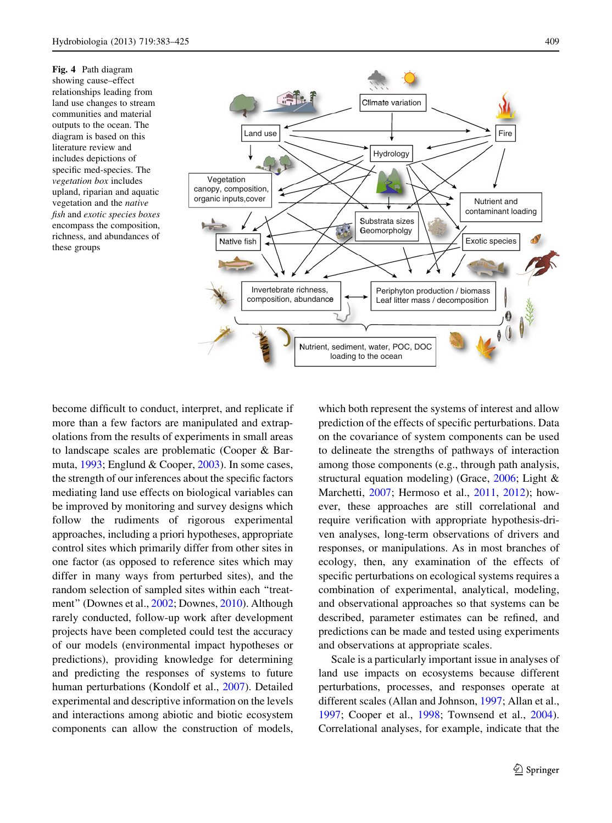showing cause–effect relationships leading from land use changes to stream communities and material outputs to the ocean. The diagram is based on this literature review and includes depictions of specific med-species. The vegetation box includes upland, riparian and aquatic vegetation and the native fish and exotic species boxes encompass the composition, richness, and abundances of these groups

<span id="page-26-0"></span>

become difficult to conduct, interpret, and replicate if more than a few factors are manipulated and extrapolations from the results of experiments in small areas to landscape scales are problematic (Cooper & Barmuta, [1993;](#page-31-0) Englund & Cooper, [2003\)](#page-32-0). In some cases, the strength of our inferences about the specific factors mediating land use effects on biological variables can be improved by monitoring and survey designs which follow the rudiments of rigorous experimental approaches, including a priori hypotheses, appropriate control sites which primarily differ from other sites in one factor (as opposed to reference sites which may differ in many ways from perturbed sites), and the random selection of sampled sites within each ''treatment'' (Downes et al., [2002](#page-32-0); Downes, [2010\)](#page-32-0). Although rarely conducted, follow-up work after development projects have been completed could test the accuracy of our models (environmental impact hypotheses or predictions), providing knowledge for determining and predicting the responses of systems to future human perturbations (Kondolf et al., [2007](#page-35-0)). Detailed experimental and descriptive information on the levels and interactions among abiotic and biotic ecosystem components can allow the construction of models,

which both represent the systems of interest and allow prediction of the effects of specific perturbations. Data on the covariance of system components can be used to delineate the strengths of pathways of interaction among those components (e.g., through path analysis, structural equation modeling) (Grace, [2006](#page-34-0); Light & Marchetti, [2007](#page-36-0); Hermoso et al., [2011,](#page-34-0) [2012\)](#page-34-0); however, these approaches are still correlational and require verification with appropriate hypothesis-driven analyses, long-term observations of drivers and responses, or manipulations. As in most branches of ecology, then, any examination of the effects of specific perturbations on ecological systems requires a combination of experimental, analytical, modeling, and observational approaches so that systems can be described, parameter estimates can be refined, and predictions can be made and tested using experiments and observations at appropriate scales.

Scale is a particularly important issue in analyses of land use impacts on ecosystems because different perturbations, processes, and responses operate at different scales (Allan and Johnson, [1997](#page-28-0); Allan et al., [1997;](#page-28-0) Cooper et al., [1998;](#page-31-0) Townsend et al., [2004](#page-41-0)). Correlational analyses, for example, indicate that the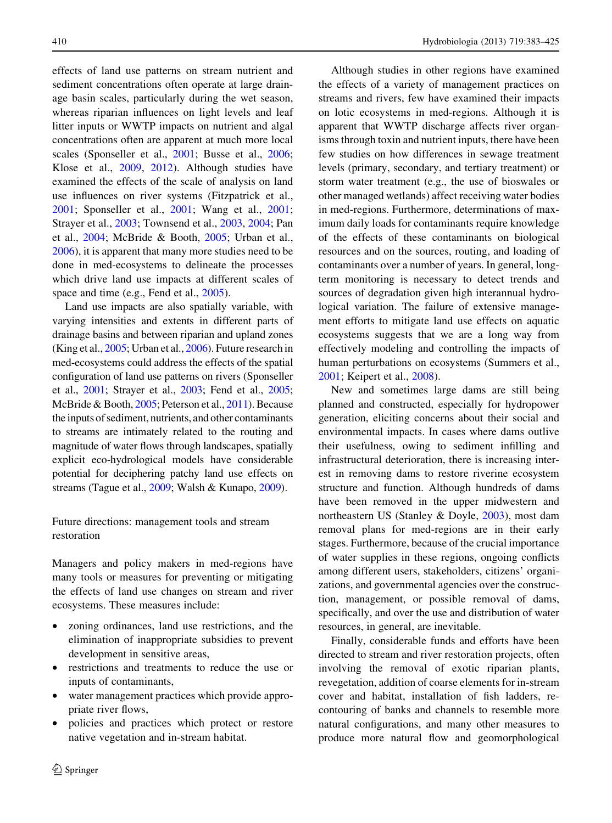effects of land use patterns on stream nutrient and sediment concentrations often operate at large drainage basin scales, particularly during the wet season, whereas riparian influences on light levels and leaf litter inputs or WWTP impacts on nutrient and algal concentrations often are apparent at much more local scales (Sponseller et al., [2001;](#page-40-0) Busse et al., [2006](#page-31-0); Klose et al., [2009,](#page-35-0) [2012\)](#page-35-0). Although studies have examined the effects of the scale of analysis on land use influences on river systems (Fitzpatrick et al., [2001;](#page-33-0) Sponseller et al., [2001](#page-40-0); Wang et al., [2001](#page-41-0); Strayer et al., [2003;](#page-40-0) Townsend et al., [2003,](#page-41-0) [2004;](#page-41-0) Pan et al., [2004](#page-38-0); McBride & Booth, [2005](#page-37-0); Urban et al., [2006\)](#page-41-0), it is apparent that many more studies need to be done in med-ecosystems to delineate the processes which drive land use impacts at different scales of space and time (e.g., Fend et al., [2005\)](#page-33-0).

Land use impacts are also spatially variable, with varying intensities and extents in different parts of drainage basins and between riparian and upland zones (King et al., [2005](#page-35-0); Urban et al., [2006\)](#page-41-0). Future research in med-ecosystems could address the effects of the spatial configuration of land use patterns on rivers (Sponseller et al., [2001](#page-40-0); Strayer et al., [2003](#page-40-0); Fend et al., [2005](#page-33-0); McBride & Booth, [2005](#page-37-0); Peterson et al., [2011](#page-38-0)). Because the inputs of sediment, nutrients, and other contaminants to streams are intimately related to the routing and magnitude of water flows through landscapes, spatially explicit eco-hydrological models have considerable potential for deciphering patchy land use effects on streams (Tague et al., [2009;](#page-40-0) Walsh & Kunapo, [2009](#page-41-0)).

Future directions: management tools and stream restoration

Managers and policy makers in med-regions have many tools or measures for preventing or mitigating the effects of land use changes on stream and river ecosystems. These measures include:

- zoning ordinances, land use restrictions, and the elimination of inappropriate subsidies to prevent development in sensitive areas,
- restrictions and treatments to reduce the use or inputs of contaminants,
- water management practices which provide appropriate river flows,
- policies and practices which protect or restore native vegetation and in-stream habitat.

Although studies in other regions have examined the effects of a variety of management practices on streams and rivers, few have examined their impacts on lotic ecosystems in med-regions. Although it is apparent that WWTP discharge affects river organisms through toxin and nutrient inputs, there have been few studies on how differences in sewage treatment levels (primary, secondary, and tertiary treatment) or storm water treatment (e.g., the use of bioswales or other managed wetlands) affect receiving water bodies in med-regions. Furthermore, determinations of maximum daily loads for contaminants require knowledge of the effects of these contaminants on biological resources and on the sources, routing, and loading of contaminants over a number of years. In general, longterm monitoring is necessary to detect trends and sources of degradation given high interannual hydrological variation. The failure of extensive management efforts to mitigate land use effects on aquatic ecosystems suggests that we are a long way from effectively modeling and controlling the impacts of human perturbations on ecosystems (Summers et al., [2001;](#page-40-0) Keipert et al., [2008](#page-35-0)).

New and sometimes large dams are still being planned and constructed, especially for hydropower generation, eliciting concerns about their social and environmental impacts. In cases where dams outlive their usefulness, owing to sediment infilling and infrastructural deterioration, there is increasing interest in removing dams to restore riverine ecosystem structure and function. Although hundreds of dams have been removed in the upper midwestern and northeastern US (Stanley & Doyle, [2003](#page-40-0)), most dam removal plans for med-regions are in their early stages. Furthermore, because of the crucial importance of water supplies in these regions, ongoing conflicts among different users, stakeholders, citizens' organizations, and governmental agencies over the construction, management, or possible removal of dams, specifically, and over the use and distribution of water resources, in general, are inevitable.

Finally, considerable funds and efforts have been directed to stream and river restoration projects, often involving the removal of exotic riparian plants, revegetation, addition of coarse elements for in-stream cover and habitat, installation of fish ladders, recontouring of banks and channels to resemble more natural configurations, and many other measures to produce more natural flow and geomorphological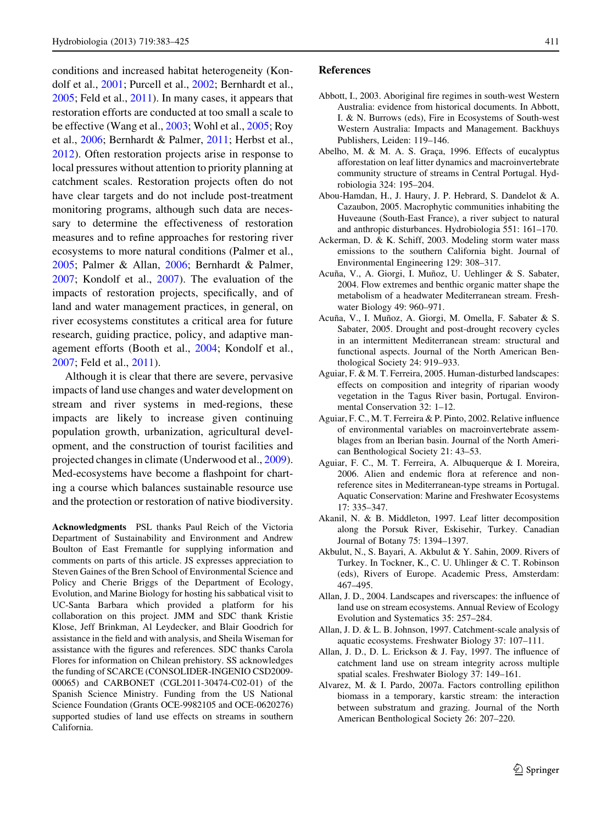<span id="page-28-0"></span>conditions and increased habitat heterogeneity (Kondolf et al., [2001](#page-35-0); Purcell et al., [2002;](#page-38-0) Bernhardt et al., [2005;](#page-29-0) Feld et al., [2011](#page-32-0)). In many cases, it appears that restoration efforts are conducted at too small a scale to be effective (Wang et al., [2003](#page-41-0); Wohl et al., [2005;](#page-42-0) Roy et al., [2006;](#page-39-0) Bernhardt & Palmer, [2011;](#page-29-0) Herbst et al., [2012\)](#page-34-0). Often restoration projects arise in response to local pressures without attention to priority planning at catchment scales. Restoration projects often do not have clear targets and do not include post-treatment monitoring programs, although such data are necessary to determine the effectiveness of restoration measures and to refine approaches for restoring river ecosystems to more natural conditions (Palmer et al., [2005;](#page-38-0) Palmer & Allan, [2006;](#page-38-0) Bernhardt & Palmer, [2007;](#page-29-0) Kondolf et al., [2007](#page-35-0)). The evaluation of the impacts of restoration projects, specifically, and of land and water management practices, in general, on river ecosystems constitutes a critical area for future research, guiding practice, policy, and adaptive management efforts (Booth et al., [2004](#page-30-0); Kondolf et al., [2007;](#page-35-0) Feld et al., [2011\)](#page-32-0).

Although it is clear that there are severe, pervasive impacts of land use changes and water development on stream and river systems in med-regions, these impacts are likely to increase given continuing population growth, urbanization, agricultural development, and the construction of tourist facilities and projected changes in climate (Underwood et al., [2009](#page-41-0)). Med-ecosystems have become a flashpoint for charting a course which balances sustainable resource use and the protection or restoration of native biodiversity.

Acknowledgments PSL thanks Paul Reich of the Victoria Department of Sustainability and Environment and Andrew Boulton of East Fremantle for supplying information and comments on parts of this article. JS expresses appreciation to Steven Gaines of the Bren School of Environmental Science and Policy and Cherie Briggs of the Department of Ecology, Evolution, and Marine Biology for hosting his sabbatical visit to UC-Santa Barbara which provided a platform for his collaboration on this project. JMM and SDC thank Kristie Klose, Jeff Brinkman, Al Leydecker, and Blair Goodrich for assistance in the field and with analysis, and Sheila Wiseman for assistance with the figures and references. SDC thanks Carola Flores for information on Chilean prehistory. SS acknowledges the funding of SCARCE (CONSOLIDER-INGENIO CSD2009- 00065) and CARBONET (CGL2011-30474-C02-01) of the Spanish Science Ministry. Funding from the US National Science Foundation (Grants OCE-9982105 and OCE-0620276) supported studies of land use effects on streams in southern California.

## References

- Abbott, I., 2003. Aboriginal fire regimes in south-west Western Australia: evidence from historical documents. In Abbott, I. & N. Burrows (eds), Fire in Ecosystems of South-west Western Australia: Impacts and Management. Backhuys Publishers, Leiden: 119–146.
- Abelho, M. & M. A. S. Graca, 1996. Effects of eucalyptus afforestation on leaf litter dynamics and macroinvertebrate community structure of streams in Central Portugal. Hydrobiologia 324: 195–204.
- Abou-Hamdan, H., J. Haury, J. P. Hebrard, S. Dandelot & A. Cazaubon, 2005. Macrophytic communities inhabiting the Huveaune (South-East France), a river subject to natural and anthropic disturbances. Hydrobiologia 551: 161–170.
- Ackerman, D. & K. Schiff, 2003. Modeling storm water mass emissions to the southern California bight. Journal of Environmental Engineering 129: 308–317.
- Acuña, V., A. Giorgi, I. Muñoz, U. Uehlinger & S. Sabater, 2004. Flow extremes and benthic organic matter shape the metabolism of a headwater Mediterranean stream. Freshwater Biology 49: 960–971.
- Acuña, V., I. Muñoz, A. Giorgi, M. Omella, F. Sabater & S. Sabater, 2005. Drought and post-drought recovery cycles in an intermittent Mediterranean stream: structural and functional aspects. Journal of the North American Benthological Society 24: 919–933.
- Aguiar, F. & M. T. Ferreira, 2005. Human-disturbed landscapes: effects on composition and integrity of riparian woody vegetation in the Tagus River basin, Portugal. Environmental Conservation 32: 1–12.
- Aguiar, F. C., M. T. Ferreira & P. Pinto, 2002. Relative influence of environmental variables on macroinvertebrate assemblages from an Iberian basin. Journal of the North American Benthological Society 21: 43–53.
- Aguiar, F. C., M. T. Ferreira, A. Albuquerque & I. Moreira, 2006. Alien and endemic flora at reference and nonreference sites in Mediterranean-type streams in Portugal. Aquatic Conservation: Marine and Freshwater Ecosystems 17: 335–347.
- Akanil, N. & B. Middleton, 1997. Leaf litter decomposition along the Porsuk River, Eskisehir, Turkey. Canadian Journal of Botany 75: 1394–1397.
- Akbulut, N., S. Bayari, A. Akbulut & Y. Sahin, 2009. Rivers of Turkey. In Tockner, K., C. U. Uhlinger & C. T. Robinson (eds), Rivers of Europe. Academic Press, Amsterdam: 467–495.
- Allan, J. D., 2004. Landscapes and riverscapes: the influence of land use on stream ecosystems. Annual Review of Ecology Evolution and Systematics 35: 257–284.
- Allan, J. D. & L. B. Johnson, 1997. Catchment-scale analysis of aquatic ecosystems. Freshwater Biology 37: 107–111.
- Allan, J. D., D. L. Erickson & J. Fay, 1997. The influence of catchment land use on stream integrity across multiple spatial scales. Freshwater Biology 37: 149–161.
- Alvarez, M. & I. Pardo, 2007a. Factors controlling epilithon biomass in a temporary, karstic stream: the interaction between substratum and grazing. Journal of the North American Benthological Society 26: 207–220.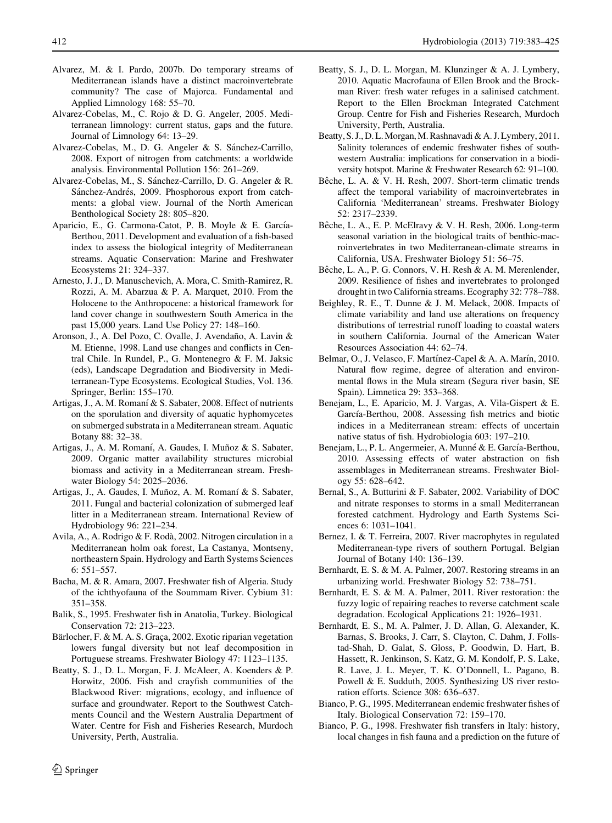- <span id="page-29-0"></span>Alvarez, M. & I. Pardo, 2007b. Do temporary streams of Mediterranean islands have a distinct macroinvertebrate community? The case of Majorca. Fundamental and Applied Limnology 168: 55–70.
- Alvarez-Cobelas, M., C. Rojo & D. G. Angeler, 2005. Mediterranean limnology: current status, gaps and the future. Journal of Limnology 64: 13–29.
- Alvarez-Cobelas, M., D. G. Angeler & S. Sánchez-Carrillo, 2008. Export of nitrogen from catchments: a worldwide analysis. Environmental Pollution 156: 261–269.
- Alvarez-Cobelas, M., S. Sánchez-Carrillo, D. G. Angeler & R. Sánchez-Andrés, 2009. Phosphorous export from catchments: a global view. Journal of the North American Benthological Society 28: 805–820.
- Aparicio, E., G. Carmona-Catot, P. B. Moyle & E. García-Berthou, 2011. Development and evaluation of a fish-based index to assess the biological integrity of Mediterranean streams. Aquatic Conservation: Marine and Freshwater Ecosystems 21: 324–337.
- Arnesto, J. J., D. Manuschevich, A. Mora, C. Smith-Ramirez, R. Rozzi, A. M. Abarzua & P. A. Marquet, 2010. From the Holocene to the Anthropocene: a historical framework for land cover change in southwestern South America in the past 15,000 years. Land Use Policy 27: 148–160.
- Aronson, J., A. Del Pozo, C. Ovalle, J. Avendaño, A. Lavin & M. Etienne, 1998. Land use changes and conflicts in Central Chile. In Rundel, P., G. Montenegro & F. M. Jaksic (eds), Landscape Degradation and Biodiversity in Mediterranean-Type Ecosystems. Ecological Studies, Vol. 136. Springer, Berlin: 155–170.
- Artigas, J., A. M. Romaní & S. Sabater, 2008. Effect of nutrients on the sporulation and diversity of aquatic hyphomycetes on submerged substrata in a Mediterranean stream. Aquatic Botany 88: 32–38.
- Artigas, J., A. M. Romaní, A. Gaudes, I. Muñoz & S. Sabater, 2009. Organic matter availability structures microbial biomass and activity in a Mediterranean stream. Freshwater Biology 54: 2025–2036.
- Artigas, J., A. Gaudes, I. Muñoz, A. M. Romaní & S. Sabater, 2011. Fungal and bacterial colonization of submerged leaf litter in a Mediterranean stream. International Review of Hydrobiology 96: 221–234.
- Avila, A., A. Rodrigo & F. Rodà, 2002. Nitrogen circulation in a Mediterranean holm oak forest, La Castanya, Montseny, northeastern Spain. Hydrology and Earth Systems Sciences 6: 551–557.
- Bacha, M. & R. Amara, 2007. Freshwater fish of Algeria. Study of the ichthyofauna of the Soummam River. Cybium 31: 351–358.
- Balik, S., 1995. Freshwater fish in Anatolia, Turkey. Biological Conservation 72: 213–223.
- Bärlocher, F. & M. A. S. Graça, 2002. Exotic riparian vegetation lowers fungal diversity but not leaf decomposition in Portuguese streams. Freshwater Biology 47: 1123–1135.
- Beatty, S. J., D. L. Morgan, F. J. McAleer, A. Koenders & P. Horwitz, 2006. Fish and crayfish communities of the Blackwood River: migrations, ecology, and influence of surface and groundwater. Report to the Southwest Catchments Council and the Western Australia Department of Water. Centre for Fish and Fisheries Research, Murdoch University, Perth, Australia.
- Beatty, S. J., D. L. Morgan, M. Klunzinger & A. J. Lymbery, 2010. Aquatic Macrofauna of Ellen Brook and the Brockman River: fresh water refuges in a salinised catchment. Report to the Ellen Brockman Integrated Catchment Group. Centre for Fish and Fisheries Research, Murdoch University, Perth, Australia.
- Beatty, S. J., D. L. Morgan, M. Rashnavadi & A. J. Lymbery, 2011. Salinity tolerances of endemic freshwater fishes of southwestern Australia: implications for conservation in a biodiversity hotspot. Marine & Freshwater Research 62: 91–100.
- Bêche, L. A. & V. H. Resh, 2007. Short-term climatic trends affect the temporal variability of macroinvertebrates in California 'Mediterranean' streams. Freshwater Biology 52: 2317–2339.
- Bêche, L. A., E. P. McElravy & V. H. Resh, 2006. Long-term seasonal variation in the biological traits of benthic-macroinvertebrates in two Mediterranean-climate streams in California, USA. Freshwater Biology 51: 56–75.
- Bêche, L. A., P. G. Connors, V. H. Resh & A. M. Merenlender, 2009. Resilience of fishes and invertebrates to prolonged drought in two California streams. Ecography 32: 778–788.
- Beighley, R. E., T. Dunne & J. M. Melack, 2008. Impacts of climate variability and land use alterations on frequency distributions of terrestrial runoff loading to coastal waters in southern California. Journal of the American Water Resources Association 44: 62–74.
- Belmar, O., J. Velasco, F. Martínez-Capel & A. A. Marín, 2010. Natural flow regime, degree of alteration and environmental flows in the Mula stream (Segura river basin, SE Spain). Limnetica 29: 353–368.
- Benejam, L., E. Aparicio, M. J. Vargas, A. Vila-Gispert & E. García-Berthou, 2008. Assessing fish metrics and biotic indices in a Mediterranean stream: effects of uncertain native status of fish. Hydrobiologia 603: 197–210.
- Benejam, L., P. L. Angermeier, A. Munné & E. García-Berthou, 2010. Assessing effects of water abstraction on fish assemblages in Mediterranean streams. Freshwater Biology 55: 628–642.
- Bernal, S., A. Butturini & F. Sabater, 2002. Variability of DOC and nitrate responses to storms in a small Mediterranean forested catchment. Hydrology and Earth Systems Sciences 6: 1031–1041.
- Bernez, I. & T. Ferreira, 2007. River macrophytes in regulated Mediterranean-type rivers of southern Portugal. Belgian Journal of Botany 140: 136–139.
- Bernhardt, E. S. & M. A. Palmer, 2007. Restoring streams in an urbanizing world. Freshwater Biology 52: 738–751.
- Bernhardt, E. S. & M. A. Palmer, 2011. River restoration: the fuzzy logic of repairing reaches to reverse catchment scale degradation. Ecological Applications 21: 1926–1931.
- Bernhardt, E. S., M. A. Palmer, J. D. Allan, G. Alexander, K. Barnas, S. Brooks, J. Carr, S. Clayton, C. Dahm, J. Follstad-Shah, D. Galat, S. Gloss, P. Goodwin, D. Hart, B. Hassett, R. Jenkinson, S. Katz, G. M. Kondolf, P. S. Lake, R. Lave, J. L. Meyer, T. K. O'Donnell, L. Pagano, B. Powell & E. Sudduth, 2005. Synthesizing US river restoration efforts. Science 308: 636–637.
- Bianco, P. G., 1995. Mediterranean endemic freshwater fishes of Italy. Biological Conservation 72: 159–170.
- Bianco, P. G., 1998. Freshwater fish transfers in Italy: history, local changes in fish fauna and a prediction on the future of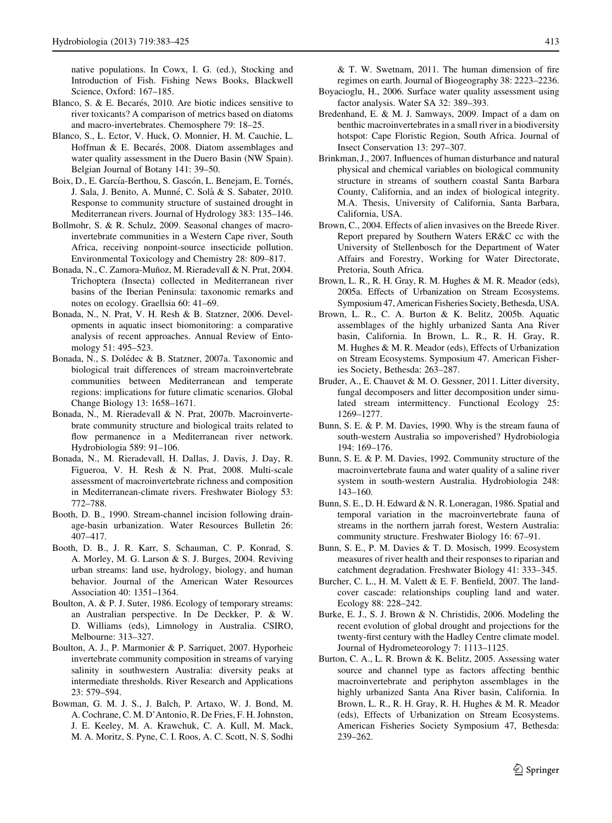<span id="page-30-0"></span>native populations. In Cowx, I. G. (ed.), Stocking and Introduction of Fish. Fishing News Books, Blackwell Science, Oxford: 167–185.

- Blanco, S. & E. Becarés, 2010. Are biotic indices sensitive to river toxicants? A comparison of metrics based on diatoms and macro-invertebrates. Chemosphere 79: 18–25.
- Blanco, S., L. Ector, V. Huck, O. Monnier, H. M. Cauchie, L. Hoffman & E. Becarés, 2008. Diatom assemblages and water quality assessment in the Duero Basin (NW Spain). Belgian Journal of Botany 141: 39–50.
- Boix, D., E. García-Berthou, S. Gascón, L. Benejam, E. Tornés, J. Sala, J. Benito, A. Munné, C. Solà & S. Sabater, 2010. Response to community structure of sustained drought in Mediterranean rivers. Journal of Hydrology 383: 135–146.
- Bollmohr, S. & R. Schulz, 2009. Seasonal changes of macroinvertebrate communities in a Western Cape river, South Africa, receiving nonpoint-source insecticide pollution. Environmental Toxicology and Chemistry 28: 809–817.
- Bonada, N., C. Zamora-Muñoz, M. Rieradevall & N. Prat, 2004. Trichoptera (Insecta) collected in Mediterranean river basins of the Iberian Peninsula: taxonomic remarks and notes on ecology. Graellsia 60: 41–69.
- Bonada, N., N. Prat, V. H. Resh & B. Statzner, 2006. Developments in aquatic insect biomonitoring: a comparative analysis of recent approaches. Annual Review of Entomology 51: 495–523.
- Bonada, N., S. Dolédec & B. Statzner, 2007a. Taxonomic and biological trait differences of stream macroinvertebrate communities between Mediterranean and temperate regions: implications for future climatic scenarios. Global Change Biology 13: 1658–1671.
- Bonada, N., M. Rieradevall & N. Prat, 2007b. Macroinvertebrate community structure and biological traits related to flow permanence in a Mediterranean river network. Hydrobiologia 589: 91–106.
- Bonada, N., M. Rieradevall, H. Dallas, J. Davis, J. Day, R. Figueroa, V. H. Resh & N. Prat, 2008. Multi-scale assessment of macroinvertebrate richness and composition in Mediterranean-climate rivers. Freshwater Biology 53: 772–788.
- Booth, D. B., 1990. Stream-channel incision following drainage-basin urbanization. Water Resources Bulletin 26: 407–417.
- Booth, D. B., J. R. Karr, S. Schauman, C. P. Konrad, S. A. Morley, M. G. Larson & S. J. Burges, 2004. Reviving urban streams: land use, hydrology, biology, and human behavior. Journal of the American Water Resources Association 40: 1351–1364.
- Boulton, A. & P. J. Suter, 1986. Ecology of temporary streams: an Australian perspective. In De Deckker, P. & W. D. Williams (eds), Limnology in Australia. CSIRO, Melbourne: 313–327.
- Boulton, A. J., P. Marmonier & P. Sarriquet, 2007. Hyporheic invertebrate community composition in streams of varying salinity in southwestern Australia: diversity peaks at intermediate thresholds. River Research and Applications 23: 579–594.
- Bowman, G. M. J. S., J. Balch, P. Artaxo, W. J. Bond, M. A. Cochrane, C. M. D'Antonio, R. De Fries, F. H. Johnston, J. E. Keeley, M. A. Krawchuk, C. A. Kull, M. Mack, M. A. Moritz, S. Pyne, C. I. Roos, A. C. Scott, N. S. Sodhi

& T. W. Swetnam, 2011. The human dimension of fire regimes on earth. Journal of Biogeography 38: 2223–2236.

- Boyacioglu, H., 2006. Surface water quality assessment using factor analysis. Water SA 32: 389–393.
- Bredenhand, E. & M. J. Samways, 2009. Impact of a dam on benthic macroinvertebrates in a small river in a biodiversity hotspot: Cape Floristic Region, South Africa. Journal of Insect Conservation 13: 297–307.
- Brinkman, J., 2007. Influences of human disturbance and natural physical and chemical variables on biological community structure in streams of southern coastal Santa Barbara County, California, and an index of biological integrity. M.A. Thesis, University of California, Santa Barbara, California, USA.
- Brown, C., 2004. Effects of alien invasives on the Breede River. Report prepared by Southern Waters ER&C cc with the University of Stellenbosch for the Department of Water Affairs and Forestry, Working for Water Directorate, Pretoria, South Africa.
- Brown, L. R., R. H. Gray, R. M. Hughes & M. R. Meador (eds), 2005a. Effects of Urbanization on Stream Ecosystems. Symposium 47, American Fisheries Society, Bethesda, USA.
- Brown, L. R., C. A. Burton & K. Belitz, 2005b. Aquatic assemblages of the highly urbanized Santa Ana River basin, California. In Brown, L. R., R. H. Gray, R. M. Hughes & M. R. Meador (eds), Effects of Urbanization on Stream Ecosystems. Symposium 47. American Fisheries Society, Bethesda: 263–287.
- Bruder, A., E. Chauvet & M. O. Gessner, 2011. Litter diversity, fungal decomposers and litter decomposition under simulated stream intermittency. Functional Ecology 25: 1269–1277.
- Bunn, S. E. & P. M. Davies, 1990. Why is the stream fauna of south-western Australia so impoverished? Hydrobiologia 194: 169–176.
- Bunn, S. E. & P. M. Davies, 1992. Community structure of the macroinvertebrate fauna and water quality of a saline river system in south-western Australia. Hydrobiologia 248: 143–160.
- Bunn, S. E., D. H. Edward & N. R. Loneragan, 1986. Spatial and temporal variation in the macroinvertebrate fauna of streams in the northern jarrah forest, Western Australia: community structure. Freshwater Biology 16: 67–91.
- Bunn, S. E., P. M. Davies & T. D. Mosisch, 1999. Ecosystem measures of river health and their responses to riparian and catchment degradation. Freshwater Biology 41: 333–345.
- Burcher, C. L., H. M. Valett & E. F. Benfield, 2007. The landcover cascade: relationships coupling land and water. Ecology 88: 228–242.
- Burke, E. J., S. J. Brown & N. Christidis, 2006. Modeling the recent evolution of global drought and projections for the twenty-first century with the Hadley Centre climate model. Journal of Hydrometeorology 7: 1113–1125.
- Burton, C. A., L. R. Brown & K. Belitz, 2005. Assessing water source and channel type as factors affecting benthic macroinvertebrate and periphyton assemblages in the highly urbanized Santa Ana River basin, California. In Brown, L. R., R. H. Gray, R. H. Hughes & M. R. Meador (eds), Effects of Urbanization on Stream Ecosystems. American Fisheries Society Symposium 47, Bethesda: 239–262.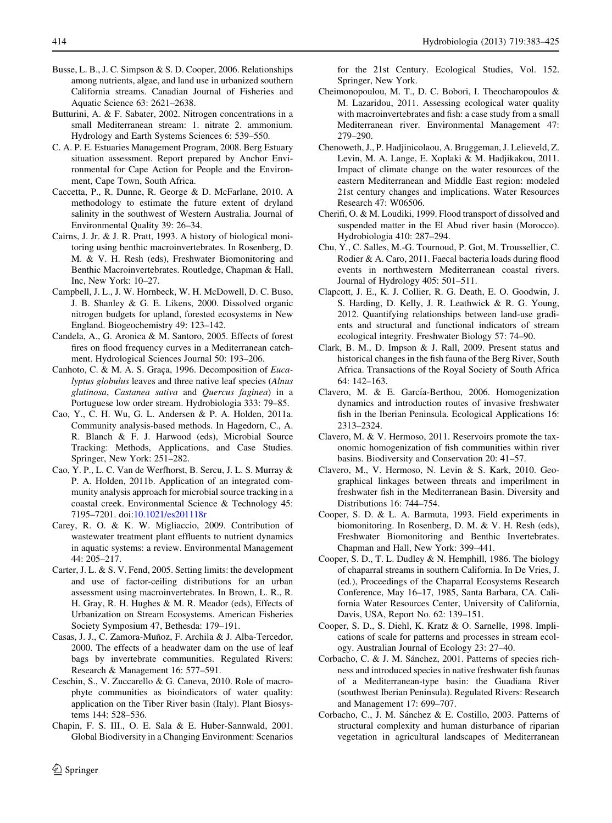- <span id="page-31-0"></span>Busse, L. B., J. C. Simpson & S. D. Cooper, 2006. Relationships among nutrients, algae, and land use in urbanized southern California streams. Canadian Journal of Fisheries and Aquatic Science 63: 2621–2638.
- Butturini, A. & F. Sabater, 2002. Nitrogen concentrations in a small Mediterranean stream: 1. nitrate 2. ammonium. Hydrology and Earth Systems Sciences 6: 539–550.
- C. A. P. E. Estuaries Management Program, 2008. Berg Estuary situation assessment. Report prepared by Anchor Environmental for Cape Action for People and the Environment, Cape Town, South Africa.
- Caccetta, P., R. Dunne, R. George & D. McFarlane, 2010. A methodology to estimate the future extent of dryland salinity in the southwest of Western Australia. Journal of Environmental Quality 39: 26–34.
- Cairns, J. Jr. & J. R. Pratt, 1993. A history of biological monitoring using benthic macroinvertebrates. In Rosenberg, D. M. & V. H. Resh (eds), Freshwater Biomonitoring and Benthic Macroinvertebrates. Routledge, Chapman & Hall, Inc, New York: 10–27.
- Campbell, J. L., J. W. Hornbeck, W. H. McDowell, D. C. Buso, J. B. Shanley & G. E. Likens, 2000. Dissolved organic nitrogen budgets for upland, forested ecosystems in New England. Biogeochemistry 49: 123–142.
- Candela, A., G. Aronica & M. Santoro, 2005. Effects of forest fires on flood frequency curves in a Mediterranean catchment. Hydrological Sciences Journal 50: 193–206.
- Canhoto, C. & M. A. S. Graça, 1996. Decomposition of Eucalyptus globulus leaves and three native leaf species (Alnus glutinosa, Castanea sativa and Quercus faginea) in a Portuguese low order stream. Hydrobiologia 333: 79–85.
- Cao, Y., C. H. Wu, G. L. Andersen & P. A. Holden, 2011a. Community analysis-based methods. In Hagedorn, C., A. R. Blanch & F. J. Harwood (eds), Microbial Source Tracking: Methods, Applications, and Case Studies. Springer, New York: 251–282.
- Cao, Y. P., L. C. Van de Werfhorst, B. Sercu, J. L. S. Murray & P. A. Holden, 2011b. Application of an integrated community analysis approach for microbial source tracking in a coastal creek. Environmental Science & Technology 45: 7195–7201. doi:[10.1021/es201118r](http://dx.doi.org/10.1021/es201118r)
- Carey, R. O. & K. W. Migliaccio, 2009. Contribution of wastewater treatment plant effluents to nutrient dynamics in aquatic systems: a review. Environmental Management 44: 205–217.
- Carter, J. L. & S. V. Fend, 2005. Setting limits: the development and use of factor-ceiling distributions for an urban assessment using macroinvertebrates. In Brown, L. R., R. H. Gray, R. H. Hughes & M. R. Meador (eds), Effects of Urbanization on Stream Ecosystems. American Fisheries Society Symposium 47, Bethesda: 179–191.
- Casas, J. J., C. Zamora-Muñoz, F. Archila & J. Alba-Tercedor, 2000. The effects of a headwater dam on the use of leaf bags by invertebrate communities. Regulated Rivers: Research & Management 16: 577–591.
- Ceschin, S., V. Zuccarello & G. Caneva, 2010. Role of macrophyte communities as bioindicators of water quality: application on the Tiber River basin (Italy). Plant Biosystems 144: 528–536.
- Chapin, F. S. III., O. E. Sala & E. Huber-Sannwald, 2001. Global Biodiversity in a Changing Environment: Scenarios

for the 21st Century. Ecological Studies, Vol. 152. Springer, New York.

- Cheimonopoulou, M. T., D. C. Bobori, I. Theocharopoulos & M. Lazaridou, 2011. Assessing ecological water quality with macroinvertebrates and fish: a case study from a small Mediterranean river. Environmental Management 47: 279–290.
- Chenoweth, J., P. Hadjinicolaou, A. Bruggeman, J. Lelieveld, Z. Levin, M. A. Lange, E. Xoplaki & M. Hadjikakou, 2011. Impact of climate change on the water resources of the eastern Mediterranean and Middle East region: modeled 21st century changes and implications. Water Resources Research 47: W06506.
- Cherifi, O. & M. Loudiki, 1999. Flood transport of dissolved and suspended matter in the El Abud river basin (Morocco). Hydrobiologia 410: 287–294.
- Chu, Y., C. Salles, M.-G. Tournoud, P. Got, M. Troussellier, C. Rodier & A. Caro, 2011. Faecal bacteria loads during flood events in northwestern Mediterranean coastal rivers. Journal of Hydrology 405: 501–511.
- Clapcott, J. E., K. J. Collier, R. G. Death, E. O. Goodwin, J. S. Harding, D. Kelly, J. R. Leathwick & R. G. Young, 2012. Quantifying relationships between land-use gradients and structural and functional indicators of stream ecological integrity. Freshwater Biology 57: 74–90.
- Clark, B. M., D. Impson & J. Rall, 2009. Present status and historical changes in the fish fauna of the Berg River, South Africa. Transactions of the Royal Society of South Africa 64: 142–163.
- Clavero, M. & E. García-Berthou, 2006. Homogenization dynamics and introduction routes of invasive freshwater fish in the Iberian Peninsula. Ecological Applications 16: 2313–2324.
- Clavero, M. & V. Hermoso, 2011. Reservoirs promote the taxonomic homogenization of fish communities within river basins. Biodiversity and Conservation 20: 41–57.
- Clavero, M., V. Hermoso, N. Levin & S. Kark, 2010. Geographical linkages between threats and imperilment in freshwater fish in the Mediterranean Basin. Diversity and Distributions 16: 744–754.
- Cooper, S. D. & L. A. Barmuta, 1993. Field experiments in biomonitoring. In Rosenberg, D. M. & V. H. Resh (eds), Freshwater Biomonitoring and Benthic Invertebrates. Chapman and Hall, New York: 399–441.
- Cooper, S. D., T. L. Dudley & N. Hemphill, 1986. The biology of chaparral streams in southern California. In De Vries, J. (ed.), Proceedings of the Chaparral Ecosystems Research Conference, May 16–17, 1985, Santa Barbara, CA. California Water Resources Center, University of California, Davis, USA, Report No. 62: 139–151.
- Cooper, S. D., S. Diehl, K. Kratz & O. Sarnelle, 1998. Implications of scale for patterns and processes in stream ecology. Australian Journal of Ecology 23: 27–40.
- Corbacho, C. & J. M. Sánchez, 2001. Patterns of species richness and introduced species in native freshwater fish faunas of a Mediterranean-type basin: the Guadiana River (southwest Iberian Peninsula). Regulated Rivers: Research and Management 17: 699–707.
- Corbacho, C., J. M. Sánchez & E. Costillo, 2003. Patterns of structural complexity and human disturbance of riparian vegetation in agricultural landscapes of Mediterranean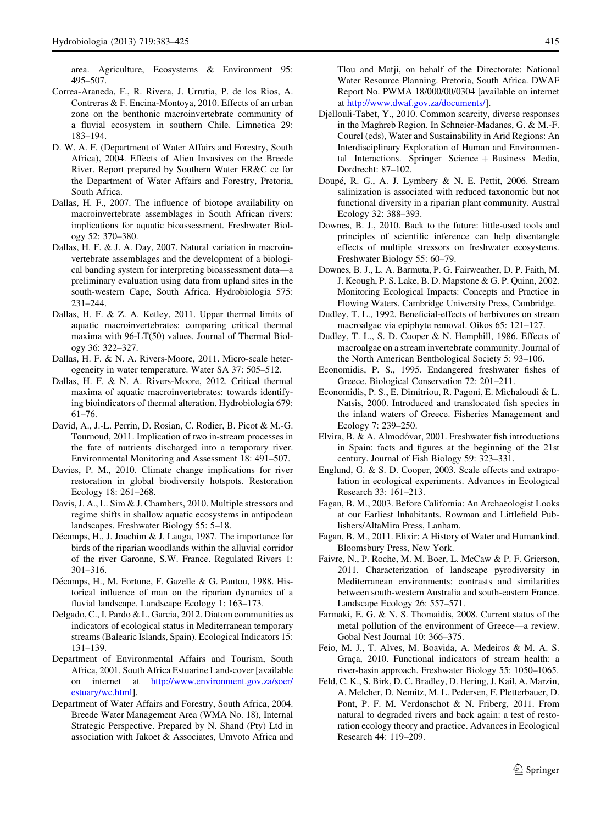<span id="page-32-0"></span>area. Agriculture, Ecosystems & Environment 95: 495–507.

- Correa-Araneda, F., R. Rivera, J. Urrutia, P. de los Rios, A. Contreras & F. Encina-Montoya, 2010. Effects of an urban zone on the benthonic macroinvertebrate community of a fluvial ecosystem in southern Chile. Limnetica 29: 183–194.
- D. W. A. F. (Department of Water Affairs and Forestry, South Africa), 2004. Effects of Alien Invasives on the Breede River. Report prepared by Southern Water ER&C cc for the Department of Water Affairs and Forestry, Pretoria, South Africa.
- Dallas, H. F., 2007. The influence of biotope availability on macroinvertebrate assemblages in South African rivers: implications for aquatic bioassessment. Freshwater Biology 52: 370–380.
- Dallas, H. F. & J. A. Day, 2007. Natural variation in macroinvertebrate assemblages and the development of a biological banding system for interpreting bioassessment data—a preliminary evaluation using data from upland sites in the south-western Cape, South Africa. Hydrobiologia 575: 231–244.
- Dallas, H. F. & Z. A. Ketley, 2011. Upper thermal limits of aquatic macroinvertebrates: comparing critical thermal maxima with 96-LT(50) values. Journal of Thermal Biology 36: 322–327.
- Dallas, H. F. & N. A. Rivers-Moore, 2011. Micro-scale heterogeneity in water temperature. Water SA 37: 505–512.
- Dallas, H. F. & N. A. Rivers-Moore, 2012. Critical thermal maxima of aquatic macroinvertebrates: towards identifying bioindicators of thermal alteration. Hydrobiologia 679: 61–76.
- David, A., J.-L. Perrin, D. Rosian, C. Rodier, B. Picot & M.-G. Tournoud, 2011. Implication of two in-stream processes in the fate of nutrients discharged into a temporary river. Environmental Monitoring and Assessment 18: 491–507.
- Davies, P. M., 2010. Climate change implications for river restoration in global biodiversity hotspots. Restoration Ecology 18: 261–268.
- Davis, J. A., L. Sim & J. Chambers, 2010. Multiple stressors and regime shifts in shallow aquatic ecosystems in antipodean landscapes. Freshwater Biology 55: 5–18.
- Décamps, H., J. Joachim & J. Lauga, 1987. The importance for birds of the riparian woodlands within the alluvial corridor of the river Garonne, S.W. France. Regulated Rivers 1: 301–316.
- Décamps, H., M. Fortune, F. Gazelle & G. Pautou, 1988. Historical influence of man on the riparian dynamics of a fluvial landscape. Landscape Ecology 1: 163–173.
- Delgado, C., I. Pardo & L. Garcia, 2012. Diatom communities as indicators of ecological status in Mediterranean temporary streams (Balearic Islands, Spain). Ecological Indicators 15: 131–139.
- Department of Environmental Affairs and Tourism, South Africa, 2001. South Africa Estuarine Land-cover [available on internet at [http://www.environment.gov.za/soer/](http://www.environment.gov.za/soer/estuary/wc.html) [estuary/wc.html](http://www.environment.gov.za/soer/estuary/wc.html)].
- Department of Water Affairs and Forestry, South Africa, 2004. Breede Water Management Area (WMA No. 18), Internal Strategic Perspective. Prepared by N. Shand (Pty) Ltd in association with Jakoet & Associates, Umvoto Africa and

Tlou and Matji, on behalf of the Directorate: National Water Resource Planning. Pretoria, South Africa. DWAF Report No. PWMA 18/000/00/0304 [available on internet at <http://www.dwaf.gov.za/documents/>].

- Djellouli-Tabet, Y., 2010. Common scarcity, diverse responses in the Maghreb Region. In Schneier-Madanes, G. & M.-F. Courel (eds), Water and Sustainability in Arid Regions: An Interdisciplinary Exploration of Human and Environmental Interactions. Springer Science  $+$  Business Media, Dordrecht: 87–102.
- Doupé, R. G., A. J. Lymbery & N. E. Pettit, 2006. Stream salinization is associated with reduced taxonomic but not functional diversity in a riparian plant community. Austral Ecology 32: 388–393.
- Downes, B. J., 2010. Back to the future: little-used tools and principles of scientific inference can help disentangle effects of multiple stressors on freshwater ecosystems. Freshwater Biology 55: 60–79.
- Downes, B. J., L. A. Barmuta, P. G. Fairweather, D. P. Faith, M. J. Keough, P. S. Lake, B. D. Mapstone & G. P. Quinn, 2002. Monitoring Ecological Impacts: Concepts and Practice in Flowing Waters. Cambridge University Press, Cambridge.
- Dudley, T. L., 1992. Beneficial-effects of herbivores on stream macroalgae via epiphyte removal. Oikos 65: 121–127.
- Dudley, T. L., S. D. Cooper & N. Hemphill, 1986. Effects of macroalgae on a stream invertebrate community. Journal of the North American Benthological Society 5: 93–106.
- Economidis, P. S., 1995. Endangered freshwater fishes of Greece. Biological Conservation 72: 201–211.
- Economidis, P. S., E. Dimitriou, R. Pagoni, E. Michaloudi & L. Natsis, 2000. Introduced and translocated fish species in the inland waters of Greece. Fisheries Management and Ecology 7: 239–250.
- Elvira, B. & A. Almodóvar, 2001. Freshwater fish introductions in Spain: facts and figures at the beginning of the 21st century. Journal of Fish Biology 59: 323–331.
- Englund, G. & S. D. Cooper, 2003. Scale effects and extrapolation in ecological experiments. Advances in Ecological Research 33: 161–213.
- Fagan, B. M., 2003. Before California: An Archaeologist Looks at our Earliest Inhabitants. Rowman and Littlefield Publishers/AltaMira Press, Lanham.
- Fagan, B. M., 2011. Elixir: A History of Water and Humankind. Bloomsbury Press, New York.
- Faivre, N., P. Roche, M. M. Boer, L. McCaw & P. F. Grierson, 2011. Characterization of landscape pyrodiversity in Mediterranean environments: contrasts and similarities between south-western Australia and south-eastern France. Landscape Ecology 26: 557–571.
- Farmaki, E. G. & N. S. Thomaidis, 2008. Current status of the metal pollution of the environment of Greece—a review. Gobal Nest Journal 10: 366–375.
- Feio, M. J., T. Alves, M. Boavida, A. Medeiros & M. A. S. Graça, 2010. Functional indicators of stream health: a river-basin approach. Freshwater Biology 55: 1050–1065.
- Feld, C. K., S. Birk, D. C. Bradley, D. Hering, J. Kail, A. Marzin, A. Melcher, D. Nemitz, M. L. Pedersen, F. Pletterbauer, D. Pont, P. F. M. Verdonschot & N. Friberg, 2011. From natural to degraded rivers and back again: a test of restoration ecology theory and practice. Advances in Ecological Research 44: 119–209.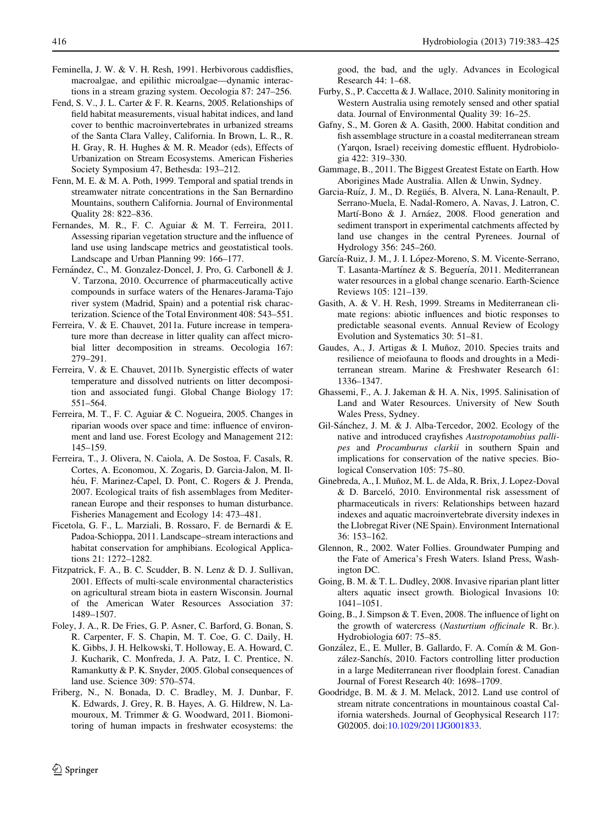- <span id="page-33-0"></span>Feminella, J. W. & V. H. Resh, 1991. Herbivorous caddisflies, macroalgae, and epilithic microalgae—dynamic interactions in a stream grazing system. Oecologia 87: 247–256.
- Fend, S. V., J. L. Carter & F. R. Kearns, 2005. Relationships of field habitat measurements, visual habitat indices, and land cover to benthic macroinvertebrates in urbanized streams of the Santa Clara Valley, California. In Brown, L. R., R. H. Gray, R. H. Hughes & M. R. Meador (eds), Effects of Urbanization on Stream Ecosystems. American Fisheries Society Symposium 47, Bethesda: 193–212.
- Fenn, M. E. & M. A. Poth, 1999. Temporal and spatial trends in streamwater nitrate concentrations in the San Bernardino Mountains, southern California. Journal of Environmental Quality 28: 822–836.
- Fernandes, M. R., F. C. Aguiar & M. T. Ferreira, 2011. Assessing riparian vegetation structure and the influence of land use using landscape metrics and geostatistical tools. Landscape and Urban Planning 99: 166–177.
- Fernández, C., M. Gonzalez-Doncel, J. Pro, G. Carbonell & J. V. Tarzona, 2010. Occurrence of pharmaceutically active compounds in surface waters of the Henares-Jarama-Tajo river system (Madrid, Spain) and a potential risk characterization. Science of the Total Environment 408: 543–551.
- Ferreira, V. & E. Chauvet, 2011a. Future increase in temperature more than decrease in litter quality can affect microbial litter decomposition in streams. Oecologia 167: 279–291.
- Ferreira, V. & E. Chauvet, 2011b. Synergistic effects of water temperature and dissolved nutrients on litter decomposition and associated fungi. Global Change Biology 17: 551–564.
- Ferreira, M. T., F. C. Aguiar & C. Nogueira, 2005. Changes in riparian woods over space and time: influence of environment and land use. Forest Ecology and Management 212: 145–159.
- Ferreira, T., J. Olivera, N. Caiola, A. De Sostoa, F. Casals, R. Cortes, A. Economou, X. Zogaris, D. Garcia-Jalon, M. Ilhéu, F. Marinez-Capel, D. Pont, C. Rogers & J. Prenda, 2007. Ecological traits of fish assemblages from Mediterranean Europe and their responses to human disturbance. Fisheries Management and Ecology 14: 473–481.
- Ficetola, G. F., L. Marziali, B. Rossaro, F. de Bernardi & E. Padoa-Schioppa, 2011. Landscape–stream interactions and habitat conservation for amphibians. Ecological Applications 21: 1272–1282.
- Fitzpatrick, F. A., B. C. Scudder, B. N. Lenz & D. J. Sullivan, 2001. Effects of multi-scale environmental characteristics on agricultural stream biota in eastern Wisconsin. Journal of the American Water Resources Association 37: 1489–1507.
- Foley, J. A., R. De Fries, G. P. Asner, C. Barford, G. Bonan, S. R. Carpenter, F. S. Chapin, M. T. Coe, G. C. Daily, H. K. Gibbs, J. H. Helkowski, T. Holloway, E. A. Howard, C. J. Kucharik, C. Monfreda, J. A. Patz, I. C. Prentice, N. Ramankutty & P. K. Snyder, 2005. Global consequences of land use. Science 309: 570–574.
- Friberg, N., N. Bonada, D. C. Bradley, M. J. Dunbar, F. K. Edwards, J. Grey, R. B. Hayes, A. G. Hildrew, N. Lamouroux, M. Trimmer & G. Woodward, 2011. Biomonitoring of human impacts in freshwater ecosystems: the

good, the bad, and the ugly. Advances in Ecological Research 44: 1–68.

- Furby, S., P. Caccetta & J. Wallace, 2010. Salinity monitoring in Western Australia using remotely sensed and other spatial data. Journal of Environmental Quality 39: 16–25.
- Gafny, S., M. Goren & A. Gasith, 2000. Habitat condition and fish assemblage structure in a coastal mediterranean stream (Yarqon, Israel) receiving domestic effluent. Hydrobiologia 422: 319–330.
- Gammage, B., 2011. The Biggest Greatest Estate on Earth. How Aborigines Made Australia. Allen & Unwin, Sydney.
- Garcia-Ruíz, J. M., D. Regüés, B. Alvera, N. Lana-Renault, P. Serrano-Muela, E. Nadal-Romero, A. Navas, J. Latron, C. Martí-Bono & J. Arnáez, 2008. Flood generation and sediment transport in experimental catchments affected by land use changes in the central Pyrenees. Journal of Hydrology 356: 245–260.
- García-Ruiz, J. M., J. I. López-Moreno, S. M. Vicente-Serrano, T. Lasanta-Martínez & S. Beguería, 2011. Mediterranean water resources in a global change scenario. Earth-Science Reviews 105: 121–139.
- Gasith, A. & V. H. Resh, 1999. Streams in Mediterranean climate regions: abiotic influences and biotic responses to predictable seasonal events. Annual Review of Ecology Evolution and Systematics 30: 51–81.
- Gaudes, A., J. Artigas & I. Muñoz, 2010. Species traits and resilience of meiofauna to floods and droughts in a Mediterranean stream. Marine & Freshwater Research 61: 1336–1347.
- Ghassemi, F., A. J. Jakeman & H. A. Nix, 1995. Salinisation of Land and Water Resources. University of New South Wales Press, Sydney.
- Gil-Sánchez, J. M. & J. Alba-Tercedor, 2002. Ecology of the native and introduced crayfishes Austropotamobius pallipes and Procamburus clarkii in southern Spain and implications for conservation of the native species. Biological Conservation 105: 75–80.
- Ginebreda, A., I. Muñoz, M. L. de Alda, R. Brix, J. Lopez-Doval & D. Barceló, 2010. Environmental risk assessment of pharmaceuticals in rivers: Relationships between hazard indexes and aquatic macroinvertebrate diversity indexes in the Llobregat River (NE Spain). Environment International 36: 153–162.
- Glennon, R., 2002. Water Follies. Groundwater Pumping and the Fate of America's Fresh Waters. Island Press, Washington DC.
- Going, B. M. & T. L. Dudley, 2008. Invasive riparian plant litter alters aquatic insect growth. Biological Invasions 10: 1041–1051.
- Going, B., J. Simpson & T. Even, 2008. The influence of light on the growth of watercress (Nasturtium officinale R. Br.). Hydrobiologia 607: 75–85.
- González, E., E. Muller, B. Gallardo, F. A. Comín & M. González-Sanchís, 2010. Factors controlling litter production in a large Mediterranean river floodplain forest. Canadian Journal of Forest Research 40: 1698–1709.
- Goodridge, B. M. & J. M. Melack, 2012. Land use control of stream nitrate concentrations in mountainous coastal California watersheds. Journal of Geophysical Research 117: G02005. doi:[10.1029/2011JG001833](http://dx.doi.org/10.1029/2011JG001833).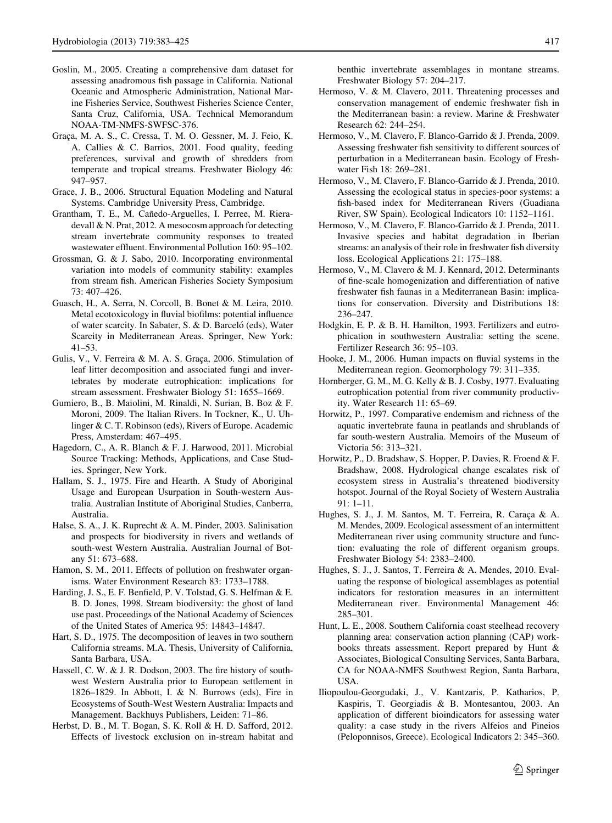- <span id="page-34-0"></span>Goslin, M., 2005. Creating a comprehensive dam dataset for assessing anadromous fish passage in California. National Oceanic and Atmospheric Administration, National Marine Fisheries Service, Southwest Fisheries Science Center, Santa Cruz, California, USA. Technical Memorandum NOAA-TM-NMFS-SWFSC-376.
- Graça, M. A. S., C. Cressa, T. M. O. Gessner, M. J. Feio, K. A. Callies & C. Barrios, 2001. Food quality, feeding preferences, survival and growth of shredders from temperate and tropical streams. Freshwater Biology 46: 947–957.
- Grace, J. B., 2006. Structural Equation Modeling and Natural Systems. Cambridge University Press, Cambridge.
- Grantham, T. E., M. Cañedo-Arguelles, I. Perree, M. Rieradevall & N. Prat, 2012. A mesocosm approach for detecting stream invertebrate community responses to treated wastewater effluent. Environmental Pollution 160: 95–102.
- Grossman, G. & J. Sabo, 2010. Incorporating environmental variation into models of community stability: examples from stream fish. American Fisheries Society Symposium 73: 407–426.
- Guasch, H., A. Serra, N. Corcoll, B. Bonet & M. Leira, 2010. Metal ecotoxicology in fluvial biofilms: potential influence of water scarcity. In Sabater, S. & D. Barceló (eds), Water Scarcity in Mediterranean Areas. Springer, New York: 41–53.
- Gulis, V., V. Ferreira & M. A. S. Graça, 2006. Stimulation of leaf litter decomposition and associated fungi and invertebrates by moderate eutrophication: implications for stream assessment. Freshwater Biology 51: 1655–1669.
- Gumiero, B., B. Maiolini, M. Rinaldi, N. Surian, B. Boz & F. Moroni, 2009. The Italian Rivers. In Tockner, K., U. Uhlinger & C. T. Robinson (eds), Rivers of Europe. Academic Press, Amsterdam: 467–495.
- Hagedorn, C., A. R. Blanch & F. J. Harwood, 2011. Microbial Source Tracking: Methods, Applications, and Case Studies. Springer, New York.
- Hallam, S. J., 1975. Fire and Hearth. A Study of Aboriginal Usage and European Usurpation in South-western Australia. Australian Institute of Aboriginal Studies, Canberra, Australia.
- Halse, S. A., J. K. Ruprecht & A. M. Pinder, 2003. Salinisation and prospects for biodiversity in rivers and wetlands of south-west Western Australia. Australian Journal of Botany 51: 673–688.
- Hamon, S. M., 2011. Effects of pollution on freshwater organisms. Water Environment Research 83: 1733–1788.
- Harding, J. S., E. F. Benfield, P. V. Tolstad, G. S. Helfman & E. B. D. Jones, 1998. Stream biodiversity: the ghost of land use past. Proceedings of the National Academy of Sciences of the United States of America 95: 14843–14847.
- Hart, S. D., 1975. The decomposition of leaves in two southern California streams. M.A. Thesis, University of California, Santa Barbara, USA.
- Hassell, C. W. & J. R. Dodson, 2003. The fire history of southwest Western Australia prior to European settlement in 1826–1829. In Abbott, I. & N. Burrows (eds), Fire in Ecosystems of South-West Western Australia: Impacts and Management. Backhuys Publishers, Leiden: 71–86.
- Herbst, D. B., M. T. Bogan, S. K. Roll & H. D. Safford, 2012. Effects of livestock exclusion on in-stream habitat and

benthic invertebrate assemblages in montane streams. Freshwater Biology 57: 204–217.

- Hermoso, V. & M. Clavero, 2011. Threatening processes and conservation management of endemic freshwater fish in the Mediterranean basin: a review. Marine & Freshwater Research 62: 244–254.
- Hermoso, V., M. Clavero, F. Blanco-Garrido & J. Prenda, 2009. Assessing freshwater fish sensitivity to different sources of perturbation in a Mediterranean basin. Ecology of Freshwater Fish 18: 269–281.
- Hermoso, V., M. Clavero, F. Blanco-Garrido & J. Prenda, 2010. Assessing the ecological status in species-poor systems: a fish-based index for Mediterranean Rivers (Guadiana River, SW Spain). Ecological Indicators 10: 1152–1161.
- Hermoso, V., M. Clavero, F. Blanco-Garrido & J. Prenda, 2011. Invasive species and habitat degradation in Iberian streams: an analysis of their role in freshwater fish diversity loss. Ecological Applications 21: 175–188.
- Hermoso, V., M. Clavero & M. J. Kennard, 2012. Determinants of fine-scale homogenization and differentiation of native freshwater fish faunas in a Mediterranean Basin: implications for conservation. Diversity and Distributions 18: 236–247.
- Hodgkin, E. P. & B. H. Hamilton, 1993. Fertilizers and eutrophication in southwestern Australia: setting the scene. Fertilizer Research 36: 95–103.
- Hooke, J. M., 2006. Human impacts on fluvial systems in the Mediterranean region. Geomorphology 79: 311–335.
- Hornberger, G. M., M. G. Kelly & B. J. Cosby, 1977. Evaluating eutrophication potential from river community productivity. Water Research 11: 65–69.
- Horwitz, P., 1997. Comparative endemism and richness of the aquatic invertebrate fauna in peatlands and shrublands of far south-western Australia. Memoirs of the Museum of Victoria 56: 313–321.
- Horwitz, P., D. Bradshaw, S. Hopper, P. Davies, R. Froend & F. Bradshaw, 2008. Hydrological change escalates risk of ecosystem stress in Australia's threatened biodiversity hotspot. Journal of the Royal Society of Western Australia 91: 1–11.
- Hughes, S. J., J. M. Santos, M. T. Ferreira, R. Caraça & A. M. Mendes, 2009. Ecological assessment of an intermittent Mediterranean river using community structure and function: evaluating the role of different organism groups. Freshwater Biology 54: 2383–2400.
- Hughes, S. J., J. Santos, T. Ferreira & A. Mendes, 2010. Evaluating the response of biological assemblages as potential indicators for restoration measures in an intermittent Mediterranean river. Environmental Management 46: 285–301.
- Hunt, L. E., 2008. Southern California coast steelhead recovery planning area: conservation action planning (CAP) workbooks threats assessment. Report prepared by Hunt & Associates, Biological Consulting Services, Santa Barbara, CA for NOAA-NMFS Southwest Region, Santa Barbara, USA.
- Iliopoulou-Georgudaki, J., V. Kantzaris, P. Katharios, P. Kaspiris, T. Georgiadis & B. Montesantou, 2003. An application of different bioindicators for assessing water quality: a case study in the rivers Alfeios and Pineios (Peloponnisos, Greece). Ecological Indicators 2: 345–360.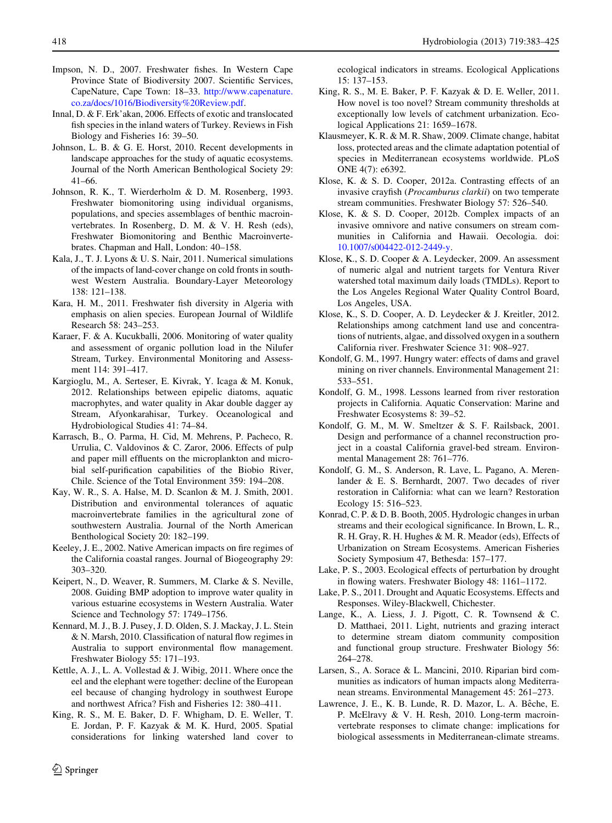- <span id="page-35-0"></span>Impson, N. D., 2007. Freshwater fishes. In Western Cape Province State of Biodiversity 2007. Scientific Services, CapeNature, Cape Town: 18–33. [http://www.capenature.](http://www.capenature.co.za/docs/1016/Biodiversity%20Review.pdf) [co.za/docs/1016/Biodiversity%20Review.pdf.](http://www.capenature.co.za/docs/1016/Biodiversity%20Review.pdf)
- Innal, D. & F. Erk'akan, 2006. Effects of exotic and translocated fish species in the inland waters of Turkey. Reviews in Fish Biology and Fisheries 16: 39–50.
- Johnson, L. B. & G. E. Horst, 2010. Recent developments in landscape approaches for the study of aquatic ecosystems. Journal of the North American Benthological Society 29: 41–66.
- Johnson, R. K., T. Wierderholm & D. M. Rosenberg, 1993. Freshwater biomonitoring using individual organisms, populations, and species assemblages of benthic macroinvertebrates. In Rosenberg, D. M. & V. H. Resh (eds), Freshwater Biomonitoring and Benthic Macroinvertebrates. Chapman and Hall, London: 40–158.
- Kala, J., T. J. Lyons & U. S. Nair, 2011. Numerical simulations of the impacts of land-cover change on cold fronts in southwest Western Australia. Boundary-Layer Meteorology 138: 121–138.
- Kara, H. M., 2011. Freshwater fish diversity in Algeria with emphasis on alien species. European Journal of Wildlife Research 58: 243–253.
- Karaer, F. & A. Kucukballi, 2006. Monitoring of water quality and assessment of organic pollution load in the Nilufer Stream, Turkey. Environmental Monitoring and Assessment 114: 391–417.
- Kargioglu, M., A. Serteser, E. Kivrak, Y. Icaga & M. Konuk, 2012. Relationships between epipelic diatoms, aquatic macrophytes, and water quality in Akar double dagger ay Stream, Afyonkarahisar, Turkey. Oceanological and Hydrobiological Studies 41: 74–84.
- Karrasch, B., O. Parma, H. Cid, M. Mehrens, P. Pacheco, R. Urrulia, C. Valdovinos & C. Zaror, 2006. Effects of pulp and paper mill effluents on the microplankton and microbial self-purification capabilities of the Biobio River, Chile. Science of the Total Environment 359: 194–208.
- Kay, W. R., S. A. Halse, M. D. Scanlon & M. J. Smith, 2001. Distribution and environmental tolerances of aquatic macroinvertebrate families in the agricultural zone of southwestern Australia. Journal of the North American Benthological Society 20: 182–199.
- Keeley, J. E., 2002. Native American impacts on fire regimes of the California coastal ranges. Journal of Biogeography 29: 303–320.
- Keipert, N., D. Weaver, R. Summers, M. Clarke & S. Neville, 2008. Guiding BMP adoption to improve water quality in various estuarine ecosystems in Western Australia. Water Science and Technology 57: 1749–1756.
- Kennard, M. J., B. J. Pusey, J. D. Olden, S. J. Mackay, J. L. Stein & N. Marsh, 2010. Classification of natural flow regimes in Australia to support environmental flow management. Freshwater Biology 55: 171–193.
- Kettle, A. J., L. A. Vollestad & J. Wibig, 2011. Where once the eel and the elephant were together: decline of the European eel because of changing hydrology in southwest Europe and northwest Africa? Fish and Fisheries 12: 380–411.
- King, R. S., M. E. Baker, D. F. Whigham, D. E. Weller, T. E. Jordan, P. F. Kazyak & M. K. Hurd, 2005. Spatial considerations for linking watershed land cover to

 $\circledcirc$  Springer

ecological indicators in streams. Ecological Applications 15: 137–153.

- King, R. S., M. E. Baker, P. F. Kazyak & D. E. Weller, 2011. How novel is too novel? Stream community thresholds at exceptionally low levels of catchment urbanization. Ecological Applications 21: 1659–1678.
- Klausmeyer, K. R. & M. R. Shaw, 2009. Climate change, habitat loss, protected areas and the climate adaptation potential of species in Mediterranean ecosystems worldwide. PLoS ONE 4(7): e6392.
- Klose, K. & S. D. Cooper, 2012a. Contrasting effects of an invasive crayfish (Procamburus clarkii) on two temperate stream communities. Freshwater Biology 57: 526–540.
- Klose, K. & S. D. Cooper, 2012b. Complex impacts of an invasive omnivore and native consumers on stream communities in California and Hawaii. Oecologia. doi: [10.1007/s004422-012-2449-y.](http://dx.doi.org/10.1007/s004422-012-2449-y)
- Klose, K., S. D. Cooper & A. Leydecker, 2009. An assessment of numeric algal and nutrient targets for Ventura River watershed total maximum daily loads (TMDLs). Report to the Los Angeles Regional Water Quality Control Board, Los Angeles, USA.
- Klose, K., S. D. Cooper, A. D. Leydecker & J. Kreitler, 2012. Relationships among catchment land use and concentrations of nutrients, algae, and dissolved oxygen in a southern California river. Freshwater Science 31: 908–927.
- Kondolf, G. M., 1997. Hungry water: effects of dams and gravel mining on river channels. Environmental Management 21: 533–551.
- Kondolf, G. M., 1998. Lessons learned from river restoration projects in California. Aquatic Conservation: Marine and Freshwater Ecosystems 8: 39–52.
- Kondolf, G. M., M. W. Smeltzer & S. F. Railsback, 2001. Design and performance of a channel reconstruction project in a coastal California gravel-bed stream. Environmental Management 28: 761–776.
- Kondolf, G. M., S. Anderson, R. Lave, L. Pagano, A. Merenlander & E. S. Bernhardt, 2007. Two decades of river restoration in California: what can we learn? Restoration Ecology 15: 516–523.
- Konrad, C. P. & D. B. Booth, 2005. Hydrologic changes in urban streams and their ecological significance. In Brown, L. R., R. H. Gray, R. H. Hughes & M. R. Meador (eds), Effects of Urbanization on Stream Ecosystems. American Fisheries Society Symposium 47, Bethesda: 157–177.
- Lake, P. S., 2003. Ecological effects of perturbation by drought in flowing waters. Freshwater Biology 48: 1161–1172.
- Lake, P. S., 2011. Drought and Aquatic Ecosystems. Effects and Responses. Wiley-Blackwell, Chichester.
- Lange, K., A. Liess, J. J. Pigott, C. R. Townsend & C. D. Matthaei, 2011. Light, nutrients and grazing interact to determine stream diatom community composition and functional group structure. Freshwater Biology 56: 264–278.
- Larsen, S., A. Sorace & L. Mancini, 2010. Riparian bird communities as indicators of human impacts along Mediterranean streams. Environmental Management 45: 261–273.
- Lawrence, J. E., K. B. Lunde, R. D. Mazor, L. A. Bêche, E. P. McElravy & V. H. Resh, 2010. Long-term macroinvertebrate responses to climate change: implications for biological assessments in Mediterranean-climate streams.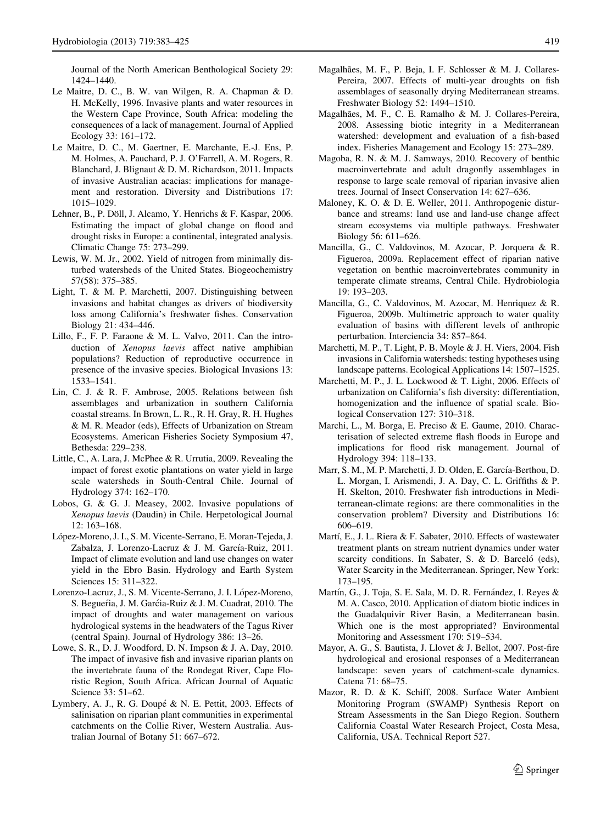<span id="page-36-0"></span>Journal of the North American Benthological Society 29: 1424–1440.

- Le Maitre, D. C., B. W. van Wilgen, R. A. Chapman & D. H. McKelly, 1996. Invasive plants and water resources in the Western Cape Province, South Africa: modeling the consequences of a lack of management. Journal of Applied Ecology 33: 161–172.
- Le Maitre, D. C., M. Gaertner, E. Marchante, E.-J. Ens, P. M. Holmes, A. Pauchard, P. J. O'Farrell, A. M. Rogers, R. Blanchard, J. Blignaut & D. M. Richardson, 2011. Impacts of invasive Australian acacias: implications for management and restoration. Diversity and Distributions 17: 1015–1029.
- Lehner, B., P. Döll, J. Alcamo, Y. Henrichs & F. Kaspar, 2006. Estimating the impact of global change on flood and drought risks in Europe: a continental, integrated analysis. Climatic Change 75: 273–299.
- Lewis, W. M. Jr., 2002. Yield of nitrogen from minimally disturbed watersheds of the United States. Biogeochemistry 57(58): 375–385.
- Light, T. & M. P. Marchetti, 2007. Distinguishing between invasions and habitat changes as drivers of biodiversity loss among California's freshwater fishes. Conservation Biology 21: 434–446.
- Lillo, F., F. P. Faraone & M. L. Valvo, 2011. Can the introduction of Xenopus laevis affect native amphibian populations? Reduction of reproductive occurrence in presence of the invasive species. Biological Invasions 13: 1533–1541.
- Lin, C. J. & R. F. Ambrose, 2005. Relations between fish assemblages and urbanization in southern California coastal streams. In Brown, L. R., R. H. Gray, R. H. Hughes & M. R. Meador (eds), Effects of Urbanization on Stream Ecosystems. American Fisheries Society Symposium 47, Bethesda: 229–238.
- Little, C., A. Lara, J. McPhee & R. Urrutia, 2009. Revealing the impact of forest exotic plantations on water yield in large scale watersheds in South-Central Chile. Journal of Hydrology 374: 162–170.
- Lobos, G. & G. J. Measey, 2002. Invasive populations of Xenopus laevis (Daudin) in Chile. Herpetological Journal 12: 163–168.
- López-Moreno, J. I., S. M. Vicente-Serrano, E. Moran-Tejeda, J. Zabalza, J. Lorenzo-Lacruz & J. M. García-Ruiz, 2011. Impact of climate evolution and land use changes on water yield in the Ebro Basin. Hydrology and Earth System Sciences 15: 311–322.
- Lorenzo-Lacruz, J., S. M. Vicente-Serrano, J. I. López-Moreno, S. Beguería, J. M. García-Ruiz & J. M. Cuadrat, 2010. The impact of droughts and water management on various hydrological systems in the headwaters of the Tagus River (central Spain). Journal of Hydrology 386: 13–26.
- Lowe, S. R., D. J. Woodford, D. N. Impson & J. A. Day, 2010. The impact of invasive fish and invasive riparian plants on the invertebrate fauna of the Rondegat River, Cape Floristic Region, South Africa. African Journal of Aquatic Science 33: 51–62.
- Lymbery, A. J., R. G. Doupé & N. E. Pettit, 2003. Effects of salinisation on riparian plant communities in experimental catchments on the Collie River, Western Australia. Australian Journal of Botany 51: 667–672.
- Magalhães, M. F., P. Beja, I. F. Schlosser & M. J. Collares-Pereira, 2007. Effects of multi-year droughts on fish assemblages of seasonally drying Mediterranean streams. Freshwater Biology 52: 1494–1510.
- Magalhães, M. F., C. E. Ramalho & M. J. Collares-Pereira, 2008. Assessing biotic integrity in a Mediterranean watershed: development and evaluation of a fish-based index. Fisheries Management and Ecology 15: 273–289.
- Magoba, R. N. & M. J. Samways, 2010. Recovery of benthic macroinvertebrate and adult dragonfly assemblages in response to large scale removal of riparian invasive alien trees. Journal of Insect Conservation 14: 627–636.
- Maloney, K. O. & D. E. Weller, 2011. Anthropogenic disturbance and streams: land use and land-use change affect stream ecosystems via multiple pathways. Freshwater Biology 56: 611–626.
- Mancilla, G., C. Valdovinos, M. Azocar, P. Jorquera & R. Figueroa, 2009a. Replacement effect of riparian native vegetation on benthic macroinvertebrates community in temperate climate streams, Central Chile. Hydrobiologia 19: 193–203.
- Mancilla, G., C. Valdovinos, M. Azocar, M. Henriquez & R. Figueroa, 2009b. Multimetric approach to water quality evaluation of basins with different levels of anthropic perturbation. Interciencia 34: 857–864.
- Marchetti, M. P., T. Light, P. B. Moyle & J. H. Viers, 2004. Fish invasions in California watersheds: testing hypotheses using landscape patterns. Ecological Applications 14: 1507–1525.
- Marchetti, M. P., J. L. Lockwood & T. Light, 2006. Effects of urbanization on California's fish diversity: differentiation, homogenization and the influence of spatial scale. Biological Conservation 127: 310–318.
- Marchi, L., M. Borga, E. Preciso & E. Gaume, 2010. Characterisation of selected extreme flash floods in Europe and implications for flood risk management. Journal of Hydrology 394: 118–133.
- Marr, S. M., M. P. Marchetti, J. D. Olden, E. García-Berthou, D. L. Morgan, I. Arismendi, J. A. Day, C. L. Griffiths & P. H. Skelton, 2010. Freshwater fish introductions in Mediterranean-climate regions: are there commonalities in the conservation problem? Diversity and Distributions 16: 606–619.
- Martí, E., J. L. Riera & F. Sabater, 2010. Effects of wastewater treatment plants on stream nutrient dynamics under water scarcity conditions. In Sabater, S. & D. Barceló (eds), Water Scarcity in the Mediterranean. Springer, New York: 173–195.
- Martín, G., J. Toja, S. E. Sala, M. D. R. Fernández, I. Reyes & M. A. Casco, 2010. Application of diatom biotic indices in the Guadalquivir River Basin, a Mediterranean basin. Which one is the most appropriated? Environmental Monitoring and Assessment 170: 519–534.
- Mayor, A. G., S. Bautista, J. Llovet & J. Bellot, 2007. Post-fire hydrological and erosional responses of a Mediterranean landscape: seven years of catchment-scale dynamics. Catena 71: 68–75.
- Mazor, R. D. & K. Schiff, 2008. Surface Water Ambient Monitoring Program (SWAMP) Synthesis Report on Stream Assessments in the San Diego Region. Southern California Coastal Water Research Project, Costa Mesa, California, USA. Technical Report 527.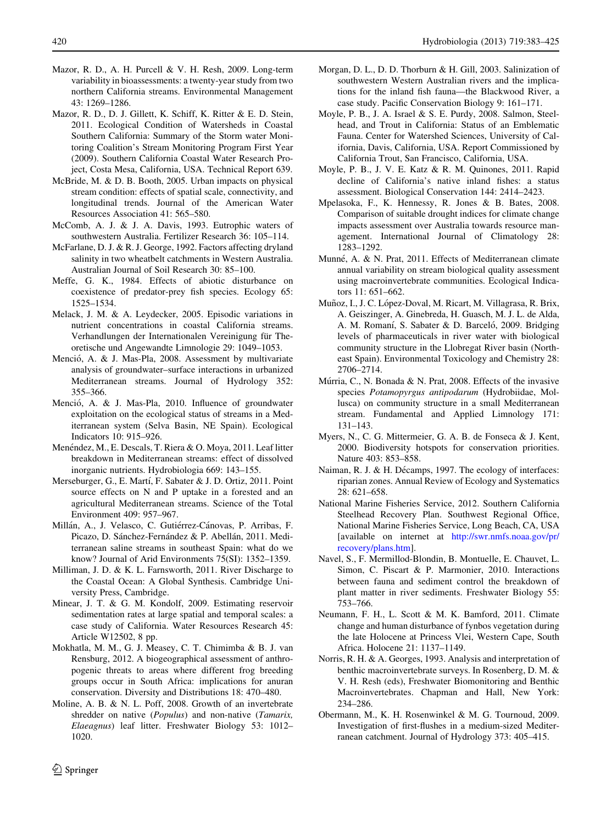- <span id="page-37-0"></span>Mazor, R. D., A. H. Purcell & V. H. Resh, 2009. Long-term variability in bioassessments: a twenty-year study from two northern California streams. Environmental Management 43: 1269–1286.
- Mazor, R. D., D. J. Gillett, K. Schiff, K. Ritter & E. D. Stein, 2011. Ecological Condition of Watersheds in Coastal Southern California: Summary of the Storm water Monitoring Coalition's Stream Monitoring Program First Year (2009). Southern California Coastal Water Research Project, Costa Mesa, California, USA. Technical Report 639.
- McBride, M. & D. B. Booth, 2005. Urban impacts on physical stream condition: effects of spatial scale, connectivity, and longitudinal trends. Journal of the American Water Resources Association 41: 565–580.
- McComb, A. J. & J. A. Davis, 1993. Eutrophic waters of southwestern Australia. Fertilizer Research 36: 105–114.
- McFarlane, D. J. & R. J. George, 1992. Factors affecting dryland salinity in two wheatbelt catchments in Western Australia. Australian Journal of Soil Research 30: 85–100.
- Meffe, G. K., 1984. Effects of abiotic disturbance on coexistence of predator-prey fish species. Ecology 65: 1525–1534.
- Melack, J. M. & A. Leydecker, 2005. Episodic variations in nutrient concentrations in coastal California streams. Verhandlungen der Internationalen Vereinigung für Theoretische und Angewandte Limnologie 29: 1049–1053.
- Menció, A. & J. Mas-Pla, 2008. Assessment by multivariate analysis of groundwater–surface interactions in urbanized Mediterranean streams. Journal of Hydrology 352: 355–366.
- Menció, A. & J. Mas-Pla, 2010. Influence of groundwater exploitation on the ecological status of streams in a Mediterranean system (Selva Basin, NE Spain). Ecological Indicators 10: 915–926.
- Menéndez, M., E. Descals, T. Riera & O. Moya, 2011. Leaf litter breakdown in Mediterranean streams: effect of dissolved inorganic nutrients. Hydrobiologia 669: 143–155.
- Merseburger, G., E. Martí, F. Sabater & J. D. Ortiz, 2011. Point source effects on N and P uptake in a forested and an agricultural Mediterranean streams. Science of the Total Environment 409: 957–967.
- Millán, A., J. Velasco, C. Gutiérrez-Cánovas, P. Arribas, F. Picazo, D. Sánchez-Fernández & P. Abellán, 2011. Mediterranean saline streams in southeast Spain: what do we know? Journal of Arid Environments 75(SI): 1352–1359.
- Milliman, J. D. & K. L. Farnsworth, 2011. River Discharge to the Coastal Ocean: A Global Synthesis. Cambridge University Press, Cambridge.
- Minear, J. T. & G. M. Kondolf, 2009. Estimating reservoir sedimentation rates at large spatial and temporal scales: a case study of California. Water Resources Research 45: Article W12502, 8 pp.
- Mokhatla, M. M., G. J. Measey, C. T. Chimimba & B. J. van Rensburg, 2012. A biogeographical assessment of anthropogenic threats to areas where different frog breeding groups occur in South Africa: implications for anuran conservation. Diversity and Distributions 18: 470–480.
- Moline, A. B. & N. L. Poff, 2008. Growth of an invertebrate shredder on native (Populus) and non-native (Tamarix, Elaeagnus) leaf litter. Freshwater Biology 53: 1012– 1020.
- Morgan, D. L., D. D. Thorburn & H. Gill, 2003. Salinization of southwestern Western Australian rivers and the implications for the inland fish fauna—the Blackwood River, a case study. Pacific Conservation Biology 9: 161–171.
- Moyle, P. B., J. A. Israel & S. E. Purdy, 2008. Salmon, Steelhead, and Trout in California: Status of an Emblematic Fauna. Center for Watershed Sciences, University of California, Davis, California, USA. Report Commissioned by California Trout, San Francisco, California, USA.
- Moyle, P. B., J. V. E. Katz & R. M. Quinones, 2011. Rapid decline of California's native inland fishes: a status assessment. Biological Conservation 144: 2414–2423.
- Mpelasoka, F., K. Hennessy, R. Jones & B. Bates, 2008. Comparison of suitable drought indices for climate change impacts assessment over Australia towards resource management. International Journal of Climatology 28: 1283–1292.
- Munné, A. & N. Prat, 2011. Effects of Mediterranean climate annual variability on stream biological quality assessment using macroinvertebrate communities. Ecological Indicators 11: 651–662.
- Muñoz, I., J. C. López-Doval, M. Ricart, M. Villagrasa, R. Brix, A. Geiszinger, A. Ginebreda, H. Guasch, M. J. L. de Alda, A. M. Romaní, S. Sabater & D. Barceló, 2009. Bridging levels of pharmaceuticals in river water with biological community structure in the Llobregat River basin (Northeast Spain). Environmental Toxicology and Chemistry 28: 2706–2714.
- Múrria, C., N. Bonada & N. Prat, 2008. Effects of the invasive species Potamopyrgus antipodarum (Hydrobiidae, Mollusca) on community structure in a small Mediterranean stream. Fundamental and Applied Limnology 171: 131–143.
- Myers, N., C. G. Mittermeier, G. A. B. de Fonseca & J. Kent, 2000. Biodiversity hotspots for conservation priorities. Nature 403: 853–858.
- Naiman, R. J. & H. Décamps, 1997. The ecology of interfaces: riparian zones. Annual Review of Ecology and Systematics 28: 621–658.
- National Marine Fisheries Service, 2012. Southern California Steelhead Recovery Plan. Southwest Regional Office, National Marine Fisheries Service, Long Beach, CA, USA [available on internet at [http://swr.nmfs.noaa.gov/pr/](http://swr.nmfs.noaa.gov/pr/recovery/plans.htm) [recovery/plans.htm](http://swr.nmfs.noaa.gov/pr/recovery/plans.htm)].
- Navel, S., F. Mermillod-Blondin, B. Montuelle, E. Chauvet, L. Simon, C. Piscart & P. Marmonier, 2010. Interactions between fauna and sediment control the breakdown of plant matter in river sediments. Freshwater Biology 55: 753–766.
- Neumann, F. H., L. Scott & M. K. Bamford, 2011. Climate change and human disturbance of fynbos vegetation during the late Holocene at Princess Vlei, Western Cape, South Africa. Holocene 21: 1137–1149.
- Norris, R. H. & A. Georges, 1993. Analysis and interpretation of benthic macroinvertebrate surveys. In Rosenberg, D. M. & V. H. Resh (eds), Freshwater Biomonitoring and Benthic Macroinvertebrates. Chapman and Hall, New York: 234–286.
- Obermann, M., K. H. Rosenwinkel & M. G. Tournoud, 2009. Investigation of first-flushes in a medium-sized Mediterranean catchment. Journal of Hydrology 373: 405–415.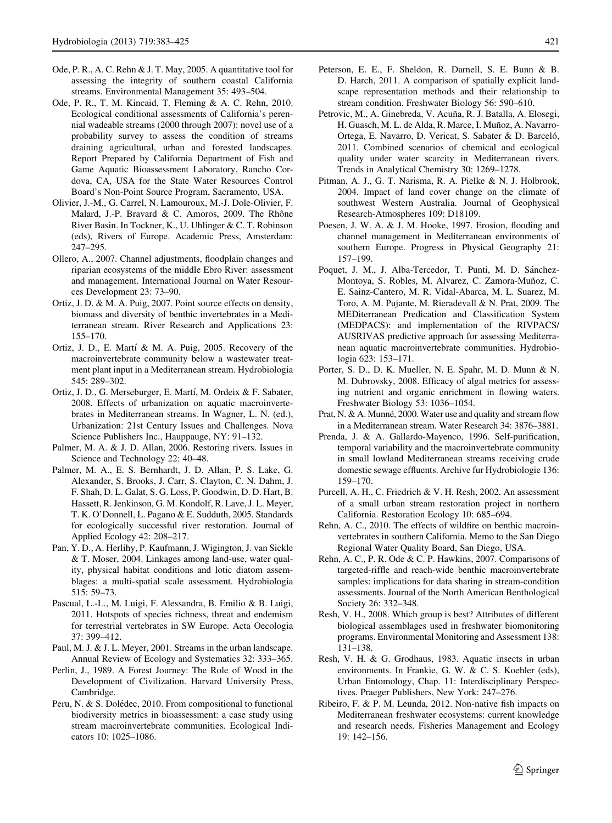- <span id="page-38-0"></span>Ode, P. R., A. C. Rehn & J. T. May, 2005. A quantitative tool for assessing the integrity of southern coastal California streams. Environmental Management 35: 493–504.
- Ode, P. R., T. M. Kincaid, T. Fleming & A. C. Rehn, 2010. Ecological conditional assessments of California's perennial wadeable streams (2000 through 2007): novel use of a probability survey to assess the condition of streams draining agricultural, urban and forested landscapes. Report Prepared by California Department of Fish and Game Aquatic Bioassessment Laboratory, Rancho Cordova, CA, USA for the State Water Resources Control Board's Non-Point Source Program, Sacramento, USA.
- Olivier, J.-M., G. Carrel, N. Lamouroux, M.-J. Dole-Olivier, F. Malard, J.-P. Bravard & C. Amoros, 2009. The Rhône River Basin. In Tockner, K., U. Uhlinger & C. T. Robinson (eds), Rivers of Europe. Academic Press, Amsterdam: 247–295.
- Ollero, A., 2007. Channel adjustments, floodplain changes and riparian ecosystems of the middle Ebro River: assessment and management. International Journal on Water Resources Development 23: 73–90.
- Ortiz, J. D. & M. A. Puig, 2007. Point source effects on density, biomass and diversity of benthic invertebrates in a Mediterranean stream. River Research and Applications 23: 155–170.
- Ortiz, J. D., E. Martí & M. A. Puig, 2005. Recovery of the macroinvertebrate community below a wastewater treatment plant input in a Mediterranean stream. Hydrobiologia 545: 289–302.
- Ortiz, J. D., G. Merseburger, E. Martí, M. Ordeix & F. Sabater, 2008. Effects of urbanization on aquatic macroinvertebrates in Mediterranean streams. In Wagner, L. N. (ed.), Urbanization: 21st Century Issues and Challenges. Nova Science Publishers Inc., Hauppauge, NY: 91–132.
- Palmer, M. A. & J. D. Allan, 2006. Restoring rivers. Issues in Science and Technology 22: 40–48.
- Palmer, M. A., E. S. Bernhardt, J. D. Allan, P. S. Lake, G. Alexander, S. Brooks, J. Carr, S. Clayton, C. N. Dahm, J. F. Shah, D. L. Galat, S. G. Loss, P. Goodwin, D. D. Hart, B. Hassett, R. Jenkinson, G. M. Kondolf, R. Lave, J. L. Meyer, T. K. O'Donnell, L. Pagano & E. Sudduth, 2005. Standards for ecologically successful river restoration. Journal of Applied Ecology 42: 208–217.
- Pan, Y. D., A. Herlihy, P. Kaufmann, J. Wigington, J. van Sickle & T. Moser, 2004. Linkages among land-use, water quality, physical habitat conditions and lotic diatom assemblages: a multi-spatial scale assessment. Hydrobiologia 515: 59–73.
- Pascual, L.-L., M. Luigi, F. Alessandra, B. Emilio & B. Luigi, 2011. Hotspots of species richness, threat and endemism for terrestrial vertebrates in SW Europe. Acta Oecologia 37: 399–412.
- Paul, M. J. & J. L. Meyer, 2001. Streams in the urban landscape. Annual Review of Ecology and Systematics 32: 333–365.
- Perlin, J., 1989. A Forest Journey: The Role of Wood in the Development of Civilization. Harvard University Press, Cambridge.
- Peru, N. & S. Dolédec, 2010. From compositional to functional biodiversity metrics in bioassessment: a case study using stream macroinvertebrate communities. Ecological Indicators 10: 1025–1086.
- Peterson, E. E., F. Sheldon, R. Darnell, S. E. Bunn & B. D. Harch, 2011. A comparison of spatially explicit landscape representation methods and their relationship to stream condition. Freshwater Biology 56: 590–610.
- Petrovic, M., A. Ginebreda, V. Acuña, R. J. Batalla, A. Elosegi, H. Guasch, M. L. de Alda, R. Marce, I. Muñoz, A. Navarro-Ortega, E. Navarro, D. Vericat, S. Sabater & D. Barceló, 2011. Combined scenarios of chemical and ecological quality under water scarcity in Mediterranean rivers. Trends in Analytical Chemistry 30: 1269–1278.
- Pitman, A. J., G. T. Narisma, R. A. Pielke & N. J. Holbrook, 2004. Impact of land cover change on the climate of southwest Western Australia. Journal of Geophysical Research-Atmospheres 109: D18109.
- Poesen, J. W. A. & J. M. Hooke, 1997. Erosion, flooding and channel management in Mediterranean environments of southern Europe. Progress in Physical Geography 21: 157–199.
- Poquet, J. M., J. Alba-Tercedor, T. Punti, M. D. Sánchez-Montoya, S. Robles, M. Alvarez, C. Zamora-Muñoz, C. E. Sainz-Cantero, M. R. Vidal-Abarca, M. L. Suarez, M. Toro, A. M. Pujante, M. Rieradevall & N. Prat, 2009. The MEDiterranean Predication and Classification System (MEDPACS): and implementation of the RIVPACS/ AUSRIVAS predictive approach for assessing Mediterranean aquatic macroinvertebrate communities. Hydrobiologia 623: 153–171.
- Porter, S. D., D. K. Mueller, N. E. Spahr, M. D. Munn & N. M. Dubrovsky, 2008. Efficacy of algal metrics for assessing nutrient and organic enrichment in flowing waters. Freshwater Biology 53: 1036–1054.
- Prat, N. & A. Munné, 2000. Water use and quality and stream flow in a Mediterranean stream. Water Research 34: 3876–3881.
- Prenda, J. & A. Gallardo-Mayenco, 1996. Self-purification, temporal variability and the macroinvertebrate community in small lowland Mediterranean streams receiving crude domestic sewage effluents. Archive fur Hydrobiologie 136: 159–170.
- Purcell, A. H., C. Friedrich & V. H. Resh, 2002. An assessment of a small urban stream restoration project in northern California. Restoration Ecology 10: 685–694.
- Rehn, A. C., 2010. The effects of wildfire on benthic macroinvertebrates in southern California. Memo to the San Diego Regional Water Quality Board, San Diego, USA.
- Rehn, A. C., P. R. Ode & C. P. Hawkins, 2007. Comparisons of targeted-riffle and reach-wide benthic macroinvertebrate samples: implications for data sharing in stream-condition assessments. Journal of the North American Benthological Society 26: 332–348.
- Resh, V. H., 2008. Which group is best? Attributes of different biological assemblages used in freshwater biomonitoring programs. Environmental Monitoring and Assessment 138: 131–138.
- Resh, V. H. & G. Grodhaus, 1983. Aquatic insects in urban environments. In Frankie, G. W. & C. S. Koehler (eds), Urban Entomology, Chap. 11: Interdisciplinary Perspectives. Praeger Publishers, New York: 247–276.
- Ribeiro, F. & P. M. Leunda, 2012. Non-native fish impacts on Mediterranean freshwater ecosystems: current knowledge and research needs. Fisheries Management and Ecology 19: 142–156.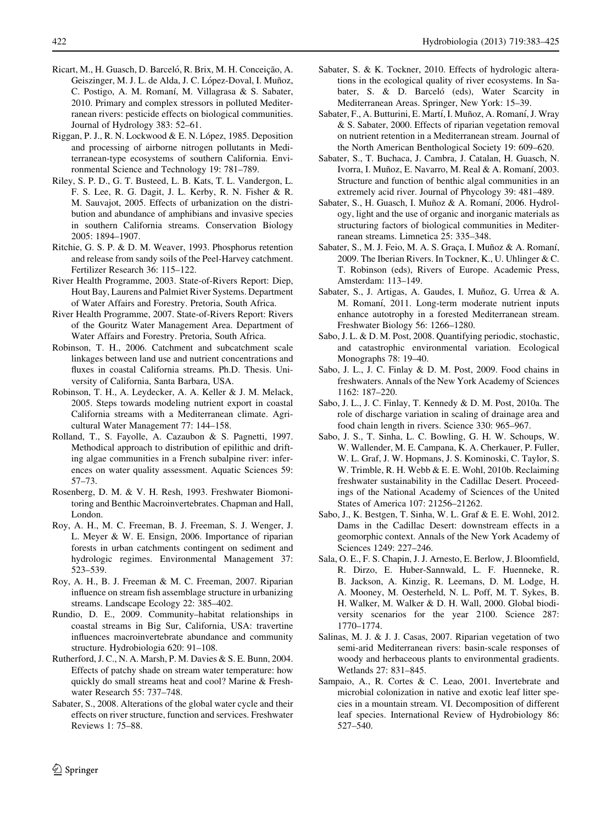- <span id="page-39-0"></span>Ricart, M., H. Guasch, D. Barceló, R. Brix, M. H. Conceição, A. Geiszinger, M. J. L. de Alda, J. C. López-Doval, I. Muñoz, C. Postigo, A. M. Romaní, M. Villagrasa & S. Sabater, 2010. Primary and complex stressors in polluted Mediterranean rivers: pesticide effects on biological communities. Journal of Hydrology 383: 52–61.
- Riggan, P. J., R. N. Lockwood & E. N. López, 1985. Deposition and processing of airborne nitrogen pollutants in Mediterranean-type ecosystems of southern California. Environmental Science and Technology 19: 781–789.
- Riley, S. P. D., G. T. Busteed, L. B. Kats, T. L. Vandergon, L. F. S. Lee, R. G. Dagit, J. L. Kerby, R. N. Fisher & R. M. Sauvajot, 2005. Effects of urbanization on the distribution and abundance of amphibians and invasive species in southern California streams. Conservation Biology 2005: 1894–1907.
- Ritchie, G. S. P. & D. M. Weaver, 1993. Phosphorus retention and release from sandy soils of the Peel-Harvey catchment. Fertilizer Research 36: 115–122.
- River Health Programme, 2003. State-of-Rivers Report: Diep, Hout Bay, Laurens and Palmiet River Systems. Department of Water Affairs and Forestry. Pretoria, South Africa.
- River Health Programme, 2007. State-of-Rivers Report: Rivers of the Gouritz Water Management Area. Department of Water Affairs and Forestry. Pretoria, South Africa.
- Robinson, T. H., 2006. Catchment and subcatchment scale linkages between land use and nutrient concentrations and fluxes in coastal California streams. Ph.D. Thesis. University of California, Santa Barbara, USA.
- Robinson, T. H., A. Leydecker, A. A. Keller & J. M. Melack, 2005. Steps towards modeling nutrient export in coastal California streams with a Mediterranean climate. Agricultural Water Management 77: 144–158.
- Rolland, T., S. Fayolle, A. Cazaubon & S. Pagnetti, 1997. Methodical approach to distribution of epilithic and drifting algae communities in a French subalpine river: inferences on water quality assessment. Aquatic Sciences 59: 57–73.
- Rosenberg, D. M. & V. H. Resh, 1993. Freshwater Biomonitoring and Benthic Macroinvertebrates. Chapman and Hall, London.
- Roy, A. H., M. C. Freeman, B. J. Freeman, S. J. Wenger, J. L. Meyer & W. E. Ensign, 2006. Importance of riparian forests in urban catchments contingent on sediment and hydrologic regimes. Environmental Management 37: 523–539.
- Roy, A. H., B. J. Freeman & M. C. Freeman, 2007. Riparian influence on stream fish assemblage structure in urbanizing streams. Landscape Ecology 22: 385–402.
- Rundio, D. E., 2009. Community–habitat relationships in coastal streams in Big Sur, California, USA: travertine influences macroinvertebrate abundance and community structure. Hydrobiologia 620: 91–108.
- Rutherford, J. C., N. A. Marsh, P. M. Davies & S. E. Bunn, 2004. Effects of patchy shade on stream water temperature: how quickly do small streams heat and cool? Marine & Freshwater Research 55: 737–748.
- Sabater, S., 2008. Alterations of the global water cycle and their effects on river structure, function and services. Freshwater Reviews 1: 75–88.
- Sabater, S. & K. Tockner, 2010. Effects of hydrologic alterations in the ecological quality of river ecosystems. In Sabater, S. & D. Barceló (eds), Water Scarcity in Mediterranean Areas. Springer, New York: 15–39.
- Sabater, F., A. Butturini, E. Martí, I. Muñoz, A. Romaní, J. Wray & S. Sabater, 2000. Effects of riparian vegetation removal on nutrient retention in a Mediterranean stream. Journal of the North American Benthological Society 19: 609–620.
- Sabater, S., T. Buchaca, J. Cambra, J. Catalan, H. Guasch, N. Ivorra, I. Muñoz, E. Navarro, M. Real & A. Romaní, 2003. Structure and function of benthic algal communities in an extremely acid river. Journal of Phycology 39: 481–489.
- Sabater, S., H. Guasch, I. Muñoz & A. Romaní, 2006. Hydrology, light and the use of organic and inorganic materials as structuring factors of biological communities in Mediterranean streams. Limnetica 25: 335–348.
- Sabater, S., M. J. Feio, M. A. S. Graça, I. Muñoz & A. Romaní, 2009. The Iberian Rivers. In Tockner, K., U. Uhlinger & C. T. Robinson (eds), Rivers of Europe. Academic Press, Amsterdam: 113–149.
- Sabater, S., J. Artigas, A. Gaudes, I. Muñoz, G. Urrea & A. M. Romaní, 2011. Long-term moderate nutrient inputs enhance autotrophy in a forested Mediterranean stream. Freshwater Biology 56: 1266–1280.
- Sabo, J. L. & D. M. Post, 2008. Quantifying periodic, stochastic, and catastrophic environmental variation. Ecological Monographs 78: 19–40.
- Sabo, J. L., J. C. Finlay & D. M. Post, 2009. Food chains in freshwaters. Annals of the New York Academy of Sciences 1162: 187–220.
- Sabo, J. L., J. C. Finlay, T. Kennedy & D. M. Post, 2010a. The role of discharge variation in scaling of drainage area and food chain length in rivers. Science 330: 965–967.
- Sabo, J. S., T. Sinha, L. C. Bowling, G. H. W. Schoups, W. W. Wallender, M. E. Campana, K. A. Cherkauer, P. Fuller, W. L. Graf, J. W. Hopmans, J. S. Kominoski, C. Taylor, S. W. Trimble, R. H. Webb & E. E. Wohl, 2010b. Reclaiming freshwater sustainability in the Cadillac Desert. Proceedings of the National Academy of Sciences of the United States of America 107: 21256–21262.
- Sabo, J., K. Bestgen, T. Sinha, W. L. Graf & E. E. Wohl, 2012. Dams in the Cadillac Desert: downstream effects in a geomorphic context. Annals of the New York Academy of Sciences 1249: 227–246.
- Sala, O. E., F. S. Chapin, J. J. Arnesto, E. Berlow, J. Bloomfield, R. Dirzo, E. Huber-Sannwald, L. F. Huenneke, R. B. Jackson, A. Kinzig, R. Leemans, D. M. Lodge, H. A. Mooney, M. Oesterheld, N. L. Poff, M. T. Sykes, B. H. Walker, M. Walker & D. H. Wall, 2000. Global biodiversity scenarios for the year 2100. Science 287: 1770–1774.
- Salinas, M. J. & J. J. Casas, 2007. Riparian vegetation of two semi-arid Mediterranean rivers: basin-scale responses of woody and herbaceous plants to environmental gradients. Wetlands 27: 831–845.
- Sampaio, A., R. Cortes & C. Leao, 2001. Invertebrate and microbial colonization in native and exotic leaf litter species in a mountain stream. VI. Decomposition of different leaf species. International Review of Hydrobiology 86: 527–540.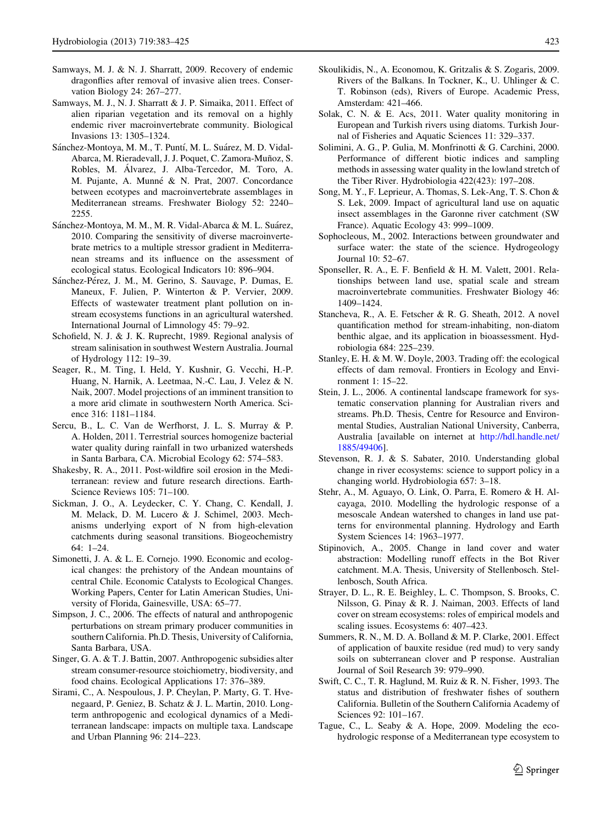- <span id="page-40-0"></span>Samways, M. J. & N. J. Sharratt, 2009. Recovery of endemic dragonflies after removal of invasive alien trees. Conservation Biology 24: 267–277.
- Samways, M. J., N. J. Sharratt & J. P. Simaika, 2011. Effect of alien riparian vegetation and its removal on a highly endemic river macroinvertebrate community. Biological Invasions 13: 1305–1324.
- Sánchez-Montoya, M. M., T. Puntí, M. L. Suárez, M. D. Vidal-Abarca, M. Rieradevall, J. J. Poquet, C. Zamora-Muñoz, S. Robles, M. Álvarez, J. Alba-Tercedor, M. Toro, A. M. Pujante, A. Munné & N. Prat, 2007. Concordance between ecotypes and macroinvertebrate assemblages in Mediterranean streams. Freshwater Biology 52: 2240– 2255.
- Sánchez-Montoya, M. M., M. R. Vidal-Abarca & M. L. Suárez, 2010. Comparing the sensitivity of diverse macroinvertebrate metrics to a multiple stressor gradient in Mediterranean streams and its influence on the assessment of ecological status. Ecological Indicators 10: 896–904.
- Sánchez-Pérez, J. M., M. Gerino, S. Sauvage, P. Dumas, E. Maneux, F. Julien, P. Winterton & P. Vervier, 2009. Effects of wastewater treatment plant pollution on instream ecosystems functions in an agricultural watershed. International Journal of Limnology 45: 79–92.
- Schofield, N. J. & J. K. Ruprecht, 1989. Regional analysis of stream salinisation in southwest Western Australia. Journal of Hydrology 112: 19–39.
- Seager, R., M. Ting, I. Held, Y. Kushnir, G. Vecchi, H.-P. Huang, N. Harnik, A. Leetmaa, N.-C. Lau, J. Velez & N. Naik, 2007. Model projections of an imminent transition to a more arid climate in southwestern North America. Science 316: 1181–1184.
- Sercu, B., L. C. Van de Werfhorst, J. L. S. Murray & P. A. Holden, 2011. Terrestrial sources homogenize bacterial water quality during rainfall in two urbanized watersheds in Santa Barbara, CA. Microbial Ecology 62: 574–583.
- Shakesby, R. A., 2011. Post-wildfire soil erosion in the Mediterranean: review and future research directions. Earth-Science Reviews 105: 71–100.
- Sickman, J. O., A. Leydecker, C. Y. Chang, C. Kendall, J. M. Melack, D. M. Lucero & J. Schimel, 2003. Mechanisms underlying export of N from high-elevation catchments during seasonal transitions. Biogeochemistry 64: 1–24.
- Simonetti, J. A. & L. E. Cornejo. 1990. Economic and ecological changes: the prehistory of the Andean mountains of central Chile. Economic Catalysts to Ecological Changes. Working Papers, Center for Latin American Studies, University of Florida, Gainesville, USA: 65–77.
- Simpson, J. C., 2006. The effects of natural and anthropogenic perturbations on stream primary producer communities in southern California. Ph.D. Thesis, University of California, Santa Barbara, USA.
- Singer, G. A. & T. J. Battin, 2007. Anthropogenic subsidies alter stream consumer-resource stoichiometry, biodiversity, and food chains. Ecological Applications 17: 376–389.
- Sirami, C., A. Nespoulous, J. P. Cheylan, P. Marty, G. T. Hvenegaard, P. Geniez, B. Schatz & J. L. Martin, 2010. Longterm anthropogenic and ecological dynamics of a Mediterranean landscape: impacts on multiple taxa. Landscape and Urban Planning 96: 214–223.
- Skoulikidis, N., A. Economou, K. Gritzalis & S. Zogaris, 2009. Rivers of the Balkans. In Tockner, K., U. Uhlinger & C. T. Robinson (eds), Rivers of Europe. Academic Press, Amsterdam: 421–466.
- Solak, C. N. & E. Acs, 2011. Water quality monitoring in European and Turkish rivers using diatoms. Turkish Journal of Fisheries and Aquatic Sciences 11: 329–337.
- Solimini, A. G., P. Gulia, M. Monfrinotti & G. Carchini, 2000. Performance of different biotic indices and sampling methods in assessing water quality in the lowland stretch of the Tiber River. Hydrobiologia 422(423): 197–208.
- Song, M. Y., F. Leprieur, A. Thomas, S. Lek-Ang, T. S. Chon & S. Lek, 2009. Impact of agricultural land use on aquatic insect assemblages in the Garonne river catchment (SW France). Aquatic Ecology 43: 999–1009.
- Sophocleous, M., 2002. Interactions between groundwater and surface water: the state of the science. Hydrogeology Journal 10: 52–67.
- Sponseller, R. A., E. F. Benfield & H. M. Valett, 2001. Relationships between land use, spatial scale and stream macroinvertebrate communities. Freshwater Biology 46: 1409–1424.
- Stancheva, R., A. E. Fetscher & R. G. Sheath, 2012. A novel quantification method for stream-inhabiting, non-diatom benthic algae, and its application in bioassessment. Hydrobiologia 684: 225–239.
- Stanley, E. H. & M. W. Doyle, 2003. Trading off: the ecological effects of dam removal. Frontiers in Ecology and Environment 1: 15–22.
- Stein, J. L., 2006. A continental landscape framework for systematic conservation planning for Australian rivers and streams. Ph.D. Thesis, Centre for Resource and Environmental Studies, Australian National University, Canberra, Australia [available on internet at [http://hdl.handle.net/](http://hdl.handle.net/1885/49406) [1885/49406](http://hdl.handle.net/1885/49406)].
- Stevenson, R. J. & S. Sabater, 2010. Understanding global change in river ecosystems: science to support policy in a changing world. Hydrobiologia 657: 3–18.
- Stehr, A., M. Aguayo, O. Link, O. Parra, E. Romero & H. Alcayaga, 2010. Modelling the hydrologic response of a mesoscale Andean watershed to changes in land use patterns for environmental planning. Hydrology and Earth System Sciences 14: 1963–1977.
- Stipinovich, A., 2005. Change in land cover and water abstraction: Modelling runoff effects in the Bot River catchment. M.A. Thesis, University of Stellenbosch. Stellenbosch, South Africa.
- Strayer, D. L., R. E. Beighley, L. C. Thompson, S. Brooks, C. Nilsson, G. Pinay & R. J. Naiman, 2003. Effects of land cover on stream ecosystems: roles of empirical models and scaling issues. Ecosystems 6: 407–423.
- Summers, R. N., M. D. A. Bolland & M. P. Clarke, 2001. Effect of application of bauxite residue (red mud) to very sandy soils on subterranean clover and P response. Australian Journal of Soil Research 39: 979–990.
- Swift, C. C., T. R. Haglund, M. Ruiz & R. N. Fisher, 1993. The status and distribution of freshwater fishes of southern California. Bulletin of the Southern California Academy of Sciences 92: 101–167.
- Tague, C., L. Seaby & A. Hope, 2009. Modeling the ecohydrologic response of a Mediterranean type ecosystem to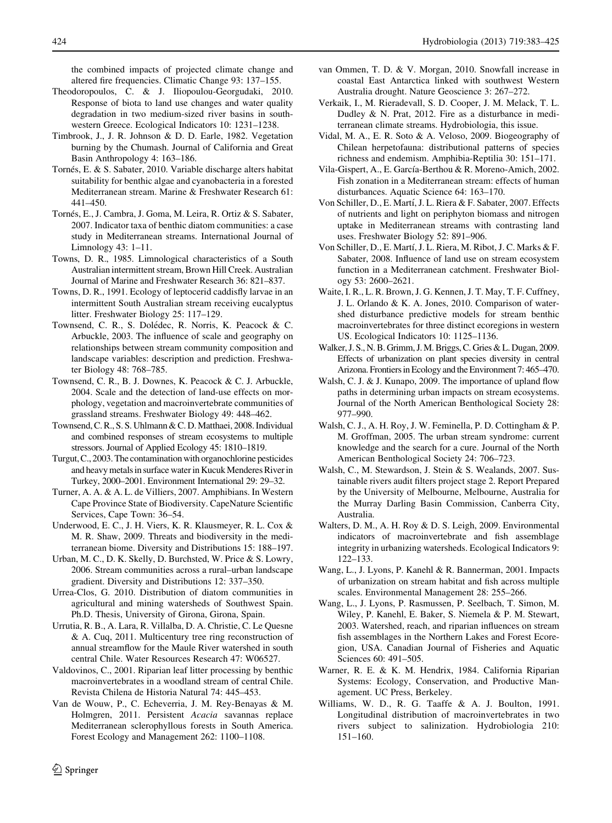<span id="page-41-0"></span>the combined impacts of projected climate change and altered fire frequencies. Climatic Change 93: 137–155.

- Theodoropoulos, C. & J. Iliopoulou-Georgudaki, 2010. Response of biota to land use changes and water quality degradation in two medium-sized river basins in southwestern Greece. Ecological Indicators 10: 1231–1238.
- Timbrook, J., J. R. Johnson & D. D. Earle, 1982. Vegetation burning by the Chumash. Journal of California and Great Basin Anthropology 4: 163–186.
- Tornés, E. & S. Sabater, 2010. Variable discharge alters habitat suitability for benthic algae and cyanobacteria in a forested Mediterranean stream. Marine & Freshwater Research 61: 441–450.
- Tornés, E., J. Cambra, J. Goma, M. Leira, R. Ortiz & S. Sabater, 2007. Indicator taxa of benthic diatom communities: a case study in Mediterranean streams. International Journal of Limnology 43: 1–11.
- Towns, D. R., 1985. Limnological characteristics of a South Australian intermittent stream, Brown Hill Creek. Australian Journal of Marine and Freshwater Research 36: 821–837.
- Towns, D. R., 1991. Ecology of leptocerid caddisfly larvae in an intermittent South Australian stream receiving eucalyptus litter. Freshwater Biology 25: 117–129.
- Townsend, C. R., S. Dolédec, R. Norris, K. Peacock & C. Arbuckle, 2003. The influence of scale and geography on relationships between stream community composition and landscape variables: description and prediction. Freshwater Biology 48: 768–785.
- Townsend, C. R., B. J. Downes, K. Peacock & C. J. Arbuckle, 2004. Scale and the detection of land-use effects on morphology, vegetation and macroinvertebrate communities of grassland streams. Freshwater Biology 49: 448–462.
- Townsend, C. R., S. S. Uhlmann & C. D. Matthaei, 2008. Individual and combined responses of stream ecosystems to multiple stressors. Journal of Applied Ecology 45: 1810–1819.
- Turgut, C., 2003. The contamination with organochlorine pesticides and heavy metals in surface water in Kucuk Menderes River in Turkey, 2000–2001. Environment International 29: 29–32.
- Turner, A. A. & A. L. de Villiers, 2007. Amphibians. In Western Cape Province State of Biodiversity. CapeNature Scientific Services, Cape Town: 36–54.
- Underwood, E. C., J. H. Viers, K. R. Klausmeyer, R. L. Cox & M. R. Shaw, 2009. Threats and biodiversity in the mediterranean biome. Diversity and Distributions 15: 188–197.
- Urban, M. C., D. K. Skelly, D. Burchsted, W. Price & S. Lowry, 2006. Stream communities across a rural–urban landscape gradient. Diversity and Distributions 12: 337–350.
- Urrea-Clos, G. 2010. Distribution of diatom communities in agricultural and mining watersheds of Southwest Spain. Ph.D. Thesis, University of Girona, Girona, Spain.
- Urrutia, R. B., A. Lara, R. Villalba, D. A. Christie, C. Le Quesne & A. Cuq, 2011. Multicentury tree ring reconstruction of annual streamflow for the Maule River watershed in south central Chile. Water Resources Research 47: W06527.
- Valdovinos, C., 2001. Riparian leaf litter processing by benthic macroinvertebrates in a woodland stream of central Chile. Revista Chilena de Historia Natural 74: 445–453.
- Van de Wouw, P., C. Echeverria, J. M. Rey-Benayas & M. Holmgren, 2011. Persistent Acacia savannas replace Mediterranean sclerophyllous forests in South America. Forest Ecology and Management 262: 1100–1108.
- van Ommen, T. D. & V. Morgan, 2010. Snowfall increase in coastal East Antarctica linked with southwest Western Australia drought. Nature Geoscience 3: 267–272.
- Verkaik, I., M. Rieradevall, S. D. Cooper, J. M. Melack, T. L. Dudley & N. Prat, 2012. Fire as a disturbance in mediterranean climate streams. Hydrobiologia, this issue.
- Vidal, M. A., E. R. Soto & A. Veloso, 2009. Biogeography of Chilean herpetofauna: distributional patterns of species richness and endemism. Amphibia-Reptilia 30: 151–171.
- Vila-Gispert, A., E. García-Berthou & R. Moreno-Amich, 2002. Fish zonation in a Mediterranean stream: effects of human disturbances. Aquatic Science 64: 163–170.
- Von Schiller, D., E. Martí, J. L. Riera & F. Sabater, 2007. Effects of nutrients and light on periphyton biomass and nitrogen uptake in Mediterranean streams with contrasting land uses. Freshwater Biology 52: 891–906.
- Von Schiller, D., E. Martí, J. L. Riera, M. Ribot, J. C. Marks & F. Sabater, 2008. Influence of land use on stream ecosystem function in a Mediterranean catchment. Freshwater Biology 53: 2600–2621.
- Waite, I. R., L. R. Brown, J. G. Kennen, J. T. May, T. F. Cuffney, J. L. Orlando & K. A. Jones, 2010. Comparison of watershed disturbance predictive models for stream benthic macroinvertebrates for three distinct ecoregions in western US. Ecological Indicators 10: 1125–1136.
- Walker, J. S., N. B. Grimm, J. M. Briggs, C. Gries & L. Dugan, 2009. Effects of urbanization on plant species diversity in central Arizona. Frontiers in Ecology and the Environment 7: 465–470.
- Walsh, C. J. & J. Kunapo, 2009. The importance of upland flow paths in determining urban impacts on stream ecosystems. Journal of the North American Benthological Society 28: 977–990.
- Walsh, C. J., A. H. Roy, J. W. Feminella, P. D. Cottingham & P. M. Groffman, 2005. The urban stream syndrome: current knowledge and the search for a cure. Journal of the North American Benthological Society 24: 706–723.
- Walsh, C., M. Stewardson, J. Stein & S. Wealands, 2007. Sustainable rivers audit filters project stage 2. Report Prepared by the University of Melbourne, Melbourne, Australia for the Murray Darling Basin Commission, Canberra City, Australia.
- Walters, D. M., A. H. Roy & D. S. Leigh, 2009. Environmental indicators of macroinvertebrate and fish assemblage integrity in urbanizing watersheds. Ecological Indicators 9: 122–133.
- Wang, L., J. Lyons, P. Kanehl & R. Bannerman, 2001. Impacts of urbanization on stream habitat and fish across multiple scales. Environmental Management 28: 255–266.
- Wang, L., J. Lyons, P. Rasmussen, P. Seelbach, T. Simon, M. Wiley, P. Kanehl, E. Baker, S. Niemela & P. M. Stewart, 2003. Watershed, reach, and riparian influences on stream fish assemblages in the Northern Lakes and Forest Ecoregion, USA. Canadian Journal of Fisheries and Aquatic Sciences 60: 491–505.
- Warner, R. E. & K. M. Hendrix, 1984. California Riparian Systems: Ecology, Conservation, and Productive Management. UC Press, Berkeley.
- Williams, W. D., R. G. Taaffe & A. J. Boulton, 1991. Longitudinal distribution of macroinvertebrates in two rivers subject to salinization. Hydrobiologia 210: 151–160.